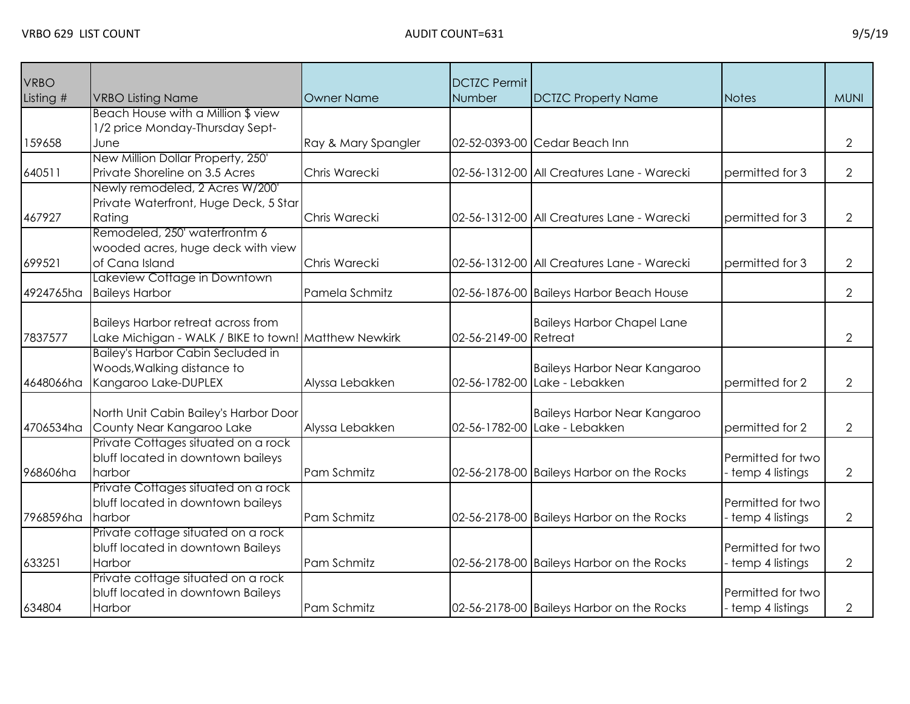| <b>VRBO</b> |                                                      |                     | <b>DCTZC Permit</b>   |                                            |                   |                |
|-------------|------------------------------------------------------|---------------------|-----------------------|--------------------------------------------|-------------------|----------------|
| Listing #   | <b>VRBO Listing Name</b>                             | <b>Owner Name</b>   | Number                | <b>DCTZC Property Name</b>                 | <b>Notes</b>      | <b>MUNI</b>    |
|             | Beach House with a Million \$ view                   |                     |                       |                                            |                   |                |
|             | 1/2 price Monday-Thursday Sept-                      |                     |                       |                                            |                   |                |
| 159658      | June                                                 | Ray & Mary Spangler |                       | 02-52-0393-00 Cedar Beach Inn              |                   | $\overline{2}$ |
|             | New Million Dollar Property, 250'                    |                     |                       |                                            |                   |                |
| 640511      | Private Shoreline on 3.5 Acres                       | Chris Warecki       |                       | 02-56-1312-00 All Creatures Lane - Warecki | permitted for 3   | $\mathbf{2}$   |
|             | Newly remodeled, 2 Acres W/200'                      |                     |                       |                                            |                   |                |
|             | Private Waterfront, Huge Deck, 5 Star                |                     |                       |                                            |                   |                |
| 467927      | Rating                                               | Chris Warecki       |                       | 02-56-1312-00 All Creatures Lane - Warecki | permitted for 3   | $\mathbf{2}$   |
|             | Remodeled, 250' waterfrontm 6                        |                     |                       |                                            |                   |                |
|             | wooded acres, huge deck with view                    |                     |                       |                                            |                   |                |
| 699521      | of Cana Island                                       | Chris Warecki       |                       | 02-56-1312-00 All Creatures Lane - Warecki | permitted for 3   | $\overline{2}$ |
|             | Lakeview Cottage in Downtown                         |                     |                       |                                            |                   |                |
| 4924765ha   | <b>Baileys Harbor</b>                                | Pamela Schmitz      |                       | 02-56-1876-00 Baileys Harbor Beach House   |                   | $\overline{2}$ |
|             |                                                      |                     |                       |                                            |                   |                |
|             | <b>Baileys Harbor retreat across from</b>            |                     |                       | <b>Baileys Harbor Chapel Lane</b>          |                   |                |
| 7837577     | Lake Michigan - WALK / BIKE to town! Matthew Newkirk |                     | 02-56-2149-00 Retreat |                                            |                   | $\overline{2}$ |
|             | <b>Bailey's Harbor Cabin Secluded in</b>             |                     |                       |                                            |                   |                |
|             | Woods, Walking distance to                           |                     |                       | <b>Baileys Harbor Near Kangaroo</b>        |                   |                |
| 4648066ha   | Kangaroo Lake-DUPLEX                                 | Alyssa Lebakken     |                       | 02-56-1782-00 Lake - Lebakken              | permitted for 2   | 2              |
|             |                                                      |                     |                       |                                            |                   |                |
|             | North Unit Cabin Bailey's Harbor Door                |                     |                       | <b>Baileys Harbor Near Kangaroo</b>        |                   |                |
| 4706534ha   | County Near Kangaroo Lake                            | Alyssa Lebakken     |                       | 02-56-1782-00 Lake - Lebakken              | permitted for 2   | $\mathbf{2}$   |
|             | Private Cottages situated on a rock                  |                     |                       |                                            |                   |                |
|             | bluff located in downtown baileys                    |                     |                       |                                            | Permitted for two |                |
| 968606ha    | harbor                                               | Pam Schmitz         |                       | 02-56-2178-00 Baileys Harbor on the Rocks  | temp 4 listings   | $\overline{2}$ |
|             | Private Cottages situated on a rock                  |                     |                       |                                            |                   |                |
|             | bluff located in downtown baileys                    |                     |                       |                                            | Permitted for two |                |
| 7968596ha   | harbor                                               | Pam Schmitz         |                       | 02-56-2178-00 Baileys Harbor on the Rocks  | temp 4 listings   | $\overline{2}$ |
|             | Private cottage situated on a rock                   |                     |                       |                                            |                   |                |
|             | bluff located in downtown Baileys                    |                     |                       |                                            | Permitted for two |                |
| 633251      | Harbor                                               | Pam Schmitz         |                       | 02-56-2178-00 Baileys Harbor on the Rocks  | temp 4 listings   | $\overline{2}$ |
|             | Private cottage situated on a rock                   |                     |                       |                                            |                   |                |
|             | bluff located in downtown Baileys                    |                     |                       |                                            | Permitted for two |                |
| 634804      | Harbor                                               | Pam Schmitz         |                       | 02-56-2178-00 Baileys Harbor on the Rocks  | temp 4 listings   | $\overline{2}$ |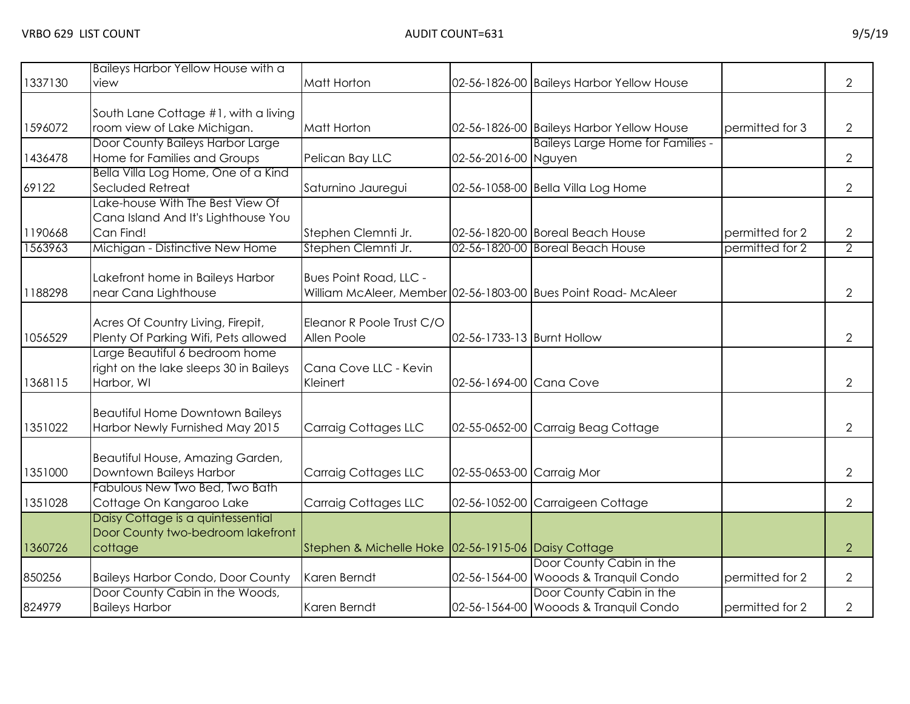| 1337130            | Baileys Harbor Yellow House with a                                                                                      | Matt Horton                                         |                            | 02-56-1826-00 Baileys Harbor Yellow House                            |                                    | $\overline{2}$                   |
|--------------------|-------------------------------------------------------------------------------------------------------------------------|-----------------------------------------------------|----------------------------|----------------------------------------------------------------------|------------------------------------|----------------------------------|
|                    | view                                                                                                                    |                                                     |                            |                                                                      |                                    |                                  |
| 1596072            | South Lane Cottage #1, with a living<br>room view of Lake Michigan.                                                     | <b>Matt Horton</b>                                  |                            | 02-56-1826-00 Baileys Harbor Yellow House                            | permitted for 3                    | $\overline{2}$                   |
| 1436478            | Door County Baileys Harbor Large<br>Home for Families and Groups<br>Bella Villa Log Home, One of a Kind                 | Pelican Bay LLC                                     | 02-56-2016-00 Nguyen       | <b>Baileys Large Home for Families -</b>                             |                                    | $\overline{2}$                   |
| 69122              | Secluded Retreat                                                                                                        | Saturnino Jauregui                                  |                            | 02-56-1058-00 Bella Villa Log Home                                   |                                    | $\overline{2}$                   |
| 1190668<br>1563963 | Lake-house With The Best View Of<br>Cana Island And It's Lighthouse You<br>Can Find!<br>Michigan - Distinctive New Home | Stephen Clemnti Jr.<br>Stephen Clemnti Jr.          |                            | 02-56-1820-00 Boreal Beach House<br>02-56-1820-00 Boreal Beach House | permitted for 2<br>permitted for 2 | $\overline{2}$<br>$\overline{2}$ |
|                    |                                                                                                                         |                                                     |                            |                                                                      |                                    |                                  |
| 1188298            | Lakefront home in Baileys Harbor<br>near Cana Lighthouse                                                                | <b>Bues Point Road, LLC -</b>                       |                            | William McAleer, Member 02-56-1803-00 Bues Point Road- McAleer       |                                    | $\overline{2}$                   |
| 1056529            | Acres Of Country Living, Firepit,<br>Plenty Of Parking Wifi, Pets allowed                                               | Eleanor R Poole Trust C/O<br>Allen Poole            | 02-56-1733-13 Burnt Hollow |                                                                      |                                    | $\overline{2}$                   |
| 1368115            | Large Beautiful 6 bedroom home<br>right on the lake sleeps 30 in Baileys<br>Harbor, WI                                  | Cana Cove LLC - Kevin<br>Kleinert                   | 02-56-1694-00 Cana Cove    |                                                                      |                                    | $\overline{2}$                   |
| 1351022            | <b>Beautiful Home Downtown Baileys</b><br>Harbor Newly Furnished May 2015                                               | Carraig Cottages LLC                                |                            | 02-55-0652-00 Carraig Beag Cottage                                   |                                    | $\overline{2}$                   |
| 1351000            | Beautiful House, Amazing Garden,<br>Downtown Baileys Harbor                                                             | Carraig Cottages LLC                                | 02-55-0653-00 Carraig Mor  |                                                                      |                                    | $\overline{2}$                   |
| 1351028            | Fabulous New Two Bed, Two Bath<br>Cottage On Kangaroo Lake                                                              | Carraig Cottages LLC                                |                            | 02-56-1052-00 Carraigeen Cottage                                     |                                    | $\overline{2}$                   |
| 1360726            | Daisy Cottage is a quintessential<br>Door County two-bedroom lakefront<br>cottage                                       | Stephen & Michelle Hoke 02-56-1915-06 Daisy Cottage |                            |                                                                      |                                    | $\overline{2}$                   |
| 850256             | <b>Baileys Harbor Condo, Door County</b>                                                                                | Karen Berndt                                        |                            | Door County Cabin in the<br>02-56-1564-00 Wooods & Tranquil Condo    | permitted for 2                    | $\overline{2}$                   |
| 824979             | Door County Cabin in the Woods,<br><b>Baileys Harbor</b>                                                                | Karen Berndt                                        |                            | Door County Cabin in the<br>02-56-1564-00 Wooods & Tranquil Condo    | permitted for 2                    | $\overline{2}$                   |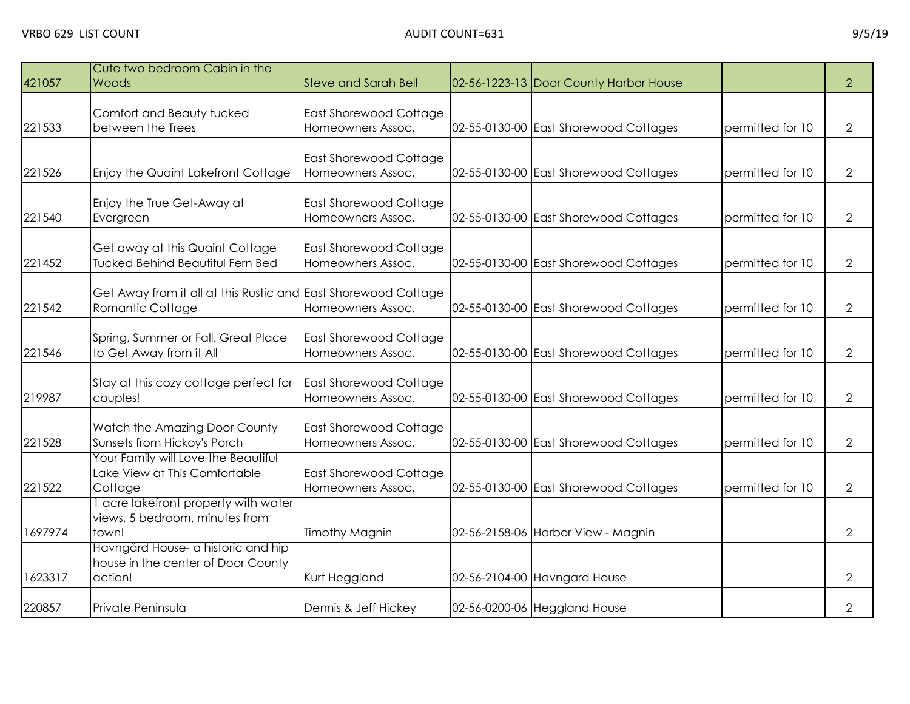| 421057  | Cute two bedroom Cabin in the<br>Woods                                              | <b>Steve and Sarah Bell</b>                        | 02-56-1223-13 Door County Harbor House |                  | $\overline{2}$ |
|---------|-------------------------------------------------------------------------------------|----------------------------------------------------|----------------------------------------|------------------|----------------|
| 221533  | Comfort and Beauty tucked<br>between the Trees                                      | East Shorewood Cottage<br>Homeowners Assoc.        | 02-55-0130-00 East Shorewood Cottages  | permitted for 10 | $\overline{2}$ |
| 221526  | Enjoy the Quaint Lakefront Cottage                                                  | <b>East Shorewood Cottage</b><br>Homeowners Assoc. | 02-55-0130-00 East Shorewood Cottages  | permitted for 10 | $\overline{2}$ |
| 221540  | Enjoy the True Get-Away at<br>Evergreen                                             | <b>East Shorewood Cottage</b><br>Homeowners Assoc. | 02-55-0130-00 East Shorewood Cottages  | permitted for 10 | $\overline{2}$ |
| 221452  | Get away at this Quaint Cottage<br><b>Tucked Behind Beautiful Fern Bed</b>          | East Shorewood Cottage<br>Homeowners Assoc.        | 02-55-0130-00 East Shorewood Cottages  | permitted for 10 | $\overline{2}$ |
| 221542  | Get Away from it all at this Rustic and East Shorewood Cottage<br>Romantic Cottage  | Homeowners Assoc.                                  | 02-55-0130-00 East Shorewood Cottages  | permitted for 10 | $\overline{2}$ |
| 221546  | Spring, Summer or Fall, Great Place<br>to Get Away from it All                      | <b>East Shorewood Cottage</b><br>Homeowners Assoc. | 02-55-0130-00 East Shorewood Cottages  | permitted for 10 | $\overline{2}$ |
| 219987  | Stay at this cozy cottage perfect for<br>couples!                                   | <b>East Shorewood Cottage</b><br>Homeowners Assoc. | 02-55-0130-00 East Shorewood Cottages  | permitted for 10 | $\overline{2}$ |
| 221528  | Watch the Amazing Door County<br>Sunsets from Hickoy's Porch                        | <b>East Shorewood Cottage</b><br>Homeowners Assoc. | 02-55-0130-00 East Shorewood Cottages  | permitted for 10 | $\overline{2}$ |
| 221522  | Your Family will Love the Beautiful<br>Lake View at This Comfortable<br>Cottage     | <b>East Shorewood Cottage</b><br>Homeowners Assoc. | 02-55-0130-00 East Shorewood Cottages  | permitted for 10 | $\overline{2}$ |
| 1697974 | I acre lakefront property with water<br>views, 5 bedroom, minutes from<br>town!     | <b>Timothy Magnin</b>                              | 02-56-2158-06 Harbor View - Magnin     |                  | $\overline{2}$ |
| 1623317 | Havngård House- a historic and hip<br>house in the center of Door County<br>action! | Kurt Heggland                                      | 02-56-2104-00 Havngard House           |                  | $\overline{2}$ |
| 220857  | Private Peninsula                                                                   | Dennis & Jeff Hickey                               | 02-56-0200-06 Heggland House           |                  | $\overline{2}$ |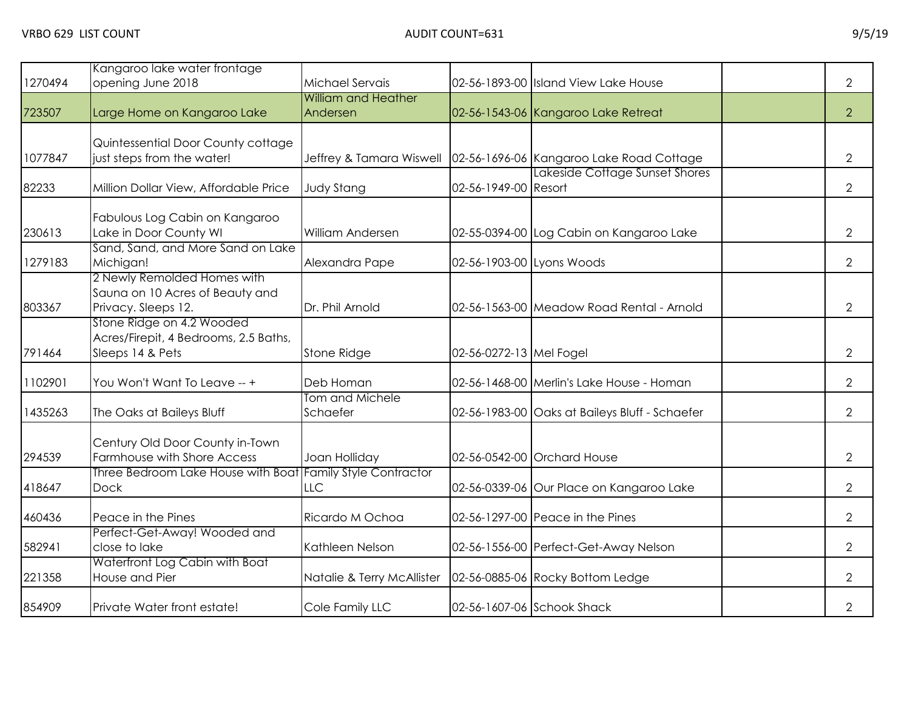| 1270494 | Kangaroo lake water frontage<br>opening June 2018                                             | Michael Servais                        |                           | 02-56-1893-00 Island View Lake House                                       | $\overline{2}$ |
|---------|-----------------------------------------------------------------------------------------------|----------------------------------------|---------------------------|----------------------------------------------------------------------------|----------------|
| 723507  | Large Home on Kangaroo Lake                                                                   | <b>William and Heather</b><br>Andersen |                           | 02-56-1543-06 Kangaroo Lake Retreat                                        | 2              |
| 1077847 | Quintessential Door County cottage<br>just steps from the water!                              | Jeffrey & Tamara Wiswell               |                           | 02-56-1696-06 Kangaroo Lake Road Cottage<br>Lakeside Cottage Sunset Shores | $\overline{2}$ |
| 82233   | Million Dollar View, Affordable Price                                                         | <b>Judy Stang</b>                      | 02-56-1949-00 Resort      |                                                                            | $\overline{2}$ |
| 230613  | Fabulous Log Cabin on Kangaroo<br>Lake in Door County WI<br>Sand, Sand, and More Sand on Lake | William Andersen                       |                           | 02-55-0394-00 Log Cabin on Kangaroo Lake                                   | $\overline{2}$ |
| 1279183 | Michigan!                                                                                     | Alexandra Pape                         | 02-56-1903-00 Lyons Woods |                                                                            | $\overline{2}$ |
| 803367  | 2 Newly Remolded Homes with<br>Sauna on 10 Acres of Beauty and<br>Privacy. Sleeps 12.         | Dr. Phil Arnold                        |                           | 02-56-1563-00 Meadow Road Rental - Arnold                                  | $\overline{2}$ |
| 791464  | Stone Ridge on 4.2 Wooded<br>Acres/Firepit, 4 Bedrooms, 2.5 Baths,<br>Sleeps 14 & Pets        | Stone Ridge                            | 02-56-0272-13 Mel Fogel   |                                                                            | 2              |
| 1102901 | You Won't Want To Leave -- +                                                                  | Deb Homan                              |                           | 02-56-1468-00 Merlin's Lake House - Homan                                  | $\overline{2}$ |
| 1435263 | The Oaks at Baileys Bluff                                                                     | Tom and Michele<br>Schaefer            |                           | 02-56-1983-00 Oaks at Baileys Bluff - Schaefer                             | $\overline{2}$ |
| 294539  | Century Old Door County in-Town<br>Farmhouse with Shore Access                                | Joan Holliday                          |                           | 02-56-0542-00 Orchard House                                                | $\overline{2}$ |
| 418647  | Three Bedroom Lake House with Boat Family Style Contractor<br><b>Dock</b>                     | LLC                                    |                           | 02-56-0339-06 Our Place on Kangaroo Lake                                   | $\overline{2}$ |
| 460436  | Peace in the Pines                                                                            | Ricardo M Ochoa                        |                           | 02-56-1297-00 Peace in the Pines                                           | $\overline{2}$ |
| 582941  | Perfect-Get-Away! Wooded and<br>close to lake                                                 | Kathleen Nelson                        |                           | 02-56-1556-00 Perfect-Get-Away Nelson                                      | $\overline{2}$ |
| 221358  | Waterfront Log Cabin with Boat<br>House and Pier                                              | Natalie & Terry McAllister             |                           | 02-56-0885-06 Rocky Bottom Ledge                                           | $\overline{2}$ |
| 854909  | Private Water front estate!                                                                   | Cole Family LLC                        |                           | 02-56-1607-06 Schook Shack                                                 | $\overline{2}$ |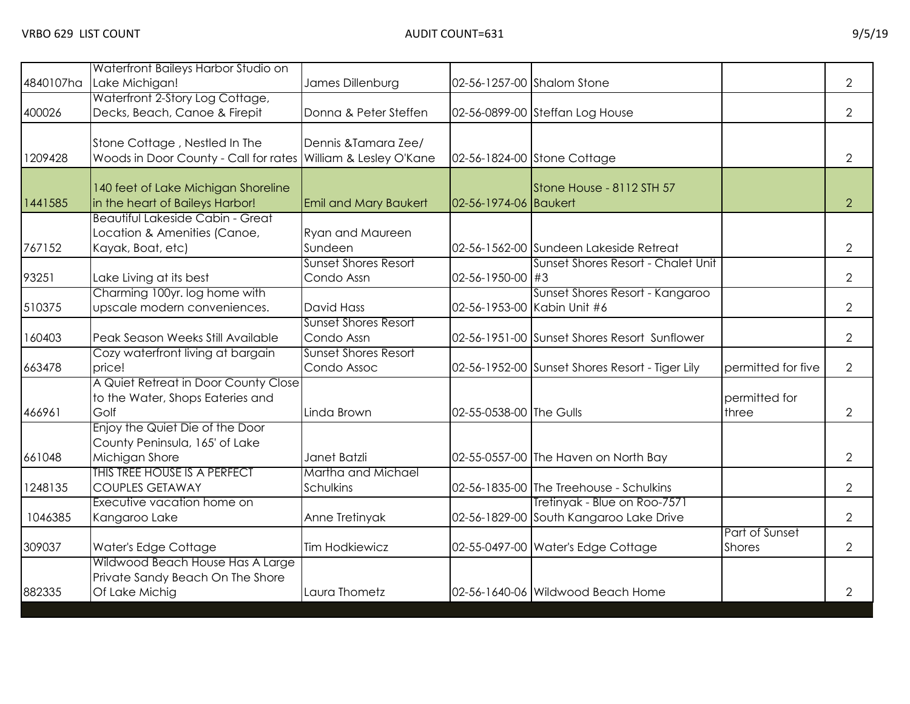|         | Waterfront Baileys Harbor Studio on<br>4840107ha Lake Michigan!                        | James Dillenburg                                |                         | 02-56-1257-00 Shalom Stone                                              |                                 | $\overline{2}$ |
|---------|----------------------------------------------------------------------------------------|-------------------------------------------------|-------------------------|-------------------------------------------------------------------------|---------------------------------|----------------|
| 400026  | Waterfront 2-Story Log Cottage,<br>Decks, Beach, Canoe & Firepit                       | Donna & Peter Steffen                           |                         | 02-56-0899-00 Steffan Log House                                         |                                 | $\overline{2}$ |
| 1209428 | Stone Cottage, Nestled In The<br>Woods in Door County - Call for rates                 | Dennis & Tamara Zee/<br>William & Lesley O'Kane |                         | 02-56-1824-00 Stone Cottage                                             |                                 | $\overline{2}$ |
| 1441585 | 140 feet of Lake Michigan Shoreline<br>in the heart of Baileys Harbor!                 | <b>Emil and Mary Baukert</b>                    | 02-56-1974-06 Baukert   | Stone House - 8112 STH 57                                               |                                 | $\overline{2}$ |
| 767152  | Beautiful Lakeside Cabin - Great<br>Location & Amenities (Canoe,<br>Kayak, Boat, etc)  | <b>Ryan and Maureen</b><br>Sundeen              |                         | 02-56-1562-00 Sundeen Lakeside Retreat                                  |                                 | $\overline{2}$ |
| 93251   | Lake Living at its best                                                                | <b>Sunset Shores Resort</b><br>Condo Assn       | 02-56-1950-00 #3        | Sunset Shores Resort - Chalet Unit                                      |                                 | $\overline{2}$ |
| 510375  | Charming 100yr. log home with<br>upscale modern conveniences.                          | <b>David Hass</b>                               |                         | Sunset Shores Resort - Kangaroo<br>02-56-1953-00 Kabin Unit #6          |                                 | $\overline{2}$ |
| 160403  | Peak Season Weeks Still Available                                                      | <b>Sunset Shores Resort</b><br>Condo Assn       |                         | 02-56-1951-00 Sunset Shores Resort Sunflower                            |                                 | $\overline{2}$ |
| 663478  | Cozy waterfront living at bargain<br>price!                                            | <b>Sunset Shores Resort</b><br>Condo Assoc      |                         | 02-56-1952-00 Sunset Shores Resort - Tiger Lily                         | permitted for five              | $\overline{2}$ |
| 466961  | A Quiet Retreat in Door County Close<br>to the Water, Shops Eateries and<br>Golf       | Linda Brown                                     | 02-55-0538-00 The Gulls |                                                                         | permitted for<br>three          | $\overline{2}$ |
| 661048  | Enjoy the Quiet Die of the Door<br>County Peninsula, 165' of Lake<br>Michigan Shore    | Janet Batzli                                    |                         | 02-55-0557-00 The Haven on North Bay                                    |                                 | $\overline{2}$ |
| 1248135 | THIS TREE HOUSE IS A PERFECT<br><b>COUPLES GETAWAY</b>                                 | Martha and Michael<br>Schulkins                 |                         | 02-56-1835-00 The Treehouse - Schulkins                                 |                                 | $\overline{2}$ |
| 1046385 | Executive vacation home on<br>Kangaroo Lake                                            | Anne Tretinyak                                  |                         | Tretinyak - Blue on Roo-7571<br>02-56-1829-00 South Kangaroo Lake Drive |                                 | $\overline{2}$ |
| 309037  | Water's Edge Cottage                                                                   | <b>Tim Hodkiewicz</b>                           |                         | 02-55-0497-00 Water's Edge Cottage                                      | Part of Sunset<br><b>Shores</b> | $\overline{2}$ |
| 882335  | Wildwood Beach House Has A Large<br>Private Sandy Beach On The Shore<br>Of Lake Michig | Laura Thometz                                   |                         | 02-56-1640-06 Wildwood Beach Home                                       |                                 | $\overline{2}$ |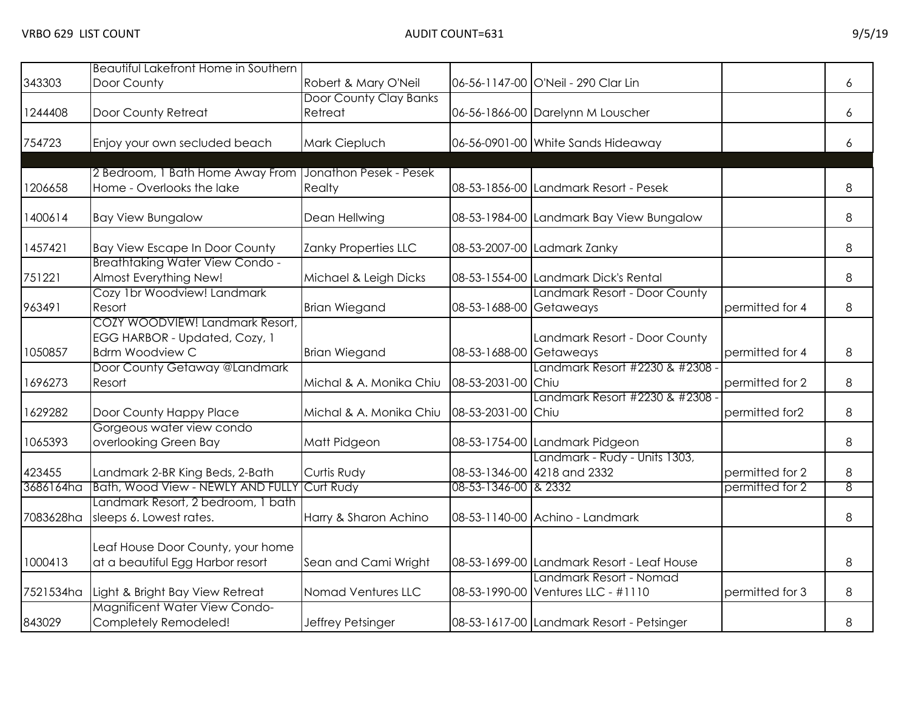| 343303    | Beautiful Lakefront Home in Southern<br>Door County                                        | Robert & Mary O'Neil              |                         | 06-56-1147-00 O'Neil - 290 Clar Lin                           |                 | 6       |
|-----------|--------------------------------------------------------------------------------------------|-----------------------------------|-------------------------|---------------------------------------------------------------|-----------------|---------|
| 1244408   | Door County Retreat                                                                        | Door County Clay Banks<br>Retreat |                         | 06-56-1866-00 Darelynn M Louscher                             |                 | 6       |
| 754723    | Enjoy your own secluded beach                                                              | Mark Ciepluch                     |                         | 06-56-0901-00 White Sands Hideaway                            |                 | 6       |
| 1206658   | 2 Bedroom, 1 Bath Home Away From<br>Home - Overlooks the lake                              | Jonathon Pesek - Pesek<br>Realty  |                         | 08-53-1856-00 Landmark Resort - Pesek                         |                 | 8       |
| 1400614   | <b>Bay View Bungalow</b>                                                                   | Dean Hellwing                     |                         | 08-53-1984-00 Landmark Bay View Bungalow                      |                 | 8       |
| 1457421   | <b>Bay View Escape In Door County</b>                                                      | Zanky Properties LLC              |                         | 08-53-2007-00 Ladmark Zanky                                   |                 | 8       |
| 751221    | <b>Breathtaking Water View Condo-</b><br>Almost Everything New!                            | Michael & Leigh Dicks             |                         | 08-53-1554-00 Landmark Dick's Rental                          |                 | 8       |
| 963491    | Cozy 1br Woodview! Landmark<br>Resort                                                      | <b>Brian Wiegand</b>              | 08-53-1688-00 Getaweays | Landmark Resort - Door County                                 | permitted for 4 | 8       |
| 1050857   | COZY WOODVIEW! Landmark Resort,<br>EGG HARBOR - Updated, Cozy, 1<br><b>Bdrm Woodview C</b> | <b>Brian Wiegand</b>              | 08-53-1688-00           | Landmark Resort - Door County<br>Getaweays                    | permitted for 4 | $\,8\,$ |
| 696273    | Door County Getaway @Landmark<br>Resort                                                    | Michal & A. Monika Chiu           | 08-53-2031-00           | Landmark Resort #2230 & #2308 -<br>Chiu                       | permitted for 2 | 8       |
| 1629282   | Door County Happy Place                                                                    | Michal & A. Monika Chiu           | 08-53-2031-00           | Landmark Resort #2230 & #2308 -<br>Chiu                       | permitted for2  | 8       |
| 1065393   | Gorgeous water view condo<br>overlooking Green Bay                                         | Matt Pidgeon                      |                         | 08-53-1754-00 Landmark Pidgeon                                |                 | 8       |
| 423455    | Landmark 2-BR King Beds, 2-Bath                                                            | Curtis Rudy                       |                         | Landmark - Rudy - Units 1303,<br>08-53-1346-00 4218 and 2332  | permitted for 2 | 8       |
| 3686164ha | Bath, Wood View - NEWLY AND FULLY Curt Rudy                                                |                                   | 08-53-1346-00 & 2332    |                                                               | permitted for 2 | 8       |
| 7083628ha | Landmark Resort, 2 bedroom, 1 bath<br>sleeps 6. Lowest rates.                              | Harry & Sharon Achino             |                         | 08-53-1140-00 Achino - Landmark                               |                 | 8       |
| 1000413   | Leaf House Door County, your home<br>at a beautiful Egg Harbor resort                      | Sean and Cami Wright              |                         | 08-53-1699-00 Landmark Resort - Leaf House                    |                 | 8       |
| 7521534ha | Light & Bright Bay View Retreat                                                            | Nomad Ventures LLC                |                         | Landmark Resort - Nomad<br>08-53-1990-00 Ventures LLC - #1110 | permitted for 3 | 8       |
| 843029    | <b>Magnificent Water View Condo-</b><br>Completely Remodeled!                              | Jeffrey Petsinger                 |                         | 08-53-1617-00 Landmark Resort - Petsinger                     |                 | 8       |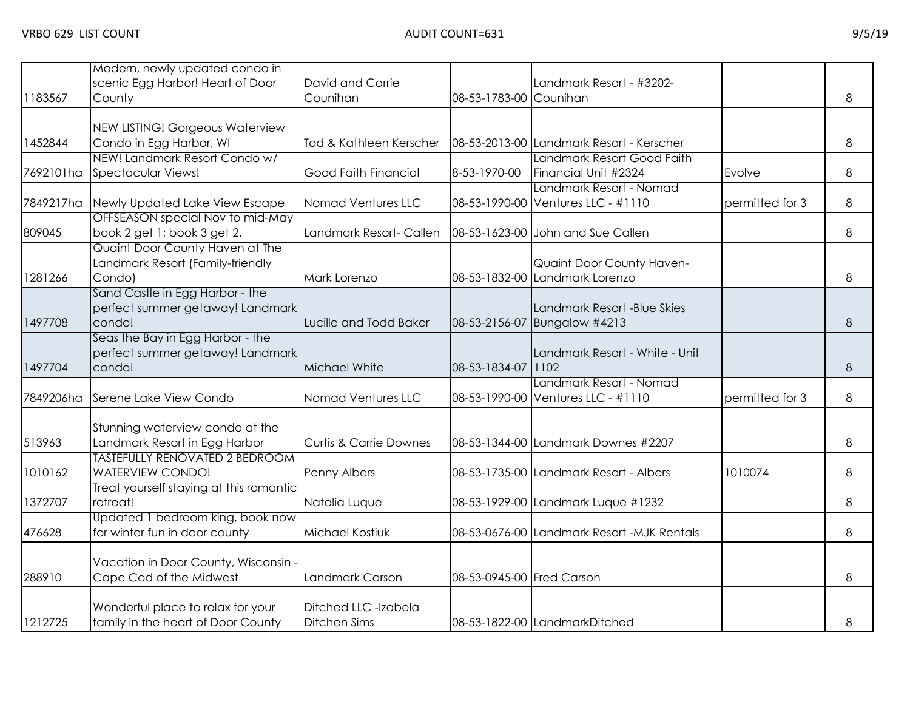| 1183567   | Modern, newly updated condo in<br>scenic Egg Harbor! Heart of Door<br>County   | David and Carrie<br>Counihan                | 08-53-1783-00 Counihan    | Landmark Resort - #3202-                                      |                 | 8     |
|-----------|--------------------------------------------------------------------------------|---------------------------------------------|---------------------------|---------------------------------------------------------------|-----------------|-------|
| 1452844   | NEW LISTING! Gorgeous Waterview<br>Condo in Egg Harbor, WI                     | Tod & Kathleen Kerscher                     |                           | 08-53-2013-00 Landmark Resort - Kerscher                      |                 | 8     |
| 7692101ha | NEW! Landmark Resort Condo w/<br><b>Spectacular Views!</b>                     | Good Faith Financial                        | 8-53-1970-00              | Landmark Resort Good Faith<br>Financial Unit #2324            | Evolve          | 8     |
| 7849217ha | Newly Updated Lake View Escape                                                 | Nomad Ventures LLC                          |                           | Landmark Resort - Nomad<br>08-53-1990-00 Ventures LLC - #1110 | permitted for 3 | 8     |
| 809045    | OFFSEASON special Nov to mid-May<br>book 2 get 1; book 3 get 2.                | Landmark Resort- Callen                     |                           | 08-53-1623-00 John and Sue Callen                             |                 | 8     |
| 1281266   | Quaint Door County Haven at The<br>Landmark Resort (Family-friendly<br>Condo)  | Mark Lorenzo                                |                           | Quaint Door County Haven-<br>08-53-1832-00 Landmark Lorenzo   |                 | 8     |
| 1497708   | Sand Castle in Egg Harbor - the<br>perfect summer getaway! Landmark<br>condo!  | Lucille and Todd Baker                      | 08-53-2156-07             | Landmark Resort -Blue Skies<br>Bungalow #4213                 |                 | 8     |
| 1497704   | Seas the Bay in Egg Harbor - the<br>perfect summer getaway! Landmark<br>condo! | Michael White                               | 08-53-1834-07             | Landmark Resort - White - Unit<br> 1102                       |                 | $8\,$ |
| 7849206ha | Serene Lake View Condo                                                         | Nomad Ventures LLC                          |                           | Landmark Resort - Nomad<br>08-53-1990-00 Ventures LLC - #1110 | permitted for 3 | 8     |
| 513963    | Stunning waterview condo at the<br>Landmark Resort in Egg Harbor               | <b>Curtis &amp; Carrie Downes</b>           |                           | 08-53-1344-00 Landmark Downes #2207                           |                 | 8     |
| 1010162   | <b>TASTEFULLY RENOVATED 2 BEDROOM</b><br><b>WATERVIEW CONDO!</b>               | Penny Albers                                |                           | 08-53-1735-00 Landmark Resort - Albers                        | 1010074         | 8     |
| 1372707   | Treat yourself staying at this romantic<br>retreat!                            | Natalia Luque                               |                           | 08-53-1929-00 Landmark Luque #1232                            |                 | 8     |
| 476628    | Updated 1 bedroom king, book now<br>for winter fun in door county              | <b>Michael Kostiuk</b>                      |                           | 08-53-0676-00 Landmark Resort -MJK Rentals                    |                 | 8     |
| 288910    | Vacation in Door County, Wisconsin -<br>Cape Cod of the Midwest                | Landmark Carson                             | 08-53-0945-00 Fred Carson |                                                               |                 | 8     |
| 1212725   | Wonderful place to relax for your<br>family in the heart of Door County        | Ditched LLC -Izabela<br><b>Ditchen Sims</b> |                           | 08-53-1822-00 LandmarkDitched                                 |                 | 8     |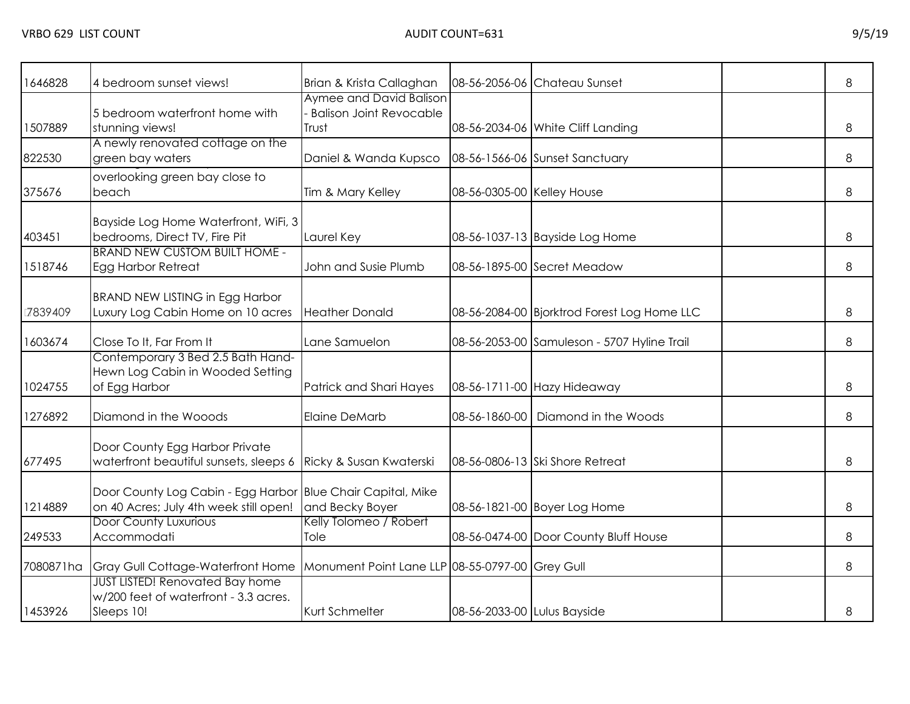| 646828    | 4 bedroom sunset views!                                                                               | Brian & Krista Callaghan                                           |                             | 08-56-2056-06 Chateau Sunset                | 8 |
|-----------|-------------------------------------------------------------------------------------------------------|--------------------------------------------------------------------|-----------------------------|---------------------------------------------|---|
| 1507889   | 5 bedroom waterfront home with<br>stunning views!<br>A newly renovated cottage on the                 | Aymee and David Balison<br><b>Balison Joint Revocable</b><br>Trust |                             | 08-56-2034-06 White Cliff Landing           | 8 |
| 822530    | green bay waters                                                                                      | Daniel & Wanda Kupsco                                              |                             | 08-56-1566-06 Sunset Sanctuary              | 8 |
| 375676    | overlooking green bay close to<br>beach                                                               | Tim & Mary Kelley                                                  | 08-56-0305-00 Kelley House  |                                             | 8 |
| 403451    | Bayside Log Home Waterfront, WiFi, 3<br>bedrooms, Direct TV, Fire Pit                                 | Laurel Key                                                         |                             | 08-56-1037-13 Bayside Log Home              | 8 |
| 1518746   | <b>BRAND NEW CUSTOM BUILT HOME -</b><br>Egg Harbor Retreat                                            | John and Susie Plumb                                               |                             | 08-56-1895-00 Secret Meadow                 | 8 |
| 7839409   | <b>BRAND NEW LISTING in Egg Harbor</b><br>Luxury Log Cabin Home on 10 acres                           | <b>Heather Donald</b>                                              |                             | 08-56-2084-00 Bjorktrod Forest Log Home LLC | 8 |
| 1603674   | Close To It, Far From It                                                                              | Lane Samuelon                                                      |                             | 08-56-2053-00 Samuleson - 5707 Hyline Trail | 8 |
| 1024755   | Contemporary 3 Bed 2.5 Bath Hand-<br>Hewn Log Cabin in Wooded Setting<br>of Egg Harbor                | Patrick and Shari Hayes                                            |                             | 08-56-1711-00 Hazy Hideaway                 | 8 |
| 1276892   | Diamond in the Wooods                                                                                 | <b>Elaine DeMarb</b>                                               | 08-56-1860-00               | Diamond in the Woods                        | 8 |
| 677495    | Door County Egg Harbor Private<br>waterfront beautiful sunsets, sleeps 6                              | Ricky & Susan Kwaterski                                            |                             | 08-56-0806-13 Ski Shore Retreat             | 8 |
| 1214889   | Door County Log Cabin - Egg Harbor Blue Chair Capital, Mike<br>on 40 Acres; July 4th week still open! | and Becky Boyer                                                    |                             | 08-56-1821-00 Boyer Log Home                | 8 |
| 249533    | <b>Door County Luxurious</b><br>Accommodati                                                           | Kelly Tolomeo / Robert<br>Tole                                     |                             | 08-56-0474-00 Door County Bluff House       | 8 |
| 7080871ha | Gray Gull Cottage-Waterfront Home Monument Point Lane LLP 08-55-0797-00 Grey Gull                     |                                                                    |                             |                                             | 8 |
| 1453926   | <b>JUST LISTED! Renovated Bay home</b><br>w/200 feet of waterfront - 3.3 acres.<br>Sleeps 10!         | Kurt Schmelter                                                     | 08-56-2033-00 Lulus Bayside |                                             | 8 |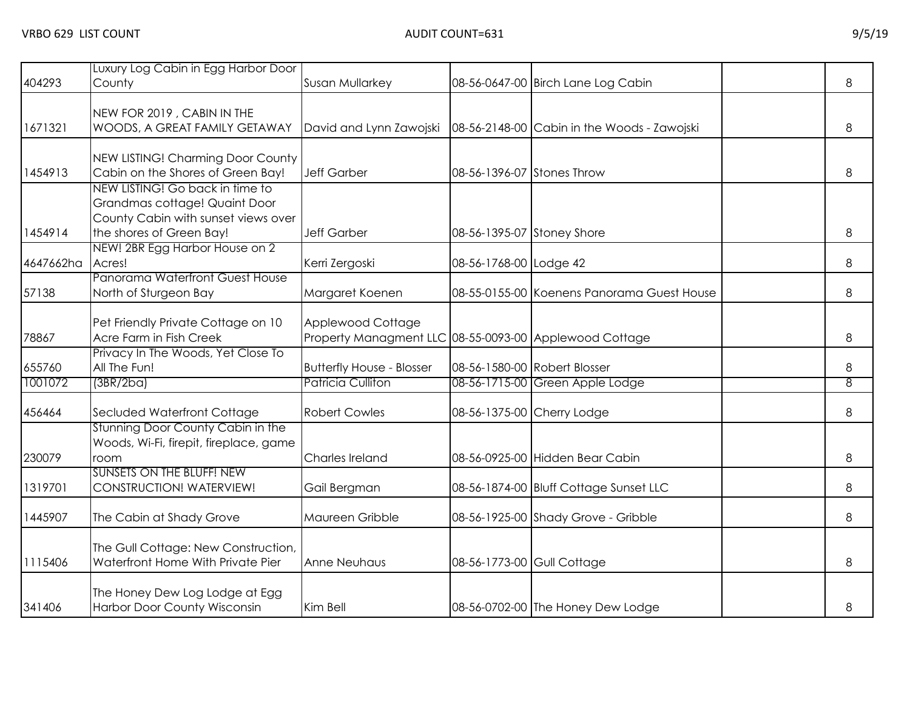| 404293    | Luxury Log Cabin in Egg Harbor Door<br>County                                                                                       | <b>Susan Mullarkey</b>                                                      |                              | 08-56-0647-00 Birch Lane Log Cabin          | 8 |
|-----------|-------------------------------------------------------------------------------------------------------------------------------------|-----------------------------------------------------------------------------|------------------------------|---------------------------------------------|---|
| 1671321   | NEW FOR 2019, CABIN IN THE<br>WOODS, A GREAT FAMILY GETAWAY                                                                         | David and Lynn Zawojski                                                     |                              | 08-56-2148-00 Cabin in the Woods - Zawojski | 8 |
| 1454913   | NEW LISTING! Charming Door County<br>Cabin on the Shores of Green Bay!                                                              | <b>Jeff Garber</b>                                                          | 08-56-1396-07 Stones Throw   |                                             | 8 |
| 1454914   | NEW LISTING! Go back in time to<br>Grandmas cottage! Quaint Door<br>County Cabin with sunset views over<br>the shores of Green Bay! | <b>Jeff Garber</b>                                                          | 08-56-1395-07 Stoney Shore   |                                             | 8 |
| 4647662ha | NEW! 2BR Egg Harbor House on 2<br>Acres!                                                                                            | Kerri Zergoski                                                              | 08-56-1768-00 Lodge 42       |                                             | 8 |
| 57138     | Panorama Waterfront Guest House<br>North of Sturgeon Bay                                                                            | Margaret Koenen                                                             |                              | 08-55-0155-00 Koenens Panorama Guest House  | 8 |
| 78867     | Pet Friendly Private Cottage on 10<br>Acre Farm in Fish Creek                                                                       | Applewood Cottage<br>Property Managment LLC 08-55-0093-00 Applewood Cottage |                              |                                             | 8 |
| 655760    | Privacy In The Woods, Yet Close To<br>All The Fun!                                                                                  | <b>Butterfly House - Blosser</b>                                            | 08-56-1580-00 Robert Blosser |                                             | 8 |
| 1001072   | (3BR/2ba)                                                                                                                           | Patricia Culliton                                                           |                              | 08-56-1715-00 Green Apple Lodge             | 8 |
| 456464    | Secluded Waterfront Cottage                                                                                                         | <b>Robert Cowles</b>                                                        | 08-56-1375-00 Cherry Lodge   |                                             | 8 |
| 230079    | Stunning Door County Cabin in the<br>Woods, Wi-Fi, firepit, fireplace, game<br>room                                                 | Charles Ireland                                                             |                              | 08-56-0925-00 Hidden Bear Cabin             | 8 |
| 1319701   | <b>SUNSETS ON THE BLUFF! NEW</b><br>CONSTRUCTION! WATERVIEW!                                                                        | Gail Bergman                                                                |                              | 08-56-1874-00 Bluff Cottage Sunset LLC      | 8 |
| 1445907   | The Cabin at Shady Grove                                                                                                            | Maureen Gribble                                                             |                              | 08-56-1925-00 Shady Grove - Gribble         | 8 |
| 1115406   | The Gull Cottage: New Construction,<br>Waterfront Home With Private Pier                                                            | <b>Anne Neuhaus</b>                                                         | 08-56-1773-00 Gull Cottage   |                                             | 8 |
| 341406    | The Honey Dew Log Lodge at Egg<br>Harbor Door County Wisconsin                                                                      | Kim Bell                                                                    |                              | 08-56-0702-00 The Honey Dew Lodge           | 8 |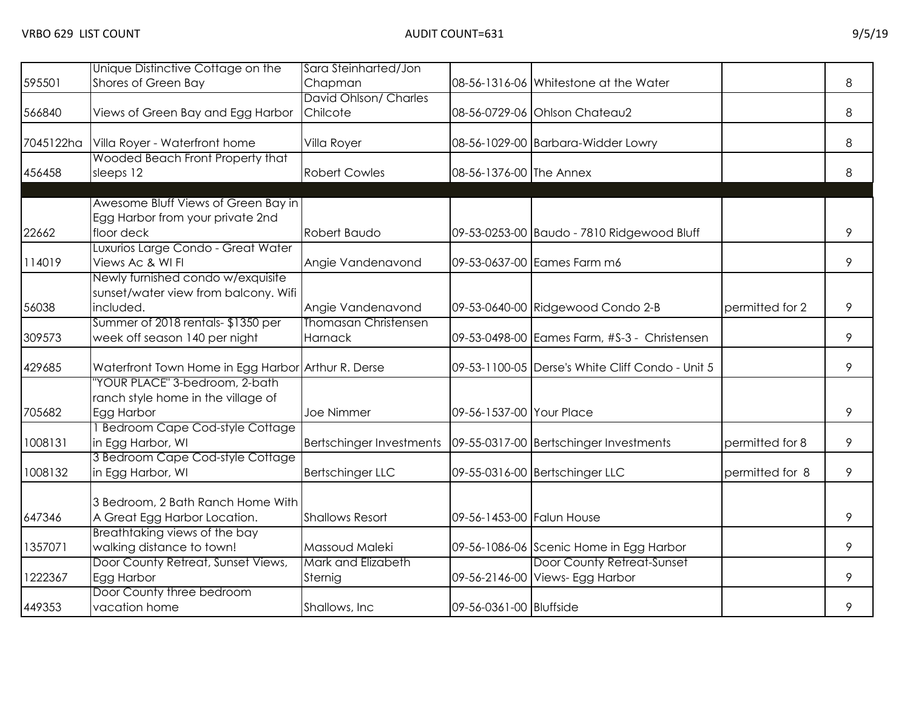| 595501    | Unique Distinctive Cottage on the<br>Shores of Green Bay                           | Sara Steinharted/Jon<br>Chapman                                     |                           | 08-56-1316-06 Whitestone at the Water                         |                 | 8 |
|-----------|------------------------------------------------------------------------------------|---------------------------------------------------------------------|---------------------------|---------------------------------------------------------------|-----------------|---|
|           |                                                                                    | David Ohlson/ Charles                                               |                           |                                                               |                 |   |
| 566840    | Views of Green Bay and Egg Harbor                                                  | Chilcote                                                            |                           | 08-56-0729-06 Ohlson Chateau2                                 |                 | 8 |
| 7045122ha | Villa Royer - Waterfront home                                                      | Villa Royer                                                         |                           | 08-56-1029-00 Barbara-Widder Lowry                            |                 | 8 |
| 456458    | Wooded Beach Front Property that<br>sleeps 12                                      | <b>Robert Cowles</b>                                                | 08-56-1376-00 The Annex   |                                                               |                 | 8 |
|           | Awesome Bluff Views of Green Bay in<br>Egg Harbor from your private 2nd            |                                                                     |                           |                                                               |                 |   |
| 22662     | floor deck                                                                         | Robert Baudo                                                        |                           | 09-53-0253-00 Baudo - 7810 Ridgewood Bluff                    |                 | 9 |
| 114019    | Luxurios Large Condo - Great Water<br>Views Ac & WI FI                             | Angie Vandenavond                                                   |                           | 09-53-0637-00 Eames Farm m6                                   |                 | 9 |
|           | Newly furnished condo w/exquisite<br>sunset/water view from balcony. Wifi          |                                                                     |                           |                                                               |                 |   |
| 56038     | included.                                                                          | Angie Vandenavond                                                   |                           | 09-53-0640-00 Ridgewood Condo 2-B                             | permitted for 2 | 9 |
| 309573    | Summer of 2018 rentals-\$1350 per<br>week off season 140 per night                 | Thomasan Christensen<br><b>Harnack</b>                              |                           | 09-53-0498-00 Eames Farm, #S-3 - Christensen                  |                 | 9 |
| 429685    | Waterfront Town Home in Egg Harbor Arthur R. Derse                                 |                                                                     |                           | 09-53-1100-05 Derse's White Cliff Condo - Unit 5              |                 | 9 |
| 705682    | "YOUR PLACE" 3-bedroom, 2-bath<br>ranch style home in the village of<br>Egg Harbor | Joe Nimmer                                                          | 09-56-1537-00 Your Place  |                                                               |                 | 9 |
| 1008131   | 1 Bedroom Cape Cod-style Cottage<br>in Egg Harbor, WI                              | Bertschinger Investments   09-55-0317-00   Bertschinger Investments |                           |                                                               | permitted for 8 | 9 |
| 1008132   | 3 Bedroom Cape Cod-style Cottage<br>in Egg Harbor, WI                              | Bertschinger LLC                                                    |                           | 09-55-0316-00 Bertschinger LLC                                | permitted for 8 | 9 |
| 647346    | 3 Bedroom, 2 Bath Ranch Home With<br>A Great Egg Harbor Location.                  | <b>Shallows Resort</b>                                              | 09-56-1453-00 Falun House |                                                               |                 | 9 |
| 1357071   | Breathtaking views of the bay<br>walking distance to town!                         | Massoud Maleki                                                      |                           | 09-56-1086-06 Scenic Home in Egg Harbor                       |                 | 9 |
| 1222367   | Door County Retreat, Sunset Views,<br>Egg Harbor                                   | Mark and Elizabeth<br>Sternig                                       |                           | Door County Retreat-Sunset<br>09-56-2146-00 Views- Egg Harbor |                 | 9 |
| 449353    | Door County three bedroom<br>vacation home                                         | Shallows, Inc.                                                      | 09-56-0361-00 Bluffside   |                                                               |                 | 9 |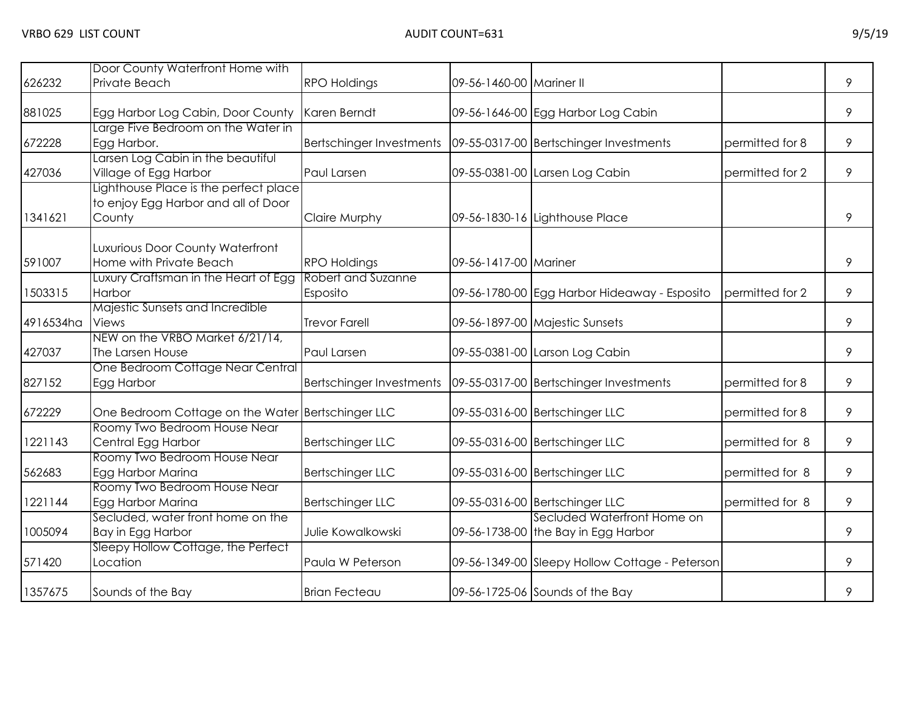| 626232    | Door County Waterfront Home with<br>Private Beach                                      | <b>RPO Holdings</b>                                               | 09-56-1460-00 Mariner II |                                                                    |                 | 9 |
|-----------|----------------------------------------------------------------------------------------|-------------------------------------------------------------------|--------------------------|--------------------------------------------------------------------|-----------------|---|
| 881025    | Egg Harbor Log Cabin, Door County                                                      | Karen Berndt                                                      |                          | 09-56-1646-00 Egg Harbor Log Cabin                                 |                 | 9 |
| 672228    | Large Five Bedroom on the Water in<br>Egg Harbor.                                      | Bertschinger Investments   09-55-0317-00 Bertschinger Investments |                          |                                                                    | permitted for 8 | 9 |
| 427036    | Larsen Log Cabin in the beautiful<br>Village of Egg Harbor                             | Paul Larsen                                                       |                          | 09-55-0381-00 Larsen Log Cabin                                     | permitted for 2 | 9 |
| 1341621   | Lighthouse Place is the perfect place<br>to enjoy Egg Harbor and all of Door<br>County | <b>Claire Murphy</b>                                              |                          | 09-56-1830-16 Lighthouse Place                                     |                 | 9 |
| 591007    | Luxurious Door County Waterfront<br>Home with Private Beach                            | <b>RPO Holdings</b>                                               | 09-56-1417-00 Mariner    |                                                                    |                 | 9 |
| 1503315   | Luxury Craftsman in the Heart of Egg<br>Harbor                                         | <b>Robert and Suzanne</b><br>Esposito                             |                          | 09-56-1780-00 Egg Harbor Hideaway - Esposito                       | permitted for 2 | 9 |
| 4916534ha | Majestic Sunsets and Incredible<br>Views                                               | <b>Trevor Farell</b>                                              |                          | 09-56-1897-00 Majestic Sunsets                                     |                 | 9 |
| 427037    | NEW on the VRBO Market 6/21/14,<br>The Larsen House                                    | Paul Larsen                                                       |                          | 09-55-0381-00 Larson Log Cabin                                     |                 | 9 |
| 827152    | One Bedroom Cottage Near Central<br>Egg Harbor                                         | Bertschinger Investments                                          |                          | 09-55-0317-00 Bertschinger Investments                             | permitted for 8 | 9 |
| 672229    | One Bedroom Cottage on the Water Bertschinger LLC                                      |                                                                   |                          | 09-55-0316-00 Bertschinger LLC                                     | permitted for 8 | 9 |
| 1221143   | Roomy Two Bedroom House Near<br>Central Egg Harbor                                     | <b>Bertschinger LLC</b>                                           |                          | 09-55-0316-00 Bertschinger LLC                                     | permitted for 8 | 9 |
| 562683    | Roomy Two Bedroom House Near<br>Egg Harbor Marina                                      | <b>Bertschinger LLC</b>                                           |                          | 09-55-0316-00 Bertschinger LLC                                     | permitted for 8 | 9 |
| 1221144   | Roomy Two Bedroom House Near<br>Egg Harbor Marina                                      | <b>Bertschinger LLC</b>                                           |                          | 09-55-0316-00 Bertschinger LLC                                     | permitted for 8 | 9 |
| 1005094   | Secluded, water front home on the<br>Bay in Egg Harbor                                 | Julie Kowalkowski                                                 |                          | Secluded Waterfront Home on<br>09-56-1738-00 the Bay in Egg Harbor |                 | 9 |
| 571420    | Sleepy Hollow Cottage, the Perfect<br>Location                                         | Paula W Peterson                                                  |                          | 09-56-1349-00 Sleepy Hollow Cottage - Peterson                     |                 | 9 |
| 1357675   | Sounds of the Bay                                                                      | <b>Brian Fecteau</b>                                              |                          | 09-56-1725-06 Sounds of the Bay                                    |                 | 9 |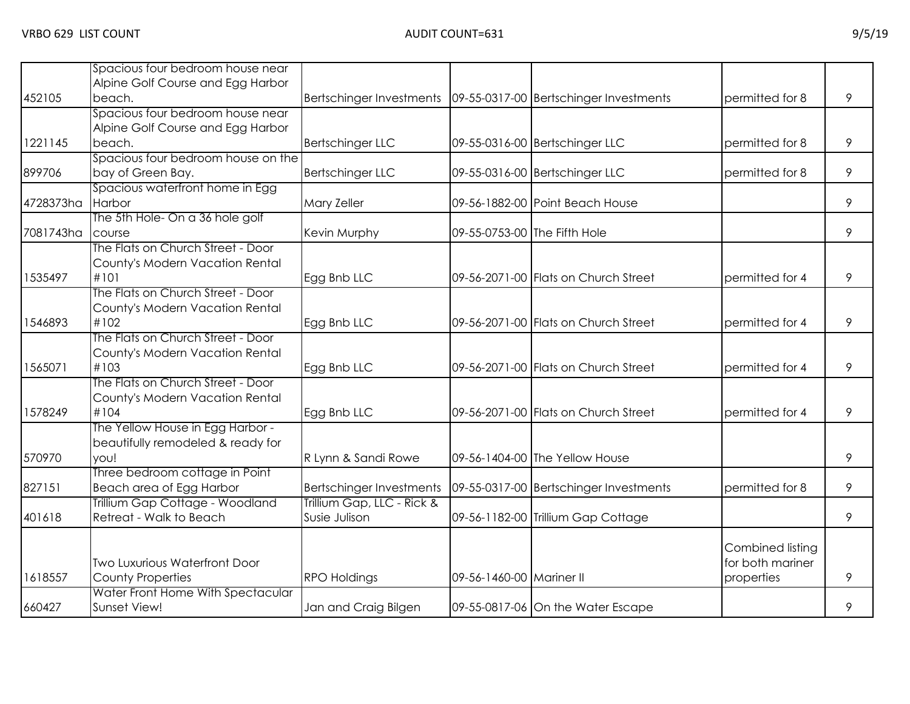|           | Spacious four bedroom house near     |                                                                   |                              |                                        |                  |   |
|-----------|--------------------------------------|-------------------------------------------------------------------|------------------------------|----------------------------------------|------------------|---|
|           | Alpine Golf Course and Egg Harbor    |                                                                   |                              |                                        |                  |   |
| 452105    | beach.                               | Bertschinger Investments   09-55-0317-00 Bertschinger Investments |                              |                                        | permitted for 8  | 9 |
|           | Spacious four bedroom house near     |                                                                   |                              |                                        |                  |   |
|           | Alpine Golf Course and Egg Harbor    |                                                                   |                              |                                        |                  |   |
| 1221145   | beach.                               | <b>Bertschinger LLC</b>                                           |                              | 09-55-0316-00 Bertschinger LLC         | permitted for 8  | 9 |
|           | Spacious four bedroom house on the   |                                                                   |                              |                                        |                  |   |
| 899706    | bay of Green Bay.                    | <b>Bertschinger LLC</b>                                           |                              | 09-55-0316-00 Bertschinger LLC         | permitted for 8  | 9 |
|           | Spacious waterfront home in Egg      |                                                                   |                              |                                        |                  |   |
| 4728373ha | Harbor                               | Mary Zeller                                                       |                              | 09-56-1882-00 Point Beach House        |                  | 9 |
|           | The 5th Hole- On a 36 hole golf      |                                                                   |                              |                                        |                  |   |
| 7081743ha | course                               | Kevin Murphy                                                      | 09-55-0753-00 The Fifth Hole |                                        |                  | 9 |
|           | The Flats on Church Street - Door    |                                                                   |                              |                                        |                  |   |
|           | County's Modern Vacation Rental      |                                                                   |                              |                                        |                  |   |
| 1535497   | #101                                 | Egg Bnb LLC                                                       |                              | 09-56-2071-00 Flats on Church Street   | permitted for 4  | 9 |
|           | The Flats on Church Street - Door    |                                                                   |                              |                                        |                  |   |
|           | County's Modern Vacation Rental      |                                                                   |                              |                                        |                  |   |
| 1546893   | #102                                 | Egg Bnb LLC                                                       |                              | 09-56-2071-00 Flats on Church Street   | permitted for 4  | 9 |
|           | The Flats on Church Street - Door    |                                                                   |                              |                                        |                  |   |
|           | County's Modern Vacation Rental      |                                                                   |                              |                                        |                  |   |
| 1565071   | #103                                 | Egg Bnb LLC                                                       |                              | 09-56-2071-00 Flats on Church Street   | permitted for 4  | 9 |
|           | The Flats on Church Street - Door    |                                                                   |                              |                                        |                  |   |
|           | County's Modern Vacation Rental      |                                                                   |                              |                                        |                  |   |
| 1578249   | #104                                 | Egg Bnb LLC                                                       |                              | 09-56-2071-00 Flats on Church Street   | permitted for 4  | 9 |
|           | The Yellow House in Egg Harbor -     |                                                                   |                              |                                        |                  |   |
|           | beautifully remodeled & ready for    |                                                                   |                              |                                        |                  |   |
| 570970    | you!                                 | R Lynn & Sandi Rowe                                               |                              | 09-56-1404-00 The Yellow House         |                  | 9 |
|           | Three bedroom cottage in Point       |                                                                   |                              |                                        |                  |   |
| 827151    | Beach area of Egg Harbor             | <b>Bertschinger Investments</b>                                   |                              | 09-55-0317-00 Bertschinger Investments | permitted for 8  | 9 |
|           | Trillium Gap Cottage - Woodland      | Trillium Gap, LLC - Rick &                                        |                              |                                        |                  |   |
| 401618    | Retreat - Walk to Beach              | Susie Julison                                                     |                              | 09-56-1182-00 Trillium Gap Cottage     |                  | 9 |
|           |                                      |                                                                   |                              |                                        |                  |   |
|           |                                      |                                                                   |                              |                                        | Combined listing |   |
|           | <b>Two Luxurious Waterfront Door</b> |                                                                   |                              |                                        | for both mariner |   |
| 1618557   | <b>County Properties</b>             | <b>RPO Holdings</b>                                               | 09-56-1460-00 Mariner II     |                                        | properties       | 9 |
|           | Water Front Home With Spectacular    |                                                                   |                              |                                        |                  |   |
| 660427    | Sunset View!                         | Jan and Craig Bilgen                                              |                              | 09-55-0817-06 On the Water Escape      |                  | 9 |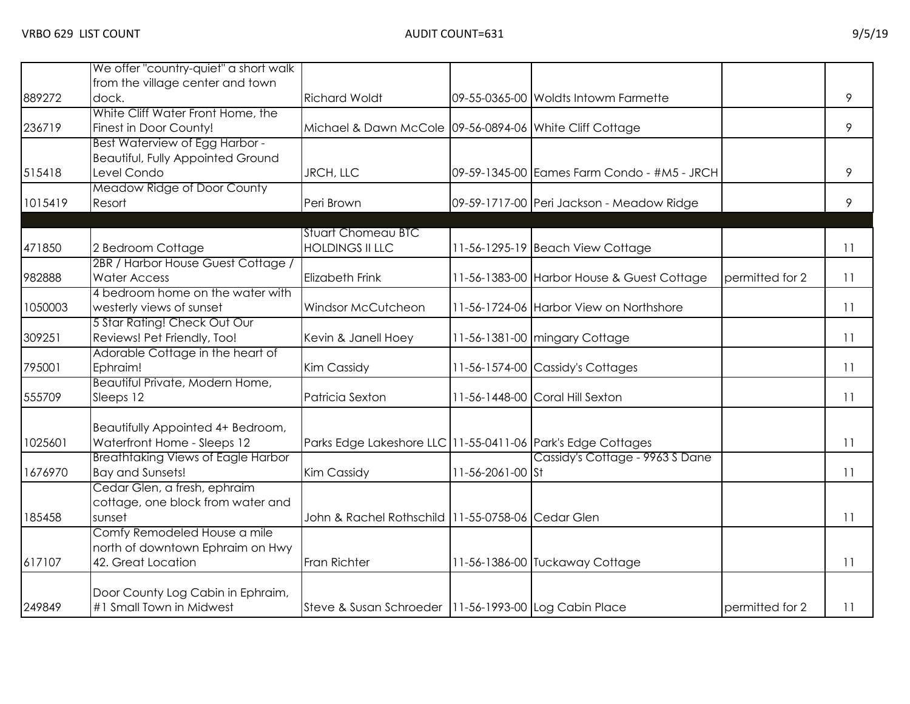|         | We offer "country-quiet" a short walk     |                                                                 |                  |                                             |                 |                 |
|---------|-------------------------------------------|-----------------------------------------------------------------|------------------|---------------------------------------------|-----------------|-----------------|
|         | from the village center and town          |                                                                 |                  |                                             |                 |                 |
| 889272  | dock.                                     | <b>Richard Woldt</b>                                            |                  | 09-55-0365-00 Woldts Intowm Farmette        |                 | 9               |
|         | White Cliff Water Front Home, the         |                                                                 |                  |                                             |                 |                 |
| 236719  | Finest in Door County!                    | Michael & Dawn McCole 09-56-0894-06 White Cliff Cottage         |                  |                                             |                 | 9               |
|         | Best Waterview of Egg Harbor -            |                                                                 |                  |                                             |                 |                 |
|         | <b>Beautiful, Fully Appointed Ground</b>  |                                                                 |                  |                                             |                 |                 |
| 515418  | Level Condo                               | JRCH, LLC                                                       |                  | 09-59-1345-00 Eames Farm Condo - #M5 - JRCH |                 | 9               |
|         | Meadow Ridge of Door County               |                                                                 |                  |                                             |                 |                 |
| 1015419 | Resort                                    | Peri Brown                                                      |                  | 09-59-1717-00 Peri Jackson - Meadow Ridge   |                 | 9               |
|         |                                           |                                                                 |                  |                                             |                 |                 |
|         |                                           | <b>Stuart Chomeau BTC</b>                                       |                  |                                             |                 |                 |
| 471850  | 2 Bedroom Cottage                         | <b>HOLDINGS II LLC</b>                                          |                  | 11-56-1295-19 Beach View Cottage            |                 | $\overline{11}$ |
|         | 2BR / Harbor House Guest Cottage /        |                                                                 |                  |                                             |                 |                 |
| 982888  | <b>Water Access</b>                       | <b>Elizabeth Frink</b>                                          |                  | 11-56-1383-00 Harbor House & Guest Cottage  | permitted for 2 | 11              |
|         | 4 bedroom home on the water with          |                                                                 |                  |                                             |                 |                 |
| 1050003 | westerly views of sunset                  | Windsor McCutcheon                                              |                  | 11-56-1724-06 Harbor View on Northshore     |                 | 11              |
|         | 5 Star Rating! Check Out Our              |                                                                 |                  |                                             |                 |                 |
| 309251  | Reviews! Pet Friendly, Too!               | Kevin & Janell Hoey                                             |                  | 11-56-1381-00 mingary Cottage               |                 | 11              |
|         | Adorable Cottage in the heart of          |                                                                 |                  |                                             |                 |                 |
| 795001  | Ephraim!                                  | Kim Cassidy                                                     |                  | 11-56-1574-00 Cassidy's Cottages            |                 | 11              |
|         | Beautiful Private, Modern Home,           |                                                                 |                  |                                             |                 |                 |
| 555709  | Sleeps 12                                 | Patricia Sexton                                                 |                  | 11-56-1448-00 Coral Hill Sexton             |                 | 11              |
|         |                                           |                                                                 |                  |                                             |                 |                 |
|         | Beautifully Appointed 4+ Bedroom,         |                                                                 |                  |                                             |                 |                 |
| 1025601 | Waterfront Home - Sleeps 12               | Parks Edge Lakeshore LLC   11-55-0411-06   Park's Edge Cottages |                  |                                             |                 | 11              |
|         | <b>Breathtaking Views of Eagle Harbor</b> |                                                                 |                  | Cassidy's Cottage - 9963 S Dane             |                 |                 |
| 1676970 | <b>Bay and Sunsets!</b>                   | <b>Kim Cassidy</b>                                              | 11-56-2061-00 St |                                             |                 | 11              |
|         | Cedar Glen, a fresh, ephraim              |                                                                 |                  |                                             |                 |                 |
|         | cottage, one block from water and         |                                                                 |                  |                                             |                 |                 |
| 185458  | sunset                                    | John & Rachel Rothschild 11-55-0758-06 Cedar Glen               |                  |                                             |                 | 11              |
|         | Comfy Remodeled House a mile              |                                                                 |                  |                                             |                 |                 |
|         | north of downtown Ephraim on Hwy          |                                                                 |                  |                                             |                 |                 |
| 617107  | 42. Great Location                        | Fran Richter                                                    |                  | 11-56-1386-00 Tuckaway Cottage              |                 | 11              |
|         |                                           |                                                                 |                  |                                             |                 |                 |
|         | Door County Log Cabin in Ephraim,         |                                                                 |                  |                                             |                 |                 |
| 249849  | #1 Small Town in Midwest                  | Steve & Susan Schroeder   11-56-1993-00 Log Cabin Place         |                  |                                             | permitted for 2 | 11              |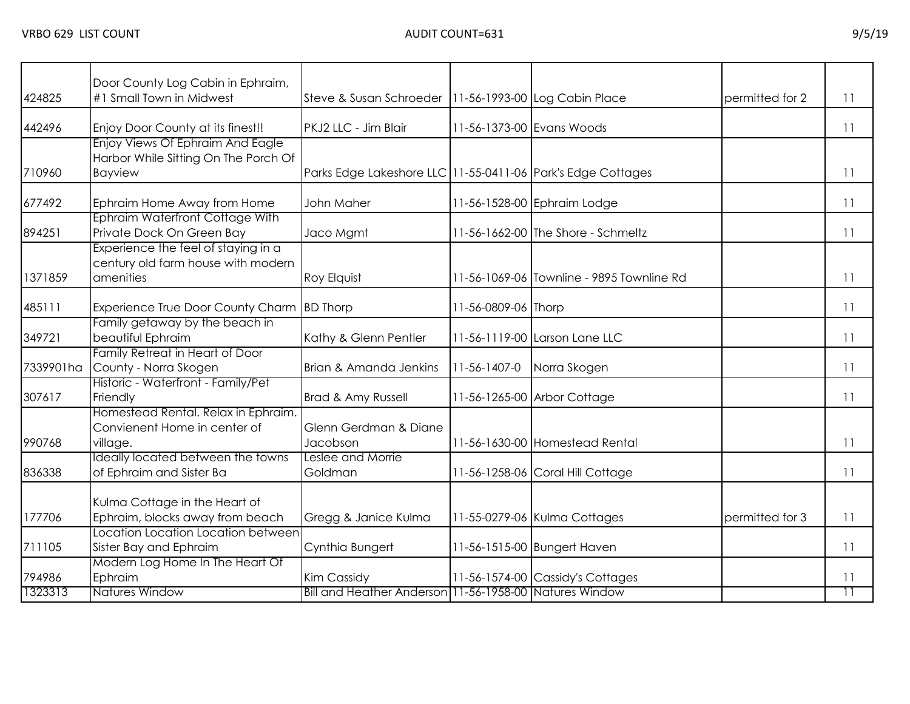| 424825    | Door County Log Cabin in Ephraim,<br>#1 Small Town in Midwest                              | Steve & Susan Schroeder   11-56-1993-00 Log Cabin Place     |                           |                                           | permitted for 2 | 11              |
|-----------|--------------------------------------------------------------------------------------------|-------------------------------------------------------------|---------------------------|-------------------------------------------|-----------------|-----------------|
| 442496    | Enjoy Door County at its finest!!                                                          | PKJ2 LLC - Jim Blair                                        | 11-56-1373-00 Evans Woods |                                           |                 | 11              |
| 710960    | <b>Enjoy Views Of Ephraim And Eagle</b><br>Harbor While Sitting On The Porch Of<br>Bayview | Parks Edge Lakeshore LLC 11-55-0411-06 Park's Edge Cottages |                           |                                           |                 | 11              |
| 677492    | Ephraim Home Away from Home                                                                | John Maher                                                  |                           | 11-56-1528-00 Ephraim Lodge               |                 | 11              |
| 894251    | Ephraim Waterfront Cottage With<br>Private Dock On Green Bay                               | Jaco Mgmt                                                   |                           | 11-56-1662-00 The Shore - Schmeltz        |                 | 11              |
| 1371859   | Experience the feel of staying in a<br>century old farm house with modern<br>amenities     | Roy Elquist                                                 |                           | 11-56-1069-06 Townline - 9895 Townline Rd |                 | 11              |
| 485111    | Experience True Door County Charm BD Thorp                                                 |                                                             | 11-56-0809-06 Thorp       |                                           |                 | 11              |
| 349721    | Family getaway by the beach in<br>beautiful Ephraim                                        | Kathy & Glenn Pentler                                       |                           | 11-56-1119-00 Larson Lane LLC             |                 | 11              |
| 7339901ha | Family Retreat in Heart of Door<br>County - Norra Skogen                                   | Brian & Amanda Jenkins                                      | $11 - 56 - 1407 - 0$      | Norra Skogen                              |                 | 11              |
| 307617    | Historic - Waterfront - Family/Pet<br>Friendly                                             | Brad & Amy Russell                                          |                           | 11-56-1265-00 Arbor Cottage               |                 | 11              |
| 990768    | Homestead Rental, Relax in Ephraim.<br>Convienent Home in center of<br>village.            | Glenn Gerdman & Diane<br>Jacobson                           |                           | 11-56-1630-00 Homestead Rental            |                 | 11              |
| 836338    | Ideally located between the towns<br>of Ephraim and Sister Ba                              | Leslee and Morrie<br>Goldman                                |                           | 11-56-1258-06 Coral Hill Cottage          |                 | 11              |
| 177706    | Kulma Cottage in the Heart of<br>Ephraim, blocks away from beach                           | Gregg & Janice Kulma                                        |                           | 11-55-0279-06 Kulma Cottages              | permitted for 3 | 11              |
| 711105    | Location Location Location between<br>Sister Bay and Ephraim                               | Cynthia Bungert                                             |                           | 11-56-1515-00 Bungert Haven               |                 | 11              |
| 794986    | Modern Log Home In The Heart Of<br>Ephraim                                                 | Kim Cassidy                                                 |                           | 11-56-1574-00 Cassidy's Cottages          |                 | 11              |
| 1323313   | <b>Natures Window</b>                                                                      | Bill and Heather Anderson 11-56-1958-00 Natures Window      |                           |                                           |                 | $\overline{11}$ |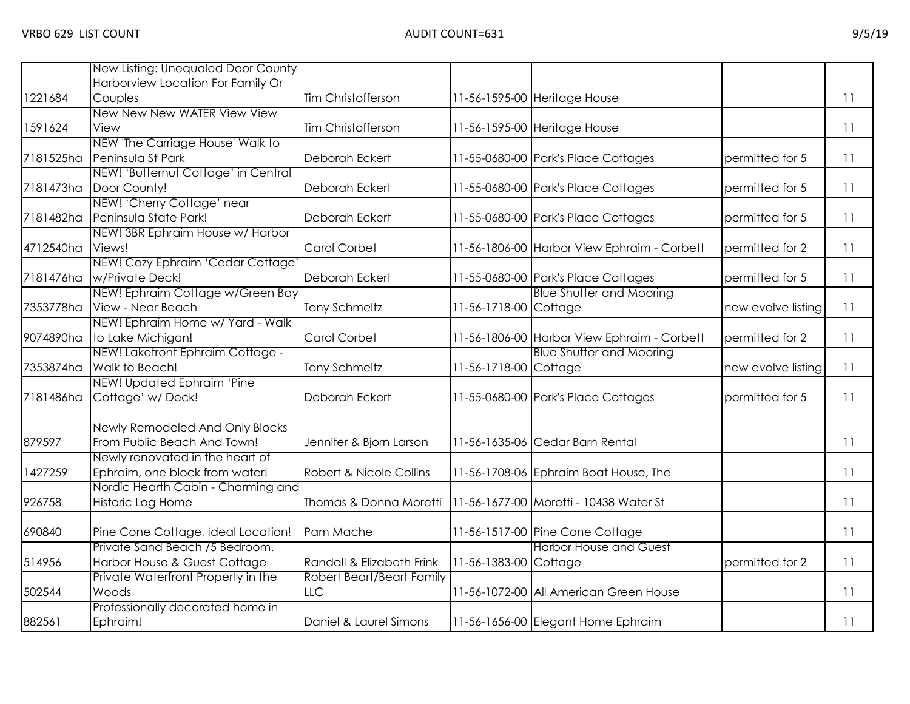|           | New Listing: Unequaled Door County  |                           |                       |                                             |                    |    |
|-----------|-------------------------------------|---------------------------|-----------------------|---------------------------------------------|--------------------|----|
|           | Harborview Location For Family Or   |                           |                       |                                             |                    |    |
| 1221684   | Couples                             | Tim Christofferson        |                       | 11-56-1595-00 Heritage House                |                    | 11 |
|           | New New New WATER View View         |                           |                       |                                             |                    |    |
| 1591624   | View                                | Tim Christofferson        |                       | 11-56-1595-00 Heritage House                |                    | 11 |
|           | NEW 'The Carriage House' Walk to    |                           |                       |                                             |                    |    |
| 7181525ha | Peninsula St Park                   | Deborah Eckert            |                       | 11-55-0680-00 Park's Place Cottages         | permitted for 5    | 11 |
|           | NEW! 'Butternut Cottage' in Central |                           |                       |                                             |                    |    |
| 7181473ha | Door County!                        | Deborah Eckert            |                       | 11-55-0680-00 Park's Place Cottages         | permitted for 5    | 11 |
|           | NEW! 'Cherry Cottage' near          |                           |                       |                                             |                    |    |
| 7181482ha | Peninsula State Park!               | Deborah Eckert            |                       | 11-55-0680-00 Park's Place Cottages         | permitted for 5    | 11 |
|           | NEW! 3BR Ephraim House w/ Harbor    |                           |                       |                                             |                    |    |
| 4712540ha | Views!                              | Carol Corbet              |                       | 11-56-1806-00 Harbor View Ephraim - Corbett | permitted for 2    | 11 |
|           | NEW! Cozy Ephraim 'Cedar Cottage    |                           |                       |                                             |                    |    |
| 7181476ha | w/Private Deck!                     | Deborah Eckert            |                       | 11-55-0680-00 Park's Place Cottages         | permitted for 5    | 11 |
|           | NEW! Ephraim Cottage w/Green Bay    |                           |                       | <b>Blue Shutter and Mooring</b>             |                    |    |
| 7353778ha | View - Near Beach                   | <b>Tony Schmeltz</b>      | 11-56-1718-00 Cottage |                                             | new evolve listing | 11 |
|           | NEW! Ephraim Home w/ Yard - Walk    |                           |                       |                                             |                    |    |
| 9074890ha | to Lake Michigan!                   | Carol Corbet              |                       | 11-56-1806-00 Harbor View Ephraim - Corbett | permitted for 2    | 11 |
|           | NEW! Lakefront Ephraim Cottage -    |                           |                       | <b>Blue Shutter and Mooring</b>             |                    |    |
| 7353874ha | Walk to Beach!                      | <b>Tony Schmeltz</b>      | 11-56-1718-00 Cottage |                                             | new evolve listing | 11 |
|           | NEW! Updated Ephraim 'Pine          |                           |                       |                                             |                    |    |
| 7181486ha | Cottage' w/Deck!                    | Deborah Eckert            |                       | 11-55-0680-00 Park's Place Cottages         | permitted for 5    | 11 |
|           |                                     |                           |                       |                                             |                    |    |
|           | Newly Remodeled And Only Blocks     |                           |                       |                                             |                    |    |
| 879597    | From Public Beach And Town!         | Jennifer & Bjorn Larson   |                       | 11-56-1635-06 Cedar Barn Rental             |                    | 11 |
|           | Newly renovated in the heart of     |                           |                       |                                             |                    |    |
| 1427259   | Ephraim, one block from water!      | Robert & Nicole Collins   |                       | 11-56-1708-06 Ephraim Boat House, The       |                    | 11 |
|           | Nordic Hearth Cabin - Charming and  |                           |                       |                                             |                    |    |
| 926758    | Historic Log Home                   | Thomas & Donna Moretti    |                       | 11-56-1677-00 Moretti - 10438 Water St      |                    | 11 |
|           |                                     |                           |                       |                                             |                    |    |
| 690840    | Pine Cone Cottage, Ideal Location!  | Pam Mache                 |                       | 11-56-1517-00 Pine Cone Cottage             |                    | 11 |
|           | Private Sand Beach /5 Bedroom.      |                           |                       | <b>Harbor House and Guest</b>               |                    |    |
| 514956    | Harbor House & Guest Cottage        | Randall & Elizabeth Frink | 11-56-1383-00 Cottage |                                             | permitted for 2    | 11 |
|           | Private Waterfront Property in the  | Robert Beart/Beart Family |                       |                                             |                    |    |
| 502544    | Woods                               | <b>LLC</b>                |                       | 11-56-1072-00 All American Green House      |                    | 11 |
|           | Professionally decorated home in    |                           |                       |                                             |                    |    |
| 882561    | Ephraim!                            | Daniel & Laurel Simons    |                       | 11-56-1656-00 Elegant Home Ephraim          |                    | 11 |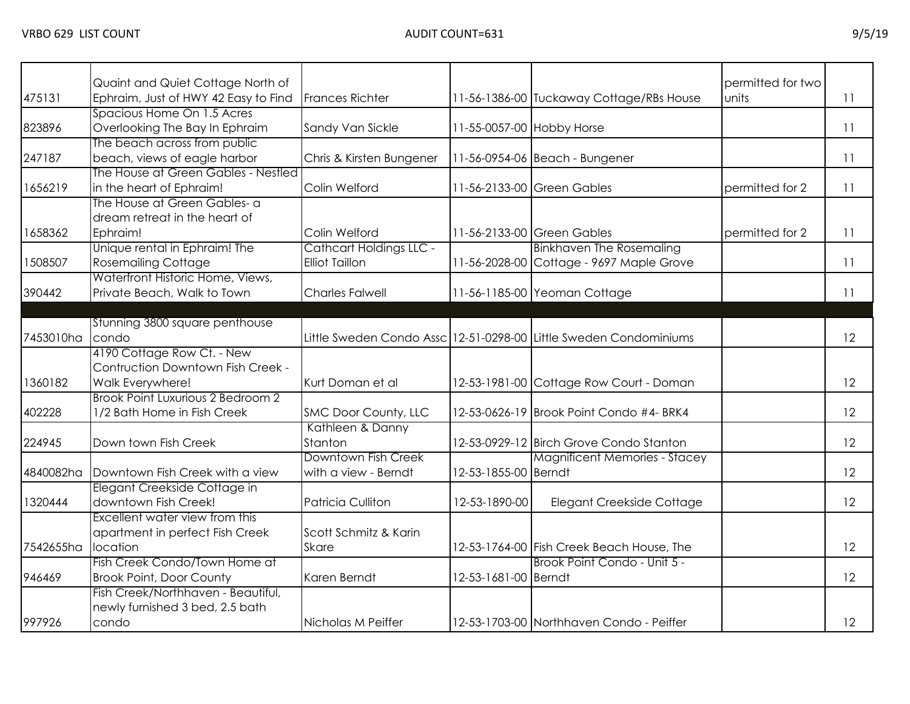| 475131    | Quaint and Quiet Cottage North of<br>Ephraim, Just of HWY 42 Easy to Find | <b>Frances Richter</b>   |                           | 11-56-1386-00 Tuckaway Cottage/RBs House                          | permitted for two<br><b>Junits</b> | 11 |
|-----------|---------------------------------------------------------------------------|--------------------------|---------------------------|-------------------------------------------------------------------|------------------------------------|----|
|           | Spacious Home On 1.5 Acres                                                |                          |                           |                                                                   |                                    |    |
| 823896    | Overlooking The Bay In Ephraim                                            | Sandy Van Sickle         | 11-55-0057-00 Hobby Horse |                                                                   |                                    | 11 |
|           | The beach across from public                                              |                          |                           |                                                                   |                                    |    |
| 247187    | beach, views of eagle harbor                                              | Chris & Kirsten Bungener |                           | 11-56-0954-06 Beach - Bungener                                    |                                    | 11 |
|           | The House at Green Gables - Nestled                                       |                          |                           |                                                                   |                                    |    |
| 1656219   | in the heart of Ephraim!                                                  | Colin Welford            |                           | 11-56-2133-00 Green Gables                                        | permitted for 2                    | 11 |
|           | The House at Green Gables- a                                              |                          |                           |                                                                   |                                    |    |
|           | dream retreat in the heart of                                             |                          |                           |                                                                   |                                    |    |
| 1658362   | Ephraim!                                                                  | Colin Welford            |                           | 11-56-2133-00 Green Gables                                        | permitted for 2                    | 11 |
|           | Unique rental in Ephraim! The                                             | Cathcart Holdings LLC -  |                           | <b>Binkhaven The Rosemaling</b>                                   |                                    |    |
| 1508507   | <b>Rosemailing Cottage</b>                                                | <b>Elliot Taillon</b>    |                           | 11-56-2028-00 Cottage - 9697 Maple Grove                          |                                    | 11 |
|           | Waterfront Historic Home, Views,                                          |                          |                           |                                                                   |                                    |    |
| 390442    | Private Beach, Walk to Town                                               | <b>Charles Falwell</b>   |                           | 11-56-1185-00 Yeoman Cottage                                      |                                    | 11 |
|           |                                                                           |                          |                           |                                                                   |                                    |    |
|           | Stunning 3800 square penthouse                                            |                          |                           |                                                                   |                                    |    |
| 7453010ha | condo                                                                     |                          |                           | Little Sweden Condo Assc 12-51-0298-00 Little Sweden Condominiums |                                    | 12 |
|           | 4190 Cottage Row Ct. - New                                                |                          |                           |                                                                   |                                    |    |
|           | Contruction Downtown Fish Creek -                                         |                          |                           |                                                                   |                                    |    |
| 1360182   | Walk Everywhere!                                                          | Kurt Doman et al         |                           | 12-53-1981-00 Cottage Row Court - Doman                           |                                    | 12 |
|           | <b>Brook Point Luxurious 2 Bedroom 2</b>                                  |                          |                           |                                                                   |                                    |    |
| 402228    | 1/2 Bath Home in Fish Creek                                               | SMC Door County, LLC     |                           | 12-53-0626-19 Brook Point Condo #4- BRK4                          |                                    | 12 |
|           |                                                                           | Kathleen & Danny         |                           |                                                                   |                                    |    |
| 224945    | Down town Fish Creek                                                      | Stanton                  |                           | 12-53-0929-12 Birch Grove Condo Stanton                           |                                    | 12 |
|           |                                                                           | Downtown Fish Creek      |                           | <b>Magnificent Memories - Stacey</b>                              |                                    |    |
| 4840082ha | Downtown Fish Creek with a view                                           | with a view - Berndt     | 12-53-1855-00 Berndt      |                                                                   |                                    | 12 |
|           | Elegant Creekside Cottage in                                              |                          |                           |                                                                   |                                    |    |
| 1320444   | downtown Fish Creek!                                                      | Patricia Culliton        | 12-53-1890-00             | Elegant Creekside Cottage                                         |                                    | 12 |
|           | Excellent water view from this                                            |                          |                           |                                                                   |                                    |    |
|           | apartment in perfect Fish Creek                                           | Scott Schmitz & Karin    |                           |                                                                   |                                    |    |
| 7542655ha | location                                                                  | <b>Skare</b>             |                           | 12-53-1764-00 Fish Creek Beach House, The                         |                                    | 12 |
|           | Fish Creek Condo/Town Home at                                             |                          |                           | Brook Point Condo - Unit 5 -                                      |                                    |    |
| 946469    | <b>Brook Point, Door County</b>                                           | Karen Berndt             | 12-53-1681-00 Berndt      |                                                                   |                                    | 12 |
|           | Fish Creek/Northhaven - Beautiful,                                        |                          |                           |                                                                   |                                    |    |
|           | newly furnished 3 bed, 2.5 bath                                           |                          |                           |                                                                   |                                    |    |
| 997926    | condo                                                                     | Nicholas M Peiffer       |                           | 12-53-1703-00 Northhaven Condo - Peiffer                          |                                    | 12 |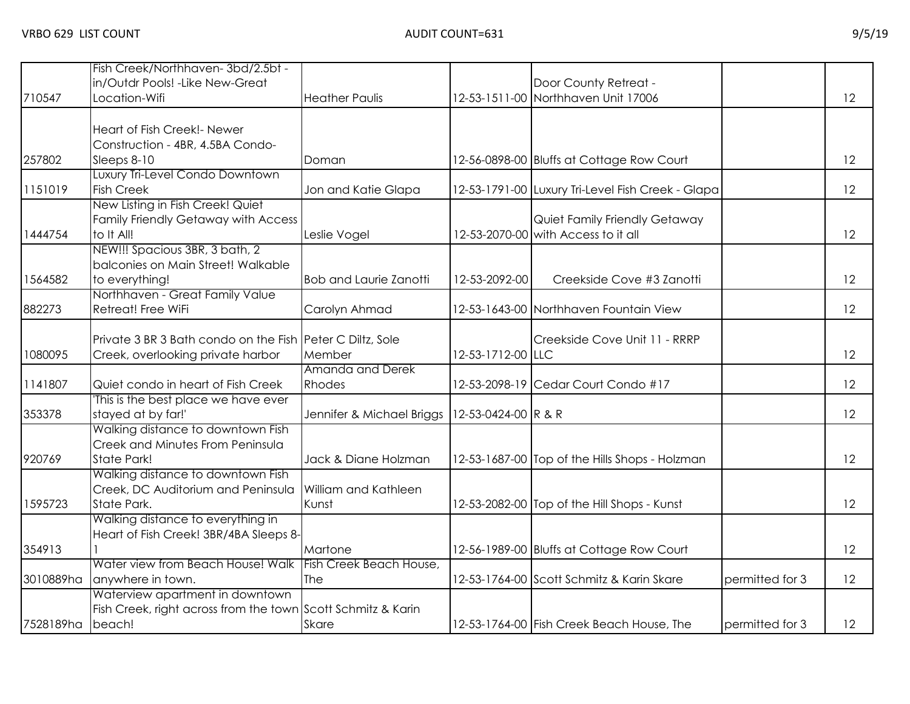|                  | Fish Creek/Northhaven-3bd/2.5bt -                                     |                               |                     |                                                   |                 |    |
|------------------|-----------------------------------------------------------------------|-------------------------------|---------------------|---------------------------------------------------|-----------------|----|
|                  | in/Outdr Pools! - Like New-Great                                      |                               |                     | Door County Retreat -                             |                 |    |
| 710547           | Location-Wifi                                                         | <b>Heather Paulis</b>         |                     | 12-53-1511-00 Northhaven Unit 17006               |                 | 12 |
|                  |                                                                       |                               |                     |                                                   |                 |    |
|                  | Heart of Fish Creek!- Newer                                           |                               |                     |                                                   |                 |    |
|                  | Construction - 4BR, 4.5BA Condo-                                      |                               |                     |                                                   |                 |    |
| 257802           | Sleeps 8-10                                                           | Doman                         |                     | 12-56-0898-00 Bluffs at Cottage Row Court         |                 | 12 |
|                  | Luxury Tri-Level Condo Downtown                                       |                               |                     |                                                   |                 |    |
| 1151019          | <b>Fish Creek</b>                                                     | Jon and Katie Glapa           |                     | 12-53-1791-00 Luxury Tri-Level Fish Creek - Glapa |                 | 12 |
|                  | New Listing in Fish Creek! Quiet                                      |                               |                     |                                                   |                 |    |
|                  | Family Friendly Getaway with Access                                   |                               |                     | Quiet Family Friendly Getaway                     |                 |    |
| 1444754          | to It All!                                                            | Leslie Vogel                  |                     | 12-53-2070-00 with Access to it all               |                 | 12 |
|                  | NEW!!! Spacious 3BR, 3 bath, 2                                        |                               |                     |                                                   |                 |    |
|                  | balconies on Main Street! Walkable                                    |                               |                     |                                                   |                 |    |
| 1564582          | to everything!                                                        | <b>Bob and Laurie Zanotti</b> | 12-53-2092-00       | Creekside Cove #3 Zanotti                         |                 | 12 |
|                  | Northhaven - Great Family Value                                       |                               |                     |                                                   |                 |    |
| 882273           | Retreat! Free WiFi                                                    | Carolyn Ahmad                 |                     | 12-53-1643-00 Northhaven Fountain View            |                 | 12 |
|                  |                                                                       |                               |                     |                                                   |                 |    |
|                  | Private 3 BR 3 Bath condo on the Fish Peter C Diltz, Sole             |                               |                     | Creekside Cove Unit 11 - RRRP                     |                 |    |
| 1080095          | Creek, overlooking private harbor                                     | Member                        | 12-53-1712-00 LLC   |                                                   |                 | 12 |
|                  |                                                                       | Amanda and Derek              |                     |                                                   |                 |    |
| 1141807          | Quiet condo in heart of Fish Creek                                    | Rhodes                        |                     | 12-53-2098-19 Cedar Court Condo #17               |                 | 12 |
|                  | This is the best place we have ever                                   |                               |                     |                                                   |                 |    |
| 353378           | stayed at by far!'                                                    | Jennifer & Michael Briggs     | 12-53-0424-00 R & R |                                                   |                 | 12 |
|                  | Walking distance to downtown Fish<br>Creek and Minutes From Peninsula |                               |                     |                                                   |                 |    |
| 920769           | State Park!                                                           | Jack & Diane Holzman          |                     | 12-53-1687-00 Top of the Hills Shops - Holzman    |                 | 12 |
|                  | Walking distance to downtown Fish                                     |                               |                     |                                                   |                 |    |
|                  | Creek, DC Auditorium and Peninsula                                    | William and Kathleen          |                     |                                                   |                 |    |
| 1595723          | State Park.                                                           | Kunst                         |                     | 12-53-2082-00 Top of the Hill Shops - Kunst       |                 | 12 |
|                  | Walking distance to everything in                                     |                               |                     |                                                   |                 |    |
|                  | Heart of Fish Creek! 3BR/4BA Sleeps 8-                                |                               |                     |                                                   |                 |    |
| 354913           |                                                                       | Martone                       |                     | 12-56-1989-00 Bluffs at Cottage Row Court         |                 | 12 |
|                  | Water view from Beach House! Walk                                     | Fish Creek Beach House,       |                     |                                                   |                 |    |
| 3010889ha        | anywhere in town.                                                     | <b>The</b>                    |                     | 12-53-1764-00 Scott Schmitz & Karin Skare         | permitted for 3 | 12 |
|                  | Waterview apartment in downtown                                       |                               |                     |                                                   |                 |    |
|                  | Fish Creek, right across from the town Scott Schmitz & Karin          |                               |                     |                                                   |                 |    |
| 7528189ha beach! |                                                                       | Skare                         |                     | 12-53-1764-00 Fish Creek Beach House, The         | permitted for 3 | 12 |
|                  |                                                                       |                               |                     |                                                   |                 |    |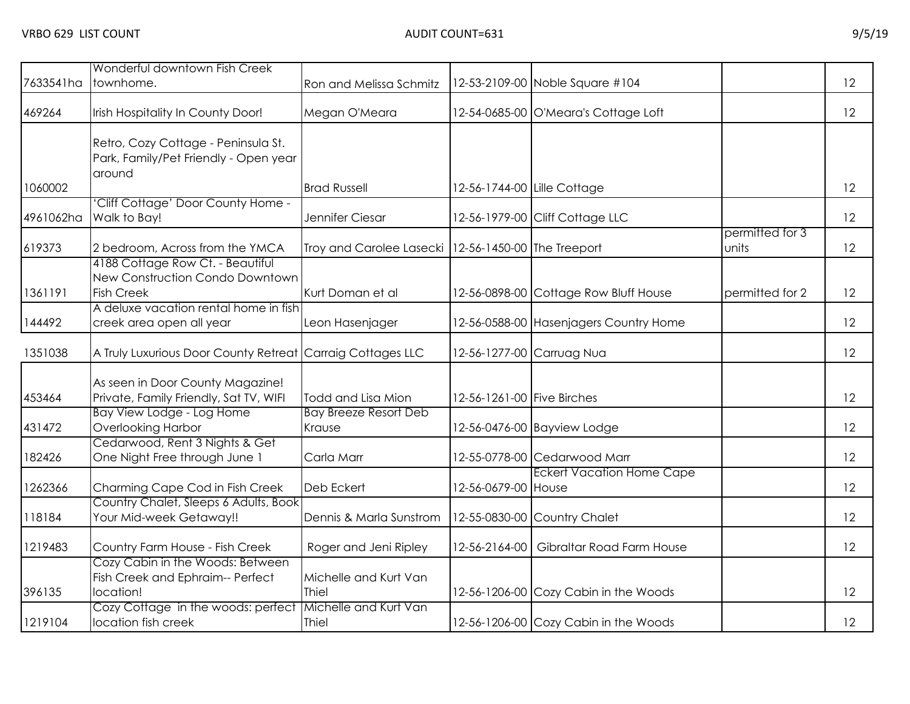|           | Wonderful downtown Fish Creek                                                            |                                                       |                             |                                         |                          |    |
|-----------|------------------------------------------------------------------------------------------|-------------------------------------------------------|-----------------------------|-----------------------------------------|--------------------------|----|
| 7633541ha | townhome.                                                                                | Ron and Melissa Schmitz                               |                             | 12-53-2109-00 Noble Square #104         |                          | 12 |
| 469264    | Irish Hospitality In County Door!                                                        | Megan O'Meara                                         |                             | 12-54-0685-00 O'Meara's Cottage Loft    |                          | 12 |
|           | Retro, Cozy Cottage - Peninsula St.<br>Park, Family/Pet Friendly - Open year<br>around   |                                                       |                             |                                         |                          |    |
| 1060002   |                                                                                          | <b>Brad Russell</b>                                   | 12-56-1744-00 Lille Cottage |                                         |                          | 12 |
| 4961062ha | Cliff Cottage' Door County Home -<br>Walk to Bay!                                        | Jennifer Ciesar                                       |                             | 12-56-1979-00 Cliff Cottage LLC         |                          | 12 |
| 619373    | 2 bedroom, Across from the YMCA                                                          | Troy and Carolee Lasecki   12-56-1450-00 The Treeport |                             |                                         | permitted for 3<br>units | 12 |
| 1361191   | 4188 Cottage Row Ct. - Beautiful<br>New Construction Condo Downtown<br><b>Fish Creek</b> | Kurt Doman et al                                      |                             | 12-56-0898-00 Cottage Row Bluff House   | permitted for 2          | 12 |
| 144492    | A deluxe vacation rental home in fish<br>creek area open all year                        | Leon Hasenjager                                       |                             | 12-56-0588-00 Hasenjagers Country Home  |                          | 12 |
| 1351038   | A Truly Luxurious Door County Retreat Carraig Cottages LLC                               |                                                       | 12-56-1277-00 Carruag Nua   |                                         |                          | 12 |
| 453464    | As seen in Door County Magazine!<br>Private, Family Friendly, Sat TV, WIFI               | Todd and Lisa Mion                                    | 12-56-1261-00 Five Birches  |                                         |                          | 12 |
| 431472    | Bay View Lodge - Log Home<br><b>Overlooking Harbor</b>                                   | <b>Bay Breeze Resort Deb</b><br>Krause                |                             | 12-56-0476-00 Bayview Lodge             |                          | 12 |
| 182426    | Cedarwood, Rent 3 Nights & Get<br>One Night Free through June 1                          | Carla Marr                                            |                             | 12-55-0778-00 Cedarwood Marr            |                          | 12 |
| 1262366   | Charming Cape Cod in Fish Creek                                                          | Deb Eckert                                            | 12-56-0679-00 House         | <b>Eckert Vacation Home Cape</b>        |                          | 12 |
| 118184    | Country Chalet, Sleeps 6 Adults, Book<br>Your Mid-week Getaway!!                         | Dennis & Marla Sunstrom                               |                             | 12-55-0830-00 Country Chalet            |                          | 12 |
| 1219483   | Country Farm House - Fish Creek                                                          | Roger and Jeni Ripley                                 |                             | 12-56-2164-00 Gibraltar Road Farm House |                          | 12 |
| 396135    | Cozy Cabin in the Woods: Between<br>Fish Creek and Ephraim-- Perfect<br>location!        | Michelle and Kurt Van<br>Thiel                        |                             | 12-56-1206-00 Cozy Cabin in the Woods   |                          | 12 |
| 1219104   | Cozy Cottage in the woods: perfect<br>location fish creek                                | Michelle and Kurt Van<br>Thiel                        |                             | 12-56-1206-00 Cozy Cabin in the Woods   |                          | 12 |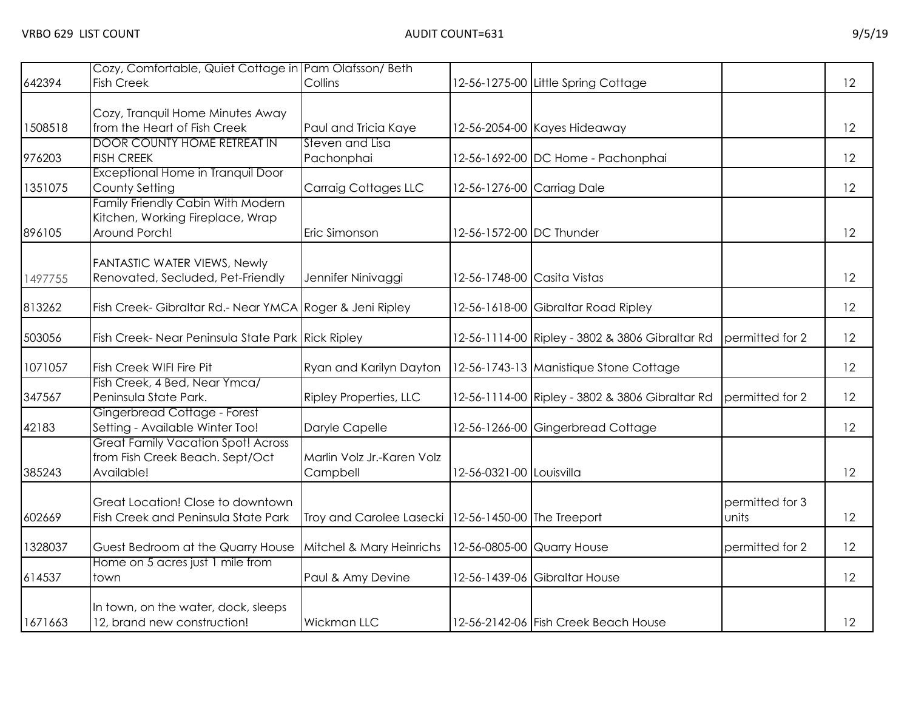| 642394  | Cozy, Comfortable, Quiet Cottage in Pam Olafsson/Beth<br><b>Fish Creek</b> | Collins                                               |                             | 12-56-1275-00 Little Spring Cottage             |                 | 12 |
|---------|----------------------------------------------------------------------------|-------------------------------------------------------|-----------------------------|-------------------------------------------------|-----------------|----|
|         |                                                                            |                                                       |                             |                                                 |                 |    |
|         | Cozy, Tranquil Home Minutes Away                                           |                                                       |                             |                                                 |                 |    |
| 1508518 | from the Heart of Fish Creek                                               | Paul and Tricia Kaye                                  |                             | 12-56-2054-00 Kayes Hideaway                    |                 | 12 |
| 976203  | <b>DOOR COUNTY HOME RETREAT IN</b><br><b>FISH CREEK</b>                    | Steven and Lisa<br>Pachonphai                         |                             | 12-56-1692-00 DC Home - Pachonphai              |                 | 12 |
|         | Exceptional Home in Tranquil Door                                          |                                                       |                             |                                                 |                 |    |
| 1351075 | County Setting                                                             | <b>Carraig Cottages LLC</b>                           | 12-56-1276-00 Carriag Dale  |                                                 |                 | 12 |
|         | Family Friendly Cabin With Modern                                          |                                                       |                             |                                                 |                 |    |
|         | Kitchen, Working Fireplace, Wrap                                           |                                                       |                             |                                                 |                 |    |
| 896105  | Around Porch!                                                              | Eric Simonson                                         | 12-56-1572-00 DC Thunder    |                                                 |                 | 12 |
|         | <b>FANTASTIC WATER VIEWS, Newly</b>                                        |                                                       |                             |                                                 |                 |    |
| 1497755 | Renovated, Secluded, Pet-Friendly                                          | Jennifer Ninivaggi                                    | 12-56-1748-00 Casita Vistas |                                                 |                 | 12 |
|         |                                                                            |                                                       |                             |                                                 |                 |    |
| 813262  | Fish Creek- Gibraltar Rd.- Near YMCA Roger & Jeni Ripley                   |                                                       |                             | 12-56-1618-00 Gibraltar Road Ripley             |                 | 12 |
| 503056  | Fish Creek- Near Peninsula State Park Rick Ripley                          |                                                       |                             | 12-56-1114-00 Ripley - 3802 & 3806 Gibraltar Rd | permitted for 2 | 12 |
|         |                                                                            |                                                       |                             |                                                 |                 |    |
| 1071057 | Fish Creek WIFI Fire Pit                                                   | Ryan and Karilyn Dayton                               |                             | 12-56-1743-13 Manistique Stone Cottage          |                 | 12 |
|         | Fish Creek, 4 Bed, Near Ymca/                                              |                                                       |                             |                                                 |                 |    |
| 347567  | Peninsula State Park.<br>Gingerbread Cottage - Forest                      | <b>Ripley Properties, LLC</b>                         |                             | 12-56-1114-00 Ripley - 3802 & 3806 Gibraltar Rd | permitted for 2 | 12 |
| 42183   | Setting - Available Winter Too!                                            | Daryle Capelle                                        |                             | 12-56-1266-00 Gingerbread Cottage               |                 | 12 |
|         | <b>Great Family Vacation Spot! Across</b>                                  |                                                       |                             |                                                 |                 |    |
|         | from Fish Creek Beach. Sept/Oct                                            | Marlin Volz Jr.-Karen Volz                            |                             |                                                 |                 |    |
| 385243  | Available!                                                                 | Campbell                                              | 12-56-0321-00 Louisvilla    |                                                 |                 | 12 |
|         | Great Location! Close to downtown                                          |                                                       |                             |                                                 | permitted for 3 |    |
| 602669  | Fish Creek and Peninsula State Park                                        | Troy and Carolee Lasecki   12-56-1450-00 The Treeport |                             |                                                 | units           | 12 |
| 1328037 | Guest Bedroom at the Quarry House                                          |                                                       |                             |                                                 | permitted for 2 | 12 |
|         | Home on 5 acres just 1 mile from                                           | Mitchel & Mary Heinrichs                              | 12-56-0805-00 Quarry House  |                                                 |                 |    |
| 614537  | town                                                                       | Paul & Amy Devine                                     |                             | 12-56-1439-06 Gibraltar House                   |                 | 12 |
|         |                                                                            |                                                       |                             |                                                 |                 |    |
| 1671663 | In town, on the water, dock, sleeps<br>12, brand new construction!         | Wickman LLC                                           |                             | 12-56-2142-06 Fish Creek Beach House            |                 | 12 |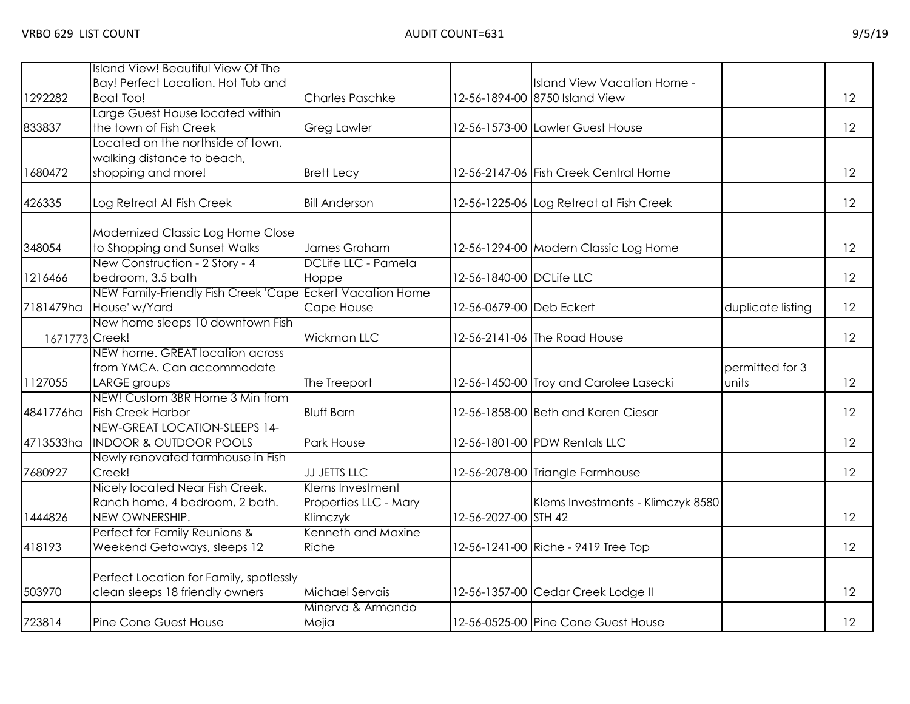| 1292282        | <b>Island View! Beautiful View Of The</b><br>Bay! Perfect Location. Hot Tub and<br><b>Boat Too!</b> | <b>Charles Paschke</b>                                |                          | Island View Vacation Home -<br>12-56-1894-00 8750 Island View |                          | 12 |
|----------------|-----------------------------------------------------------------------------------------------------|-------------------------------------------------------|--------------------------|---------------------------------------------------------------|--------------------------|----|
| 833837         | Large Guest House located within<br>the town of Fish Creek                                          | <b>Greg Lawler</b>                                    |                          | 12-56-1573-00 Lawler Guest House                              |                          | 12 |
| 1680472        | Located on the northside of town,<br>walking distance to beach,<br>shopping and more!               | <b>Brett Lecy</b>                                     |                          | 12-56-2147-06 Fish Creek Central Home                         |                          | 12 |
| 426335         | Log Retreat At Fish Creek                                                                           | <b>Bill Anderson</b>                                  |                          | 12-56-1225-06 Log Retreat at Fish Creek                       |                          | 12 |
| 348054         | Modernized Classic Log Home Close<br>to Shopping and Sunset Walks<br>New Construction - 2 Story - 4 | James Graham<br>DCLife LLC - Pamela                   |                          | 12-56-1294-00 Modern Classic Log Home                         |                          | 12 |
| 1216466        | bedroom, 3.5 bath<br>NEW Family-Friendly Fish Creek 'Cape Eckert Vacation Home                      | Hoppe                                                 | 12-56-1840-00 DCLife LLC |                                                               |                          | 12 |
|                | 7181479ha House' w/Yard                                                                             | Cape House                                            | 12-56-0679-00 Deb Eckert |                                                               | duplicate listing        | 12 |
| 1671773 Creek! | New home sleeps 10 downtown Fish                                                                    | <b>Wickman LLC</b>                                    |                          | 12-56-2141-06 The Road House                                  |                          | 12 |
| 1127055        | NEW home. GREAT location across<br>from YMCA. Can accommodate<br>LARGE groups                       | The Treeport                                          |                          | 12-56-1450-00 Troy and Carolee Lasecki                        | permitted for 3<br>units | 12 |
| 4841776ha      | NEW! Custom 3BR Home 3 Min from<br><b>Fish Creek Harbor</b>                                         | <b>Bluff Barn</b>                                     |                          | 12-56-1858-00 Beth and Karen Ciesar                           |                          | 12 |
| 4713533ha      | NEW-GREAT LOCATION-SLEEPS 14-<br><b>INDOOR &amp; OUTDOOR POOLS</b>                                  | Park House                                            |                          | 12-56-1801-00 PDW Rentals LLC                                 |                          | 12 |
| 7680927        | Newly renovated farmhouse in Fish<br>Creek!                                                         | <b>JJ JETTS LLC</b>                                   |                          | 12-56-2078-00 Triangle Farmhouse                              |                          | 12 |
| 1444826        | Nicely located Near Fish Creek,<br>Ranch home, 4 bedroom, 2 bath.<br>NEW OWNERSHIP.                 | Klems Investment<br>Properties LLC - Mary<br>Klimczyk | 12-56-2027-00 STH 42     | Klems Investments - Klimczyk 8580                             |                          | 12 |
| 418193         | Perfect for Family Reunions &<br>Weekend Getaways, sleeps 12                                        | Kenneth and Maxine<br>Riche                           |                          | 12-56-1241-00 Riche - 9419 Tree Top                           |                          | 12 |
| 503970         | Perfect Location for Family, spotlessly<br>clean sleeps 18 friendly owners                          | <b>Michael Servais</b>                                |                          | 12-56-1357-00 Cedar Creek Lodge II                            |                          | 12 |
| 723814         | Pine Cone Guest House                                                                               | Minerva & Armando<br>Mejia                            |                          | 12-56-0525-00 Pine Cone Guest House                           |                          | 12 |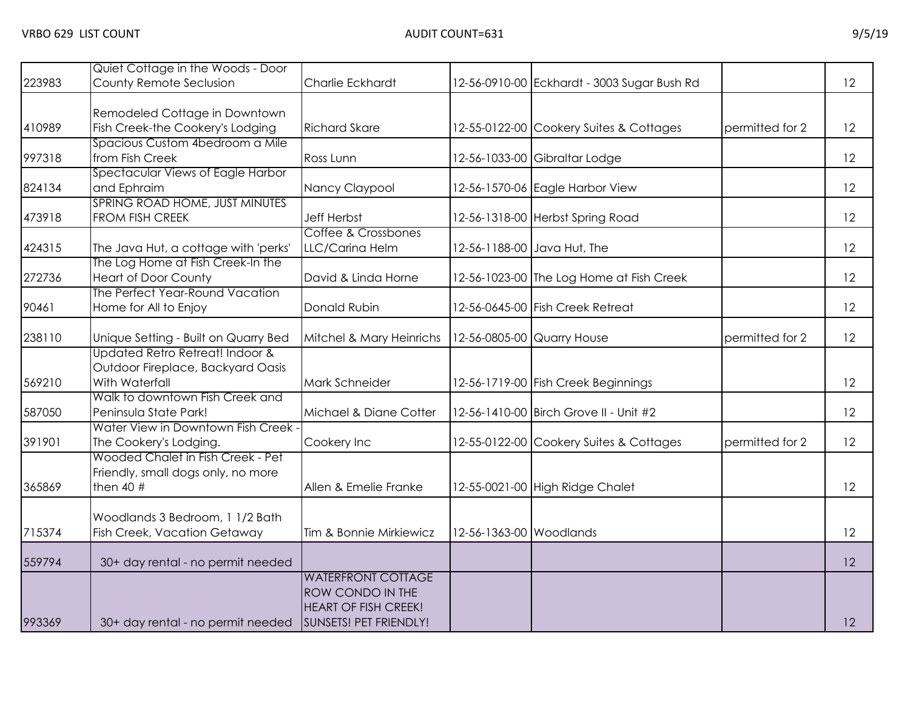| 223983 | Quiet Cottage in the Woods - Door<br>County Remote Seclusion                           | Charlie Eckhardt                                                                                       |                            | 12-56-0910-00 Eckhardt - 3003 Sugar Bush Rd |                 | 12 |
|--------|----------------------------------------------------------------------------------------|--------------------------------------------------------------------------------------------------------|----------------------------|---------------------------------------------|-----------------|----|
| 410989 | Remodeled Cottage in Downtown<br>Fish Creek-the Cookery's Lodging                      | <b>Richard Skare</b>                                                                                   |                            | 12-55-0122-00 Cookery Suites & Cottages     | permitted for 2 | 12 |
| 997318 | Spacious Custom 4bedroom a Mile<br>from Fish Creek                                     | Ross Lunn                                                                                              |                            | 12-56-1033-00 Gibraltar Lodge               |                 | 12 |
| 824134 | Spectacular Views of Eagle Harbor<br>and Ephraim                                       | Nancy Claypool                                                                                         |                            | 12-56-1570-06 Eagle Harbor View             |                 | 12 |
| 473918 | SPRING ROAD HOME, JUST MINUTES<br>FROM FISH CREEK                                      | <b>Jeff Herbst</b><br>Coffee & Crossbones                                                              |                            | 12-56-1318-00 Herbst Spring Road            |                 | 12 |
| 424315 | The Java Hut, a cottage with 'perks'<br>The Log Home at Fish Creek-In the              | LLC/Carina Helm                                                                                        |                            | 12-56-1188-00 Java Hut, The                 |                 | 12 |
| 272736 | <b>Heart of Door County</b><br>The Perfect Year-Round Vacation                         | David & Linda Horne                                                                                    |                            | 12-56-1023-00 The Log Home at Fish Creek    |                 | 12 |
| 90461  | Home for All to Enjoy                                                                  | Donald Rubin                                                                                           |                            | 12-56-0645-00 Fish Creek Retreat            |                 | 12 |
| 238110 | Unique Setting - Built on Quarry Bed<br>Updated Retro Retreat! Indoor &                | Mitchel & Mary Heinrichs                                                                               | 12-56-0805-00 Quarry House |                                             | permitted for 2 | 12 |
| 569210 | Outdoor Fireplace, Backyard Oasis<br>With Waterfall                                    | Mark Schneider                                                                                         |                            | 12-56-1719-00 Fish Creek Beginnings         |                 | 12 |
| 587050 | Walk to downtown Fish Creek and<br>Peninsula State Park!                               | Michael & Diane Cotter                                                                                 |                            | 12-56-1410-00 Birch Grove II - Unit #2      |                 | 12 |
| 391901 | Water View in Downtown Fish Creek -<br>The Cookery's Lodging.                          | Cookery Inc                                                                                            |                            | 12-55-0122-00 Cookery Suites & Cottages     | permitted for 2 | 12 |
| 365869 | Wooded Chalet in Fish Creek - Pet<br>Friendly, small dogs only, no more<br>then $40$ # | Allen & Emelie Franke                                                                                  |                            | 12-55-0021-00 High Ridge Chalet             |                 | 12 |
| 715374 | Woodlands 3 Bedroom, 1 1/2 Bath<br>Fish Creek, Vacation Getaway                        | Tim & Bonnie Mirkiewicz                                                                                | 12-56-1363-00 Woodlands    |                                             |                 | 12 |
| 559794 | 30+ day rental - no permit needed                                                      |                                                                                                        |                            |                                             |                 | 12 |
| 993369 | 30+ day rental - no permit needed                                                      | <b>WATERFRONT COTTAGE</b><br>ROW CONDO IN THE<br><b>HEART OF FISH CREEK!</b><br>SUNSETS! PET FRIENDLY! |                            |                                             |                 | 12 |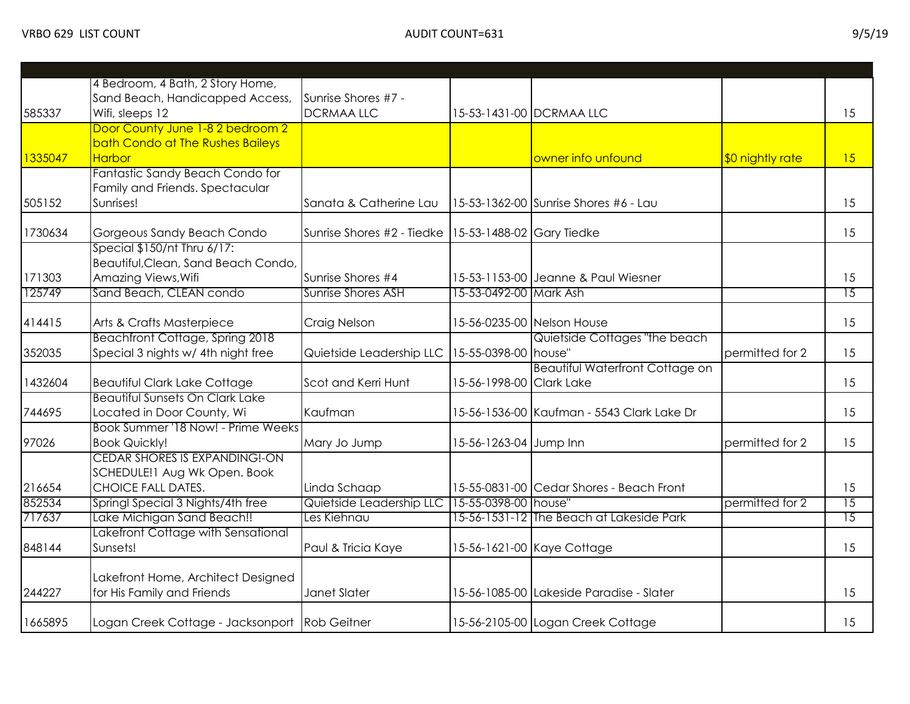|         | 4 Bedroom, 4 Bath, 2 Story Home,                                 |                                                        |                          |                                            |                  |                 |
|---------|------------------------------------------------------------------|--------------------------------------------------------|--------------------------|--------------------------------------------|------------------|-----------------|
|         | Sand Beach, Handicapped Access,                                  | Sunrise Shores #7 -                                    |                          |                                            |                  |                 |
| 585337  | Wifi, sleeps 12                                                  | <b>DCRMAA LLC</b>                                      |                          | 15-53-1431-00 DCRMAA LLC                   |                  | 15              |
|         | Door County June 1-8 2 bedroom 2                                 |                                                        |                          |                                            |                  |                 |
|         | bath Condo at The Rushes Baileys                                 |                                                        |                          |                                            |                  |                 |
| 1335047 | Harbor                                                           |                                                        |                          | owner info unfound                         | \$0 nightly rate | 15              |
|         | Fantastic Sandy Beach Condo for                                  |                                                        |                          |                                            |                  |                 |
|         | Family and Friends. Spectacular                                  |                                                        |                          |                                            |                  |                 |
| 505152  | Sunrises!                                                        | Sanata & Catherine Lau                                 |                          | 15-53-1362-00 Sunrise Shores #6 - Lau      |                  | 15              |
| 1730634 | Gorgeous Sandy Beach Condo                                       | Sunrise Shores #2 - Tiedke   15-53-1488-02 Gary Tiedke |                          |                                            |                  | 15              |
|         | Special \$150/nt Thru 6/17:                                      |                                                        |                          |                                            |                  |                 |
|         | Beautiful, Clean, Sand Beach Condo,                              |                                                        |                          |                                            |                  |                 |
| 171303  | Amazing Views, Wifi                                              | Sunrise Shores #4                                      |                          | 15-53-1153-00 Jeanne & Paul Wiesner        |                  | 15              |
| 125749  | Sand Beach, CLEAN condo                                          | <b>Sunrise Shores ASH</b>                              | 15-53-0492-00 Mark Ash   |                                            |                  | $\overline{15}$ |
|         |                                                                  |                                                        |                          |                                            |                  |                 |
| 414415  | Arts & Crafts Masterpiece                                        | Craig Nelson                                           |                          | 15-56-0235-00 Nelson House                 |                  | 15              |
|         | Beachfront Cottage, Spring 2018                                  |                                                        |                          | Quietside Cottages "the beach              |                  |                 |
| 352035  | Special 3 nights w/ 4th night free                               | Quietside Leadership LLC                               | 15-55-0398-00 house"     |                                            | permitted for 2  | 15              |
|         |                                                                  |                                                        |                          | <b>Beautiful Waterfront Cottage on</b>     |                  |                 |
| 1432604 | <b>Beautiful Clark Lake Cottage</b>                              | Scot and Kerri Hunt                                    | 15-56-1998-00 Clark Lake |                                            |                  | 15              |
|         | <b>Beautiful Sunsets On Clark Lake</b>                           |                                                        |                          |                                            |                  |                 |
| 744695  | Located in Door County, Wi                                       | Kaufman                                                |                          | 15-56-1536-00 Kaufman - 5543 Clark Lake Dr |                  | 15              |
|         | Book Summer '18 Now! - Prime Weeks                               |                                                        |                          |                                            |                  |                 |
| 97026   | <b>Book Quickly!</b>                                             | Mary Jo Jump                                           | 15-56-1263-04 Jump Inn   |                                            | permitted for 2  | 15              |
|         | CEDAR SHORES IS EXPANDING!-ON                                    |                                                        |                          |                                            |                  |                 |
|         | SCHEDULE! I Aug Wk Open. Book                                    |                                                        |                          |                                            |                  |                 |
| 216654  | <b>CHOICE FALL DATES.</b>                                        | Linda Schaap                                           |                          | 15-55-0831-00 Cedar Shores - Beach Front   |                  | 15              |
| 852534  | Springl Special 3 Nights/4th free                                | Quietside Leadership LLC 15-55-0398-00 house"          |                          |                                            | permitted for 2  | $\overline{15}$ |
| 717637  | Lake Michigan Sand Beach!!                                       | Les Kiehnau                                            |                          | 15-56-1531-12 The Beach at Lakeside Park   |                  | 15              |
|         | Lakefront Cottage with Sensational                               |                                                        |                          |                                            |                  |                 |
| 848144  | Sunsets!                                                         | Paul & Tricia Kaye                                     |                          | 15-56-1621-00 Kaye Cottage                 |                  | 15              |
|         |                                                                  |                                                        |                          |                                            |                  |                 |
| 244227  | Lakefront Home, Architect Designed<br>for His Family and Friends | Janet Slater                                           |                          | 15-56-1085-00 Lakeside Paradise - Slater   |                  | 15              |
|         |                                                                  |                                                        |                          |                                            |                  |                 |
| 1665895 | Logan Creek Cottage - Jacksonport Rob Geitner                    |                                                        |                          | 15-56-2105-00 Logan Creek Cottage          |                  | 15              |
|         |                                                                  |                                                        |                          |                                            |                  |                 |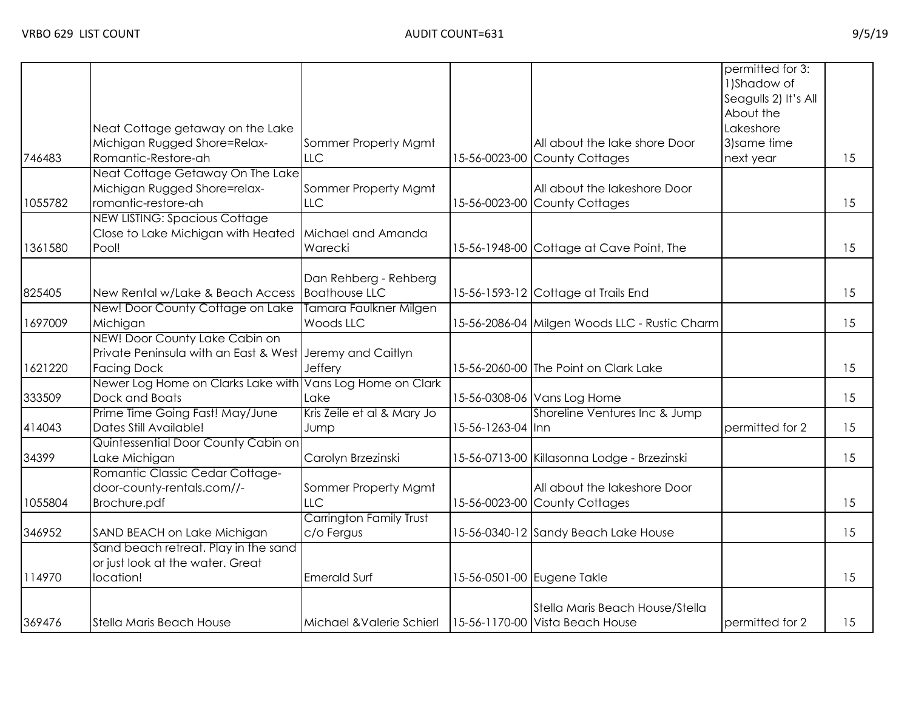|         |                                                           |                            |                   |                                               | permitted for 3:<br>1)Shadow of<br>Seagulls 2) It's All<br>About the |    |
|---------|-----------------------------------------------------------|----------------------------|-------------------|-----------------------------------------------|----------------------------------------------------------------------|----|
|         | Neat Cottage getaway on the Lake                          |                            |                   |                                               | Lakeshore                                                            |    |
|         | Michigan Rugged Shore=Relax-                              | Sommer Property Mgmt       |                   | All about the lake shore Door                 | 3) same time                                                         |    |
| 746483  | Romantic-Restore-ah                                       | LLC                        |                   | 15-56-0023-00 County Cottages                 | next year                                                            | 15 |
|         | Neat Cottage Getaway On The Lake                          |                            |                   |                                               |                                                                      |    |
|         | Michigan Rugged Shore=relax-                              | Sommer Property Mgmt       |                   | All about the lakeshore Door                  |                                                                      |    |
| 1055782 | romantic-restore-ah                                       | <b>LLC</b>                 |                   | 15-56-0023-00 County Cottages                 |                                                                      | 15 |
|         | <b>NEW LISTING: Spacious Cottage</b>                      |                            |                   |                                               |                                                                      |    |
|         | Close to Lake Michigan with Heated                        | Michael and Amanda         |                   |                                               |                                                                      |    |
| 1361580 | Pool!                                                     | Warecki                    |                   | 15-56-1948-00 Cottage at Cave Point, The      |                                                                      | 15 |
|         |                                                           |                            |                   |                                               |                                                                      |    |
|         |                                                           | Dan Rehberg - Rehberg      |                   |                                               |                                                                      |    |
| 825405  | New Rental w/Lake & Beach Access                          | <b>Boathouse LLC</b>       |                   | 15-56-1593-12 Cottage at Trails End           |                                                                      | 15 |
|         | New! Door County Cottage on Lake                          | Tamara Faulkner Milgen     |                   |                                               |                                                                      |    |
| 1697009 | Michigan                                                  | Woods LLC                  |                   | 15-56-2086-04 Milgen Woods LLC - Rustic Charm |                                                                      | 15 |
|         | NEW! Door County Lake Cabin on                            |                            |                   |                                               |                                                                      |    |
|         | Private Peninsula with an East & West Jeremy and Caitlyn  |                            |                   |                                               |                                                                      |    |
| 1621220 | <b>Facing Dock</b>                                        | Jeffery                    |                   | 15-56-2060-00 The Point on Clark Lake         |                                                                      | 15 |
|         | Newer Log Home on Clarks Lake with Vans Log Home on Clark |                            |                   |                                               |                                                                      |    |
| 333509  | Dock and Boats                                            | Lake                       |                   | 15-56-0308-06 Vans Log Home                   |                                                                      | 15 |
|         | Prime Time Going Fast! May/June                           | Kris Zeile et al & Mary Jo |                   | Shoreline Ventures Inc & Jump                 |                                                                      |    |
| 414043  | Dates Still Available!                                    | Jump                       | 15-56-1263-04 Inn |                                               | permitted for 2                                                      | 15 |
|         | Quintessential Door County Cabin on                       |                            |                   |                                               |                                                                      |    |
| 34399   | Lake Michigan                                             | Carolyn Brzezinski         |                   | 15-56-0713-00 Killasonna Lodge - Brzezinski   |                                                                      | 15 |
|         | Romantic Classic Cedar Cottage-                           |                            |                   |                                               |                                                                      |    |
|         | door-county-rentals.com//-                                | Sommer Property Mgmt       |                   | All about the lakeshore Door                  |                                                                      |    |
| 1055804 | Brochure.pdf                                              | <b>LLC</b>                 |                   | 15-56-0023-00 County Cottages                 |                                                                      | 15 |
|         |                                                           | Carrington Family Trust    |                   |                                               |                                                                      |    |
| 346952  | SAND BEACH on Lake Michigan                               | c/o Fergus                 |                   | 15-56-0340-12 Sandy Beach Lake House          |                                                                      | 15 |
|         | Sand beach retreat. Play in the sand                      |                            |                   |                                               |                                                                      |    |
|         | or just look at the water. Great                          |                            |                   |                                               |                                                                      |    |
| 114970  | location!                                                 | <b>Emerald Surf</b>        |                   | 15-56-0501-00 Eugene Takle                    |                                                                      | 15 |
|         |                                                           |                            |                   |                                               |                                                                      |    |
|         |                                                           |                            |                   | Stella Maris Beach House/Stella               |                                                                      |    |
| 369476  | Stella Maris Beach House                                  | Michael & Valerie Schierl  |                   | 15-56-1170-00 Vista Beach House               | permitted for 2                                                      | 15 |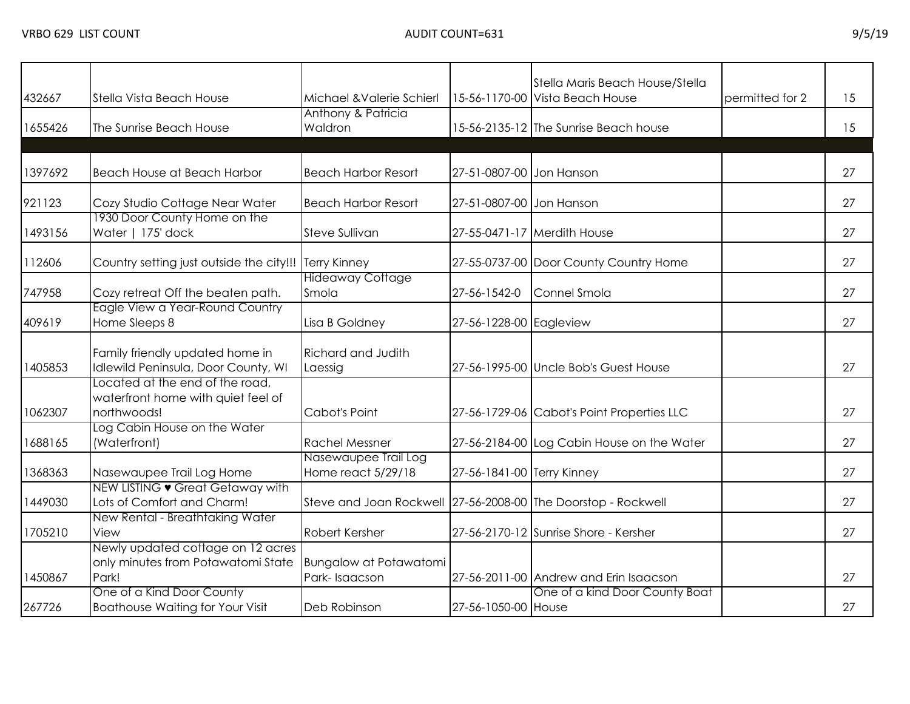| 432667  | Stella Vista Beach House                                                             | Michael & Valerie Schierl                                     |                            | Stella Maris Beach House/Stella<br>15-56-1170-00 Vista Beach House | permitted for 2 | 15 |
|---------|--------------------------------------------------------------------------------------|---------------------------------------------------------------|----------------------------|--------------------------------------------------------------------|-----------------|----|
| 1655426 | The Sunrise Beach House                                                              | Anthony & Patricia<br>Waldron                                 |                            | 15-56-2135-12 The Sunrise Beach house                              |                 | 15 |
|         |                                                                                      |                                                               |                            |                                                                    |                 |    |
| 1397692 | Beach House at Beach Harbor                                                          | <b>Beach Harbor Resort</b>                                    | 27-51-0807-00 Jon Hanson   |                                                                    |                 | 27 |
| 921123  | Cozy Studio Cottage Near Water                                                       | <b>Beach Harbor Resort</b>                                    | 27-51-0807-00 Jon Hanson   |                                                                    |                 | 27 |
| 1493156 | 1930 Door County Home on the<br>Water   175' dock                                    | Steve Sullivan                                                |                            | 27-55-0471-17 Merdith House                                        |                 | 27 |
| 112606  | Country setting just outside the city!!!                                             | <b>Terry Kinney</b>                                           |                            | 27-55-0737-00 Door County Country Home                             |                 | 27 |
| 747958  | Cozy retreat Off the beaten path.                                                    | <b>Hideaway Cottage</b><br>Smola                              | 27-56-1542-0               | Connel Smola                                                       |                 | 27 |
| 409619  | Eagle View a Year-Round Country<br>Home Sleeps 8                                     | Lisa B Goldney                                                | 27-56-1228-00 Eagleview    |                                                                    |                 | 27 |
| 1405853 | Family friendly updated home in<br>Idlewild Peninsula, Door County, WI               | <b>Richard and Judith</b><br>Laessig                          |                            | 27-56-1995-00 Uncle Bob's Guest House                              |                 | 27 |
| 1062307 | Located at the end of the road,<br>waterfront home with quiet feel of<br>northwoods! | Cabot's Point                                                 |                            | 27-56-1729-06 Cabot's Point Properties LLC                         |                 | 27 |
| 1688165 | Log Cabin House on the Water<br>(Waterfront)                                         | <b>Rachel Messner</b>                                         |                            | 27-56-2184-00 Log Cabin House on the Water                         |                 | 27 |
| 1368363 | Nasewaupee Trail Log Home                                                            | Nasewaupee Trail Log<br>Home react 5/29/18                    | 27-56-1841-00 Terry Kinney |                                                                    |                 | 27 |
| 1449030 | NEW LISTING • Great Getaway with<br>Lots of Comfort and Charm!                       | Steve and Joan Rockwell 27-56-2008-00 The Doorstop - Rockwell |                            |                                                                    |                 | 27 |
| 1705210 | New Rental - Breathtaking Water<br>View                                              | Robert Kersher                                                |                            | 27-56-2170-12 Sunrise Shore - Kersher                              |                 | 27 |
| 1450867 | Newly updated cottage on 12 acres<br>only minutes from Potawatomi State<br>Park!     | Bungalow at Potawatomi<br>Park-Isaacson                       |                            | 27-56-2011-00 Andrew and Erin Isaacson                             |                 | 27 |
| 267726  | One of a Kind Door County<br><b>Boathouse Waiting for Your Visit</b>                 | Deb Robinson                                                  | 27-56-1050-00 House        | One of a kind Door County Boat                                     |                 | 27 |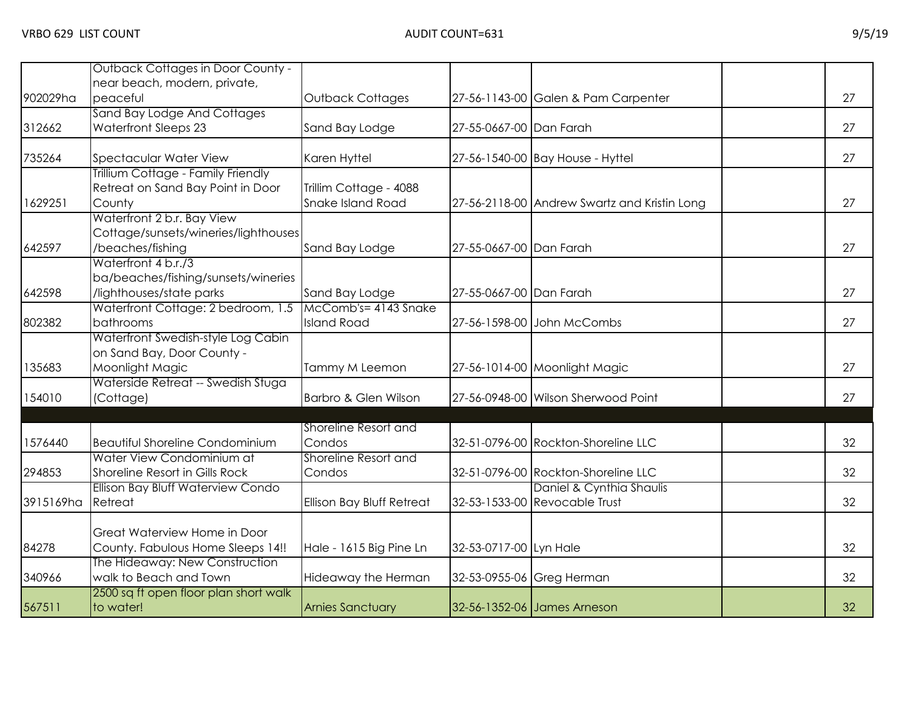|           | Outback Cottages in Door County -                  |                           |                           |                                              |    |
|-----------|----------------------------------------------------|---------------------------|---------------------------|----------------------------------------------|----|
|           | near beach, modern, private,                       |                           |                           |                                              |    |
| 902029ha  | peaceful                                           | <b>Outback Cottages</b>   |                           | 27-56-1143-00 Galen & Pam Carpenter          | 27 |
|           | Sand Bay Lodge And Cottages                        |                           |                           |                                              |    |
| 312662    | <b>Waterfront Sleeps 23</b>                        | Sand Bay Lodge            | 27-55-0667-00 Dan Farah   |                                              | 27 |
| 735264    | <b>Spectacular Water View</b>                      | Karen Hyttel              |                           | 27-56-1540-00 Bay House - Hyttel             | 27 |
|           | Trillium Cottage - Family Friendly                 |                           |                           |                                              |    |
|           | Retreat on Sand Bay Point in Door                  | Trillim Cottage - 4088    |                           |                                              |    |
| 1629251   | County                                             | Snake Island Road         |                           | 27-56-2118-00 Andrew Swartz and Kristin Long | 27 |
|           | Waterfront 2 b.r. Bay View                         |                           |                           |                                              |    |
|           | Cottage/sunsets/wineries/lighthouses               |                           |                           |                                              |    |
| 642597    | /beaches/fishing                                   | Sand Bay Lodge            | 27-55-0667-00 Dan Farah   |                                              | 27 |
|           | Waterfront 4 b.r./3                                |                           |                           |                                              |    |
|           | ba/beaches/fishing/sunsets/wineries                |                           |                           |                                              |    |
| 642598    | /lighthouses/state parks                           | Sand Bay Lodge            | 27-55-0667-00 Dan Farah   |                                              | 27 |
|           | Waterfront Cottage: 2 bedroom, 1.5                 | McComb's= 4143 Snake      |                           |                                              |    |
| 802382    | bathrooms                                          | <b>Island Road</b>        |                           | 27-56-1598-00 John McCombs                   | 27 |
|           | Waterfront Swedish-style Log Cabin                 |                           |                           |                                              |    |
|           | on Sand Bay, Door County -                         |                           |                           |                                              |    |
| 135683    | Moonlight Magic                                    | Tammy M Leemon            |                           | 27-56-1014-00 Moonlight Magic                | 27 |
|           | Waterside Retreat -- Swedish Stuga                 |                           |                           |                                              |    |
| 154010    | (Cottage)                                          | Barbro & Glen Wilson      |                           | 27-56-0948-00 Wilson Sherwood Point          | 27 |
|           |                                                    | Shoreline Resort and      |                           |                                              |    |
| 1576440   | <b>Beautiful Shoreline Condominium</b>             | Condos                    |                           | 32-51-0796-00 Rockton-Shoreline LLC          | 32 |
|           | Water View Condominium at                          | Shoreline Resort and      |                           |                                              |    |
| 294853    | Shoreline Resort in Gills Rock                     | Condos                    |                           | 32-51-0796-00 Rockton-Shoreline LLC          | 32 |
|           | Ellison Bay Bluff Waterview Condo                  |                           |                           | Daniel & Cynthia Shaulis                     |    |
| 3915169ha | Retreat                                            | Ellison Bay Bluff Retreat |                           | 32-53-1533-00 Revocable Trust                | 32 |
|           |                                                    |                           |                           |                                              |    |
|           | Great Waterview Home in Door                       |                           |                           |                                              |    |
| 84278     | County. Fabulous Home Sleeps 14!!                  | Hale - 1615 Big Pine Ln   | 32-53-0717-00 Lyn Hale    |                                              | 32 |
|           | The Hideaway: New Construction                     |                           |                           |                                              |    |
| 340966    | walk to Beach and Town                             | Hideaway the Herman       | 32-53-0955-06 Greg Herman |                                              | 32 |
| 567511    | 2500 sq ft open floor plan short walk<br>to water! | <b>Arnies Sanctuary</b>   |                           | 32-56-1352-06 James Arneson                  | 32 |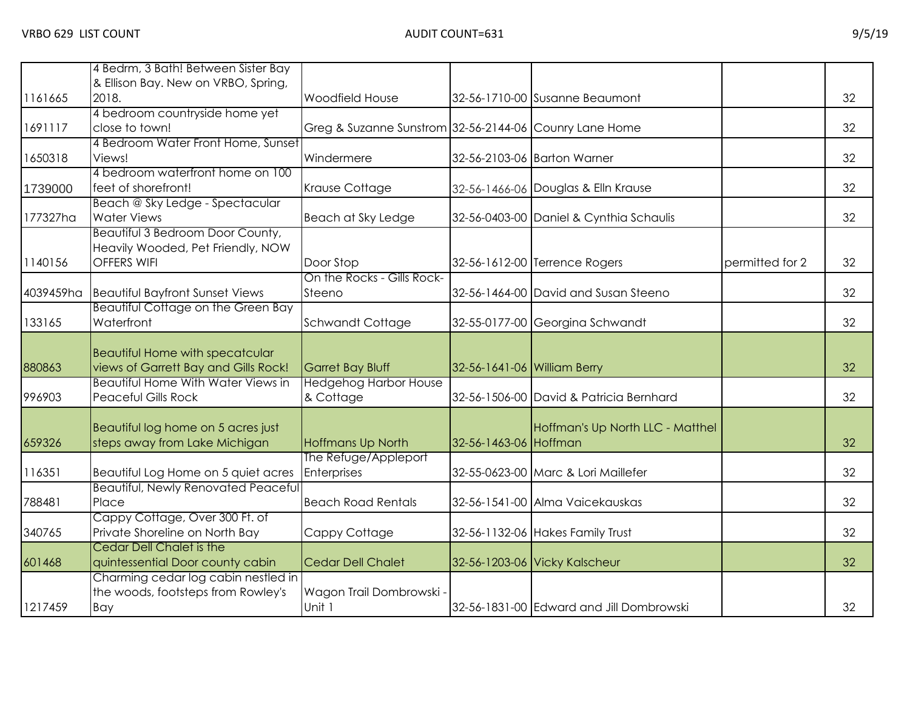|           | 4 Bedrm, 3 Bath! Between Sister Bay                                               |                                                        |                             |                                          |                 |    |
|-----------|-----------------------------------------------------------------------------------|--------------------------------------------------------|-----------------------------|------------------------------------------|-----------------|----|
|           | & Ellison Bay. New on VRBO, Spring,                                               |                                                        |                             |                                          |                 |    |
| 1161665   | 2018.                                                                             | <b>Woodfield House</b>                                 |                             | 32-56-1710-00 Susanne Beaumont           |                 | 32 |
|           | 4 bedroom countryside home yet                                                    |                                                        |                             |                                          |                 |    |
| 1691117   | close to town!                                                                    | Greg & Suzanne Sunstrom 32-56-2144-06 Counry Lane Home |                             |                                          |                 | 32 |
|           | 4 Bedroom Water Front Home, Sunset                                                |                                                        |                             |                                          |                 |    |
| 1650318   | Views!                                                                            | Windermere                                             |                             | 32-56-2103-06 Barton Warner              |                 | 32 |
|           | 4 bedroom waterfront home on 100                                                  |                                                        |                             |                                          |                 |    |
| 1739000   | feet of shorefront!                                                               | Krause Cottage                                         |                             | 32-56-1466-06 Douglas & Elln Krause      |                 | 32 |
|           | Beach @ Sky Ledge - Spectacular                                                   |                                                        |                             |                                          |                 |    |
| 177327ha  | <b>Water Views</b>                                                                | Beach at Sky Ledge                                     |                             | 32-56-0403-00 Daniel & Cynthia Schaulis  |                 | 32 |
|           | Beautiful 3 Bedroom Door County,                                                  |                                                        |                             |                                          |                 |    |
|           | Heavily Wooded, Pet Friendly, NOW                                                 |                                                        |                             |                                          |                 |    |
| 1140156   | <b>OFFERS WIFI</b>                                                                | Door Stop                                              |                             | 32-56-1612-00 Terrence Rogers            | permitted for 2 | 32 |
|           |                                                                                   | On the Rocks - Gills Rock-                             |                             |                                          |                 |    |
| 4039459ha | <b>Beautiful Bayfront Sunset Views</b>                                            | Steeno                                                 |                             | 32-56-1464-00 David and Susan Steeno     |                 | 32 |
|           | <b>Beautiful Cottage on the Green Bay</b>                                         |                                                        |                             |                                          |                 |    |
| 133165    | Waterfront                                                                        | <b>Schwandt Cottage</b>                                |                             | 32-55-0177-00 Georgina Schwandt          |                 | 32 |
|           |                                                                                   |                                                        |                             |                                          |                 |    |
|           | <b>Beautiful Home with specatcular</b>                                            |                                                        |                             |                                          |                 |    |
| 880863    | views of Garrett Bay and Gills Rock!<br><b>Beautiful Home With Water Views in</b> | Garret Bay Bluff                                       | 32-56-1641-06 William Berry |                                          |                 | 32 |
|           |                                                                                   | <b>Hedgehog Harbor House</b>                           |                             |                                          |                 | 32 |
| 996903    | <b>Peaceful Gills Rock</b>                                                        | & Cottage                                              |                             | 32-56-1506-00 David & Patricia Bernhard  |                 |    |
|           |                                                                                   |                                                        |                             |                                          |                 |    |
| 659326    | Beautiful log home on 5 acres just<br>steps away from Lake Michigan               | <b>Hoffmans Up North</b>                               | 32-56-1463-06 Hoffman       | Hoffman's Up North LLC - Matthel         |                 | 32 |
|           |                                                                                   | The Refuge/Appleport                                   |                             |                                          |                 |    |
| 116351    |                                                                                   | <b>Enterprises</b>                                     |                             |                                          |                 | 32 |
|           | Beautiful Log Home on 5 quiet acres<br><b>Beautiful, Newly Renovated Peaceful</b> |                                                        |                             | 32-55-0623-00 Marc & Lori Maillefer      |                 |    |
| 788481    | Place                                                                             | <b>Beach Road Rentals</b>                              |                             | 32-56-1541-00 Alma Vaicekauskas          |                 | 32 |
|           | Cappy Cottage, Over 300 Ft. of                                                    |                                                        |                             |                                          |                 |    |
| 340765    | Private Shoreline on North Bay                                                    | Cappy Cottage                                          |                             | 32-56-1132-06 Hakes Family Trust         |                 | 32 |
|           | <b>Cedar Dell Chalet is the</b>                                                   |                                                        |                             |                                          |                 |    |
| 601468    | quintessential Door county cabin                                                  | <b>Cedar Dell Chalet</b>                               |                             | 32-56-1203-06 Vicky Kalscheur            |                 | 32 |
|           | Charming cedar log cabin nestled in                                               |                                                        |                             |                                          |                 |    |
|           | the woods, footsteps from Rowley's                                                | Wagon Trail Dombrowski -                               |                             |                                          |                 |    |
| 1217459   | Bay                                                                               | Unit 1                                                 |                             | 32-56-1831-00 Edward and Jill Dombrowski |                 | 32 |
|           |                                                                                   |                                                        |                             |                                          |                 |    |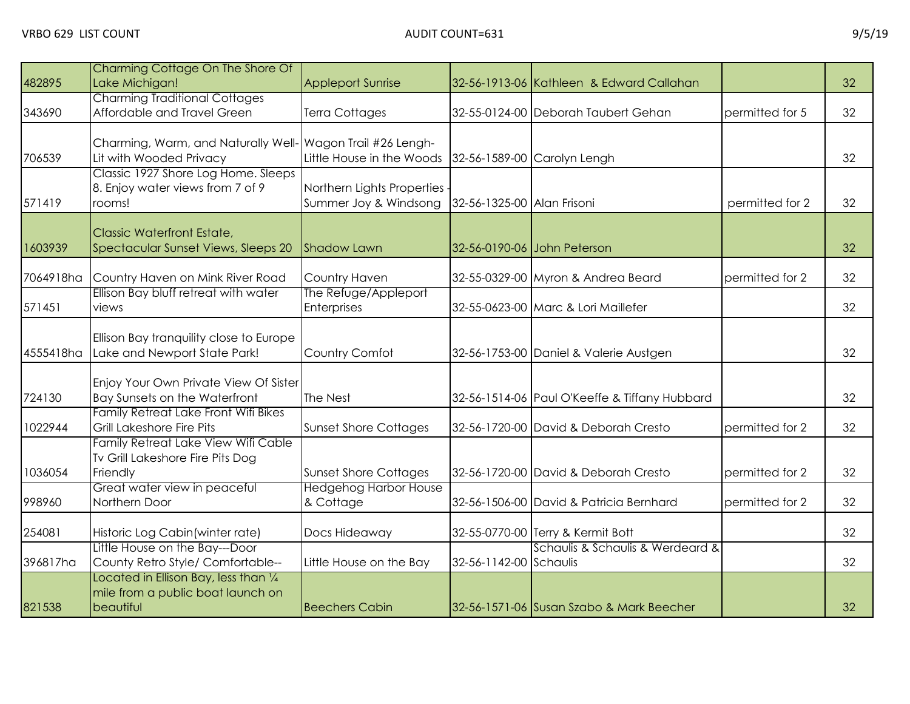| 482895    | Charming Cottage On The Shore Of<br>Lake Michigan!                                      | <b>Appleport Sunrise</b>                            |                            | 32-56-1913-06 Kathleen & Edward Callahan      |                 | 32 |
|-----------|-----------------------------------------------------------------------------------------|-----------------------------------------------------|----------------------------|-----------------------------------------------|-----------------|----|
| 343690    | <b>Charming Traditional Cottages</b><br>Affordable and Travel Green                     | Terra Cottages                                      |                            | 32-55-0124-00 Deborah Taubert Gehan           | permitted for 5 | 32 |
| 706539    | Charming, Warm, and Naturally Well- Wagon Trail #26 Lengh-<br>Lit with Wooded Privacy   | Little House in the Woods                           |                            | 32-56-1589-00 Carolyn Lengh                   |                 | 32 |
| 571419    | Classic 1927 Shore Log Home. Sleeps<br>8. Enjoy water views from 7 of 9<br>rooms!       | Northern Lights Properties<br>Summer Joy & Windsong | 32-56-1325-00 Alan Frisoni |                                               | permitted for 2 | 32 |
| 1603939   | <b>Classic Waterfront Estate,</b><br>Spectacular Sunset Views, Sleeps 20                | <b>Shadow Lawn</b>                                  |                            | 32-56-0190-06 John Peterson                   |                 | 32 |
| 7064918ha | Country Haven on Mink River Road                                                        | Country Haven                                       |                            | 32-55-0329-00 Myron & Andrea Beard            | permitted for 2 | 32 |
| 571451    | Ellison Bay bluff retreat with water<br>views                                           | The Refuge/Appleport<br><b>Enterprises</b>          |                            | 32-55-0623-00 Marc & Lori Maillefer           |                 | 32 |
| 4555418ha | Ellison Bay tranquility close to Europe<br>Lake and Newport State Park!                 | Country Comfot                                      |                            | 32-56-1753-00 Daniel & Valerie Austgen        |                 | 32 |
| 724130    | Enjoy Your Own Private View Of Sister<br>Bay Sunsets on the Waterfront                  | The Nest                                            |                            | 32-56-1514-06 Paul O'Keeffe & Tiffany Hubbard |                 | 32 |
| 1022944   | <b>Family Retreat Lake Front Wifi Bikes</b><br>Grill Lakeshore Fire Pits                | <b>Sunset Shore Cottages</b>                        |                            | 32-56-1720-00 David & Deborah Cresto          | permitted for 2 | 32 |
| 1036054   | Family Retreat Lake View Wifi Cable<br>Tv Grill Lakeshore Fire Pits Dog<br>Friendly     | <b>Sunset Shore Cottages</b>                        |                            | 32-56-1720-00 David & Deborah Cresto          | permitted for 2 | 32 |
| 998960    | Great water view in peaceful<br>Northern Door                                           | <b>Hedgehog Harbor House</b><br>& Cottage           |                            | 32-56-1506-00 David & Patricia Bernhard       | permitted for 2 | 32 |
| 254081    | Historic Log Cabin (winter rate)                                                        | Docs Hideaway                                       |                            | 32-55-0770-00 Terry & Kermit Bott             |                 | 32 |
| 396817ha  | Little House on the Bay---Door<br>County Retro Style/ Comfortable--                     | Little House on the Bay                             | 32-56-1142-00 Schaulis     | Schaulis & Schaulis & Werdeard &              |                 | 32 |
| 821538    | Located in Ellison Bay, less than 1/4<br>mile from a public boat launch on<br>beautiful | <b>Beechers Cabin</b>                               |                            | 32-56-1571-06 Susan Szabo & Mark Beecher      |                 | 32 |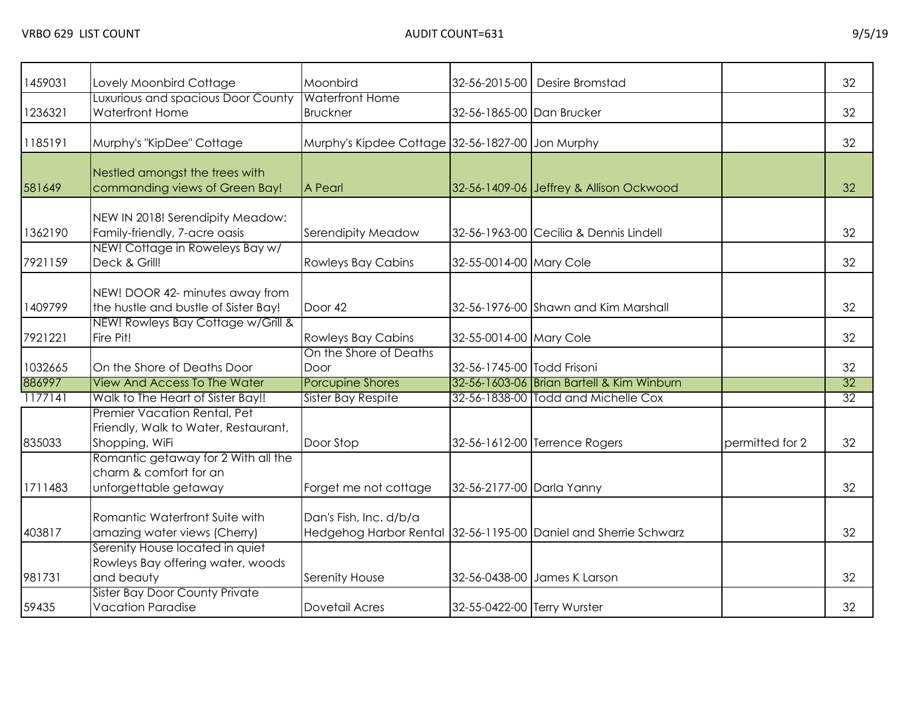| 1459031 | Lovely Moonbird Cottage                                                                | Moonbird                                         |                             | 32-56-2015-00 Desire Bromstad                                   |                 | 32              |
|---------|----------------------------------------------------------------------------------------|--------------------------------------------------|-----------------------------|-----------------------------------------------------------------|-----------------|-----------------|
| 1236321 | Luxurious and spacious Door County<br><b>Waterfront Home</b>                           | <b>Waterfront Home</b><br><b>Bruckner</b>        | 32-56-1865-00 Dan Brucker   |                                                                 |                 | 32              |
| 1185191 | Murphy's "KipDee" Cottage                                                              | Murphy's Kipdee Cottage 32-56-1827-00 Jon Murphy |                             |                                                                 |                 | 32              |
| 581649  | Nestled amongst the trees with<br>commanding views of Green Bay!                       | A Pearl                                          |                             | 32-56-1409-06 Jeffrey & Allison Ockwood                         |                 | 32              |
| 1362190 | NEW IN 2018! Serendipity Meadow:<br>Family-friendly, 7-acre oasis                      | Serendipity Meadow                               |                             | 32-56-1963-00 Cecilia & Dennis Lindell                          |                 | 32              |
| 7921159 | NEW! Cottage in Roweleys Bay w/<br>Deck & Grill!                                       | <b>Rowleys Bay Cabins</b>                        | 32-55-0014-00 Mary Cole     |                                                                 |                 | 32              |
| 1409799 | NEW! DOOR 42- minutes away from<br>the hustle and bustle of Sister Bay!                | Door 42                                          |                             | 32-56-1976-00 Shawn and Kim Marshall                            |                 | 32              |
| 7921221 | NEW! Rowleys Bay Cottage w/Grill &<br>Fire Pit!                                        | <b>Rowleys Bay Cabins</b>                        | 32-55-0014-00 Mary Cole     |                                                                 |                 | 32              |
| 1032665 | On the Shore of Deaths Door                                                            | On the Shore of Deaths<br>Door                   | 32-56-1745-00 Todd Frisoni  |                                                                 |                 | 32              |
| 886997  | <b>View And Access To The Water</b>                                                    | <b>Porcupine Shores</b>                          |                             | 32-56-1603-06 Brian Bartell & Kim Winburn                       |                 | 32              |
| 1177141 | Walk to The Heart of Sister Bay!!                                                      | Sister Bay Respite                               |                             | 32-56-1838-00 Todd and Michelle Cox                             |                 | $\overline{32}$ |
| 835033  | Premier Vacation Rental, Pet<br>Friendly, Walk to Water, Restaurant,<br>Shopping, WiFi | Door Stop                                        |                             | 32-56-1612-00 Terrence Rogers                                   | permitted for 2 | 32              |
| 1711483 | Romantic getaway for 2 With all the<br>charm & comfort for an<br>unforgettable getaway | Forget me not cottage                            | 32-56-2177-00 Darla Yanny   |                                                                 |                 | 32              |
| 403817  | Romantic Waterfront Suite with<br>amazing water views (Cherry)                         | Dan's Fish, Inc. d/b/a                           |                             | Hedgehog Harbor Rental 32-56-1195-00 Daniel and Sherrie Schwarz |                 | 32              |
| 981731  | Serenity House located in quiet<br>Rowleys Bay offering water, woods<br>and beauty     | Serenity House                                   |                             | 32-56-0438-00 James K Larson                                    |                 | 32              |
| 59435   | Sister Bay Door County Private<br><b>Vacation Paradise</b>                             | <b>Dovetail Acres</b>                            | 32-55-0422-00 Terry Wurster |                                                                 |                 | 32              |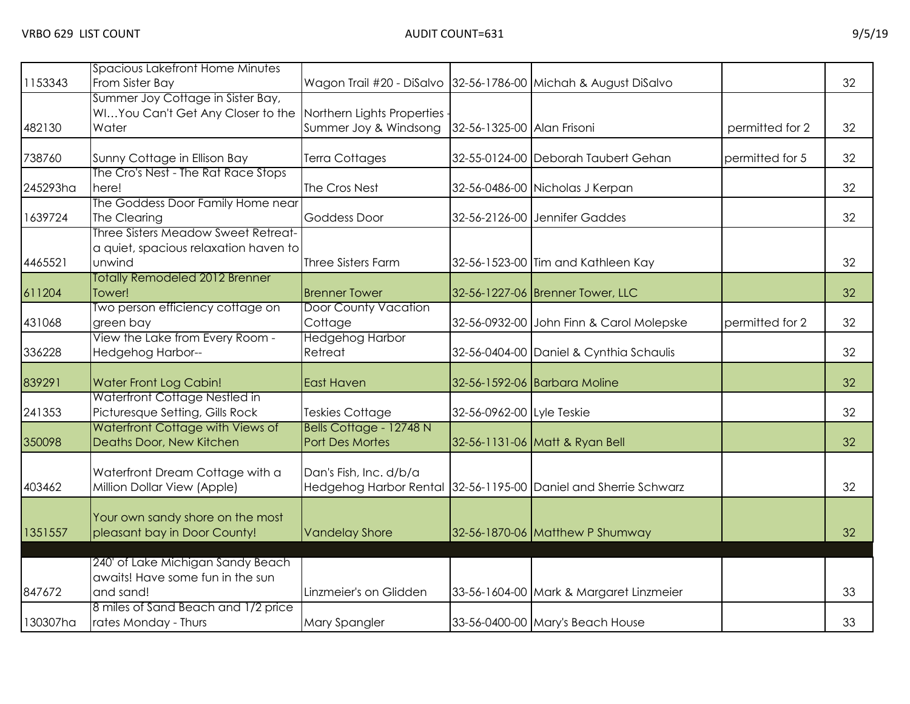| 1153343  | <b>Spacious Lakefront Home Minutes</b><br>From Sister Bay                              | Wagon Trail #20 - DiSalvo 32-56-1786-00 Michah & August DiSalvo                |                           |                                                                 |                 | 32 |
|----------|----------------------------------------------------------------------------------------|--------------------------------------------------------------------------------|---------------------------|-----------------------------------------------------------------|-----------------|----|
| 482130   | Summer Joy Cottage in Sister Bay,<br>WIYou Can't Get Any Closer to the<br>Water        | Northern Lights Properties<br>Summer Joy & Windsong 32-56-1325-00 Alan Frisoni |                           |                                                                 | permitted for 2 | 32 |
| 738760   | Sunny Cottage in Ellison Bay                                                           | Terra Cottages                                                                 |                           | 32-55-0124-00 Deborah Taubert Gehan                             | permitted for 5 | 32 |
| 245293ha | The Cro's Nest - The Rat Race Stops<br>here!                                           | The Cros Nest                                                                  |                           | 32-56-0486-00 Nicholas J Kerpan                                 |                 | 32 |
| 1639724  | The Goddess Door Family Home near<br>The Clearing                                      | <b>Goddess Door</b>                                                            |                           | 32-56-2126-00 Jennifer Gaddes                                   |                 | 32 |
| 4465521  | Three Sisters Meadow Sweet Retreat-<br>a quiet, spacious relaxation haven to<br>unwind | Three Sisters Farm                                                             |                           | 32-56-1523-00 Tim and Kathleen Kay                              |                 | 32 |
| 611204   | <b>Totally Remodeled 2012 Brenner</b><br>Tower!                                        | <b>Brenner Tower</b>                                                           |                           | 32-56-1227-06 Brenner Tower, LLC                                |                 | 32 |
| 431068   | Two person efficiency cottage on<br>green bay                                          | <b>Door County Vacation</b><br>Cottage                                         |                           | 32-56-0932-00 John Finn & Carol Molepske                        | permitted for 2 | 32 |
| 336228   | View the Lake from Every Room -<br>Hedgehog Harbor--                                   | <b>Hedgehog Harbor</b><br>Retreat                                              |                           | 32-56-0404-00 Daniel & Cynthia Schaulis                         |                 | 32 |
| 839291   | <b>Water Front Log Cabin!</b>                                                          | East Haven                                                                     |                           | 32-56-1592-06 Barbara Moline                                    |                 | 32 |
| 241353   | Waterfront Cottage Nestled in<br>Picturesque Setting, Gills Rock                       | <b>Teskies Cottage</b>                                                         | 32-56-0962-00 Lyle Teskie |                                                                 |                 | 32 |
| 350098   | Waterfront Cottage with Views of<br>Deaths Door, New Kitchen                           | Bells Cottage - 12748 N<br>Port Des Mortes                                     |                           | 32-56-1131-06 Matt & Ryan Bell                                  |                 | 32 |
| 403462   | Waterfront Dream Cottage with a<br>Million Dollar View (Apple)                         | Dan's Fish, Inc. d/b/a                                                         |                           | Hedgehog Harbor Rental 32-56-1195-00 Daniel and Sherrie Schwarz |                 | 32 |
| 1351557  | Your own sandy shore on the most<br>pleasant bay in Door County!                       | <b>Vandelay Shore</b>                                                          |                           | 32-56-1870-06 Matthew P Shumway                                 |                 | 32 |
| 847672   | 240' of Lake Michigan Sandy Beach<br>awaits! Have some fun in the sun<br>and sand!     | Linzmeier's on Glidden                                                         |                           | 33-56-1604-00 Mark & Margaret Linzmeier                         |                 | 33 |
| 130307ha | 8 miles of Sand Beach and 1/2 price<br>rates Monday - Thurs                            | Mary Spangler                                                                  |                           | 33-56-0400-00 Mary's Beach House                                |                 | 33 |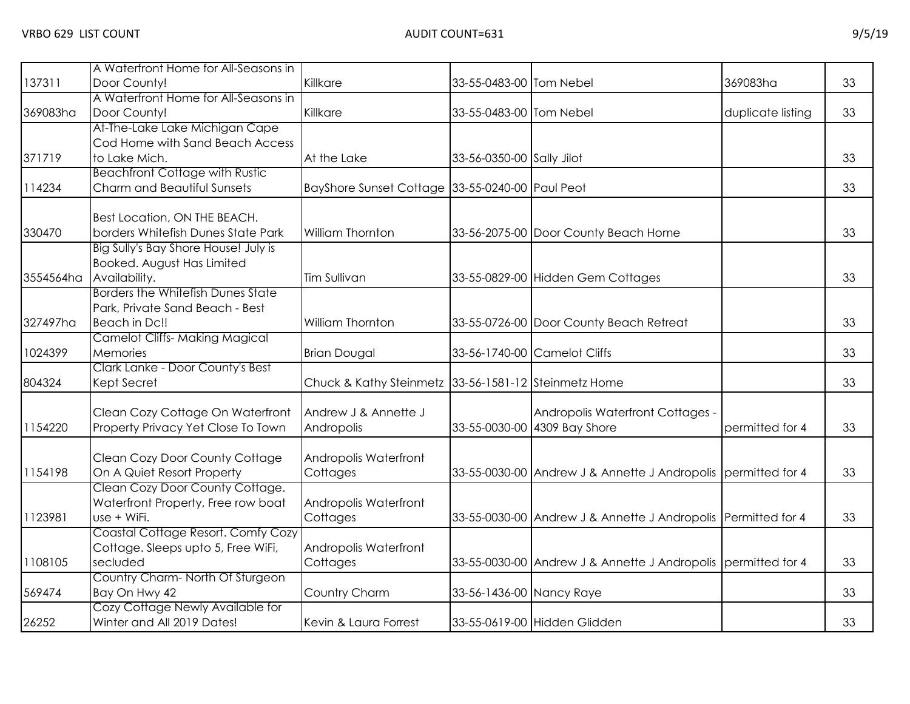| 137311    | A Waterfront Home for All-Seasons in<br>Door County! | Killkare                                             | 33-55-0483-00 Tom Nebel   |                                                               | 369083ha          | 33 |
|-----------|------------------------------------------------------|------------------------------------------------------|---------------------------|---------------------------------------------------------------|-------------------|----|
|           | A Waterfront Home for All-Seasons in                 |                                                      |                           |                                                               |                   |    |
| 369083ha  | Door County!                                         | Killkare                                             | 33-55-0483-00 Tom Nebel   |                                                               | duplicate listing | 33 |
|           | At-The-Lake Lake Michigan Cape                       |                                                      |                           |                                                               |                   |    |
|           | Cod Home with Sand Beach Access                      |                                                      |                           |                                                               |                   |    |
| 371719    | to Lake Mich.                                        | At the Lake                                          | 33-56-0350-00 Sally Jilot |                                                               |                   | 33 |
|           | <b>Beachfront Cottage with Rustic</b>                |                                                      |                           |                                                               |                   |    |
| 114234    | Charm and Beautiful Sunsets                          | BayShore Sunset Cottage 33-55-0240-00 Paul Peot      |                           |                                                               |                   | 33 |
|           |                                                      |                                                      |                           |                                                               |                   |    |
|           | Best Location, ON THE BEACH.                         |                                                      |                           |                                                               |                   |    |
| 330470    | borders Whitefish Dunes State Park                   | William Thornton                                     |                           | 33-56-2075-00 Door County Beach Home                          |                   | 33 |
|           | Big Sully's Bay Shore House! July is                 |                                                      |                           |                                                               |                   |    |
|           | Booked. August Has Limited                           |                                                      |                           |                                                               |                   |    |
| 3554564ha | Availability.                                        | Tim Sullivan                                         |                           | 33-55-0829-00 Hidden Gem Cottages                             |                   | 33 |
|           | <b>Borders the Whitefish Dunes State</b>             |                                                      |                           |                                                               |                   |    |
| 327497ha  | Park, Private Sand Beach - Best<br>Beach in Dc!!     | William Thornton                                     |                           |                                                               |                   | 33 |
|           | <b>Camelot Cliffs- Making Magical</b>                |                                                      |                           | 33-55-0726-00 Door County Beach Retreat                       |                   |    |
| 1024399   | Memories                                             | <b>Brian Dougal</b>                                  |                           | 33-56-1740-00 Camelot Cliffs                                  |                   | 33 |
|           | Clark Lanke - Door County's Best                     |                                                      |                           |                                                               |                   |    |
| 804324    | Kept Secret                                          | Chuck & Kathy Steinmetz 33-56-1581-12 Steinmetz Home |                           |                                                               |                   | 33 |
|           |                                                      |                                                      |                           |                                                               |                   |    |
|           | Clean Cozy Cottage On Waterfront                     | Andrew J & Annette J                                 |                           | Andropolis Waterfront Cottages -                              |                   |    |
| 1154220   | Property Privacy Yet Close To Town                   | Andropolis                                           |                           | 33-55-0030-00 4309 Bay Shore                                  | permitted for 4   | 33 |
|           | Clean Cozy Door County Cottage                       | Andropolis Waterfront                                |                           |                                                               |                   |    |
| 1154198   | On A Quiet Resort Property                           | Cottages                                             |                           | 33-55-0030-00 Andrew J & Annette J Andropolis permitted for 4 |                   | 33 |
|           | Clean Cozy Door County Cottage.                      |                                                      |                           |                                                               |                   |    |
|           | Waterfront Property, Free row boat                   | Andropolis Waterfront                                |                           |                                                               |                   |    |
| 1123981   | use + WiFi.                                          | Cottages                                             |                           | 33-55-0030-00 Andrew J & Annette J Andropolis Permitted for 4 |                   | 33 |
|           | Coastal Cottage Resort. Comfy Cozy                   |                                                      |                           |                                                               |                   |    |
|           | Cottage. Sleeps upto 5, Free WiFi,                   | Andropolis Waterfront                                |                           |                                                               |                   |    |
| 1108105   | secluded                                             | Cottages                                             |                           | 33-55-0030-00 Andrew J & Annette J Andropolis permitted for 4 |                   | 33 |
|           | Country Charm-North Of Sturgeon                      |                                                      |                           |                                                               |                   |    |
| 569474    | Bay On Hwy 42                                        | Country Charm                                        | 33-56-1436-00 Nancy Raye  |                                                               |                   | 33 |
|           | Cozy Cottage Newly Available for                     |                                                      |                           |                                                               |                   |    |
| 26252     | Winter and All 2019 Dates!                           | Kevin & Laura Forrest                                |                           | 33-55-0619-00 Hidden Glidden                                  |                   | 33 |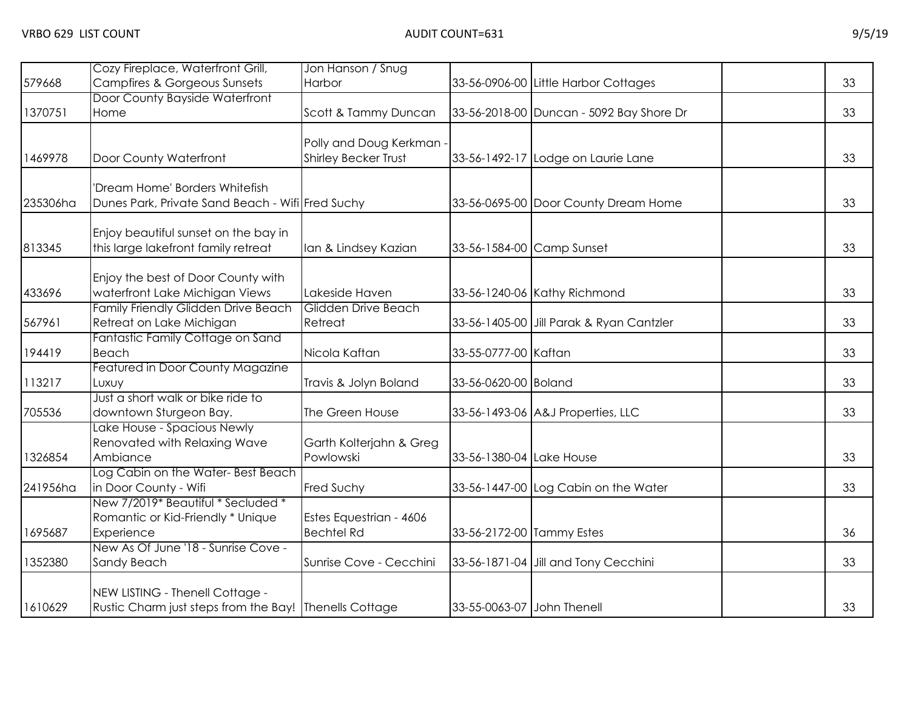|          | Cozy Fireplace, Waterfront Grill,                                                         | Jon Hanson / Snug        |                            |                                          |    |
|----------|-------------------------------------------------------------------------------------------|--------------------------|----------------------------|------------------------------------------|----|
| 579668   | <b>Campfires &amp; Gorgeous Sunsets</b>                                                   | Harbor                   |                            | 33-56-0906-00 Little Harbor Cottages     | 33 |
|          | Door County Bayside Waterfront                                                            |                          |                            |                                          |    |
| 1370751  | Home                                                                                      | Scott & Tammy Duncan     |                            | 33-56-2018-00 Duncan - 5092 Bay Shore Dr | 33 |
|          |                                                                                           |                          |                            |                                          |    |
|          |                                                                                           | Polly and Doug Kerkman - |                            |                                          |    |
| 1469978  | Door County Waterfront                                                                    | Shirley Becker Trust     |                            | 33-56-1492-17 Lodge on Laurie Lane       | 33 |
|          |                                                                                           |                          |                            |                                          |    |
|          | 'Dream Home' Borders Whitefish                                                            |                          |                            |                                          |    |
| 235306ha | Dunes Park, Private Sand Beach - Wifi Fred Suchy                                          |                          |                            | 33-56-0695-00 Door County Dream Home     | 33 |
|          | Enjoy beautiful sunset on the bay in                                                      |                          |                            |                                          |    |
| 813345   | this large lakefront family retreat                                                       | Ian & Lindsey Kazian     | 33-56-1584-00 Camp Sunset  |                                          | 33 |
|          |                                                                                           |                          |                            |                                          |    |
|          | Enjoy the best of Door County with                                                        |                          |                            |                                          |    |
| 433696   | waterfront Lake Michigan Views                                                            | Lakeside Haven           |                            | 33-56-1240-06 Kathy Richmond             | 33 |
|          | Family Friendly Glidden Drive Beach                                                       | Glidden Drive Beach      |                            |                                          |    |
| 567961   | Retreat on Lake Michigan                                                                  | Retreat                  |                            | 33-56-1405-00 Jill Parak & Ryan Cantzler | 33 |
|          | Fantastic Family Cottage on Sand                                                          |                          |                            |                                          |    |
| 194419   | Beach                                                                                     | Nicola Kaftan            | 33-55-0777-00 Kaftan       |                                          | 33 |
|          | Featured in Door County Magazine                                                          |                          |                            |                                          |    |
| 113217   | Luxuy                                                                                     | Travis & Jolyn Boland    | 33-56-0620-00 Boland       |                                          | 33 |
|          | Just a short walk or bike ride to                                                         |                          |                            |                                          |    |
| 705536   | downtown Sturgeon Bay.                                                                    | The Green House          |                            | 33-56-1493-06 A&J Properties, LLC        | 33 |
|          | Lake House - Spacious Newly                                                               |                          |                            |                                          |    |
|          | Renovated with Relaxing Wave                                                              | Garth Kolterjahn & Greg  |                            |                                          |    |
| 1326854  | Ambiance                                                                                  | Powlowski                | 33-56-1380-04 Lake House   |                                          | 33 |
|          | Log Cabin on the Water- Best Beach                                                        |                          |                            |                                          |    |
| 241956ha | in Door County - Wifi                                                                     | Fred Suchy               |                            | 33-56-1447-00 Log Cabin on the Water     | 33 |
|          | New 7/2019* Beautiful * Secluded *                                                        |                          |                            |                                          |    |
|          | Romantic or Kid-Friendly * Unique                                                         | Estes Equestrian - 4606  |                            |                                          |    |
| 1695687  | Experience                                                                                | <b>Bechtel Rd</b>        | 33-56-2172-00 Tammy Estes  |                                          | 36 |
|          | New As Of June '18 - Sunrise Cove -                                                       |                          |                            |                                          |    |
| 1352380  | Sandy Beach                                                                               | Sunrise Cove - Cecchini  |                            | 33-56-1871-04 Jill and Tony Cecchini     | 33 |
|          |                                                                                           |                          |                            |                                          |    |
| 1610629  | NEW LISTING - Thenell Cottage -<br>Rustic Charm just steps from the Bay! Thenells Cottage |                          | 33-55-0063-07 John Thenell |                                          | 33 |
|          |                                                                                           |                          |                            |                                          |    |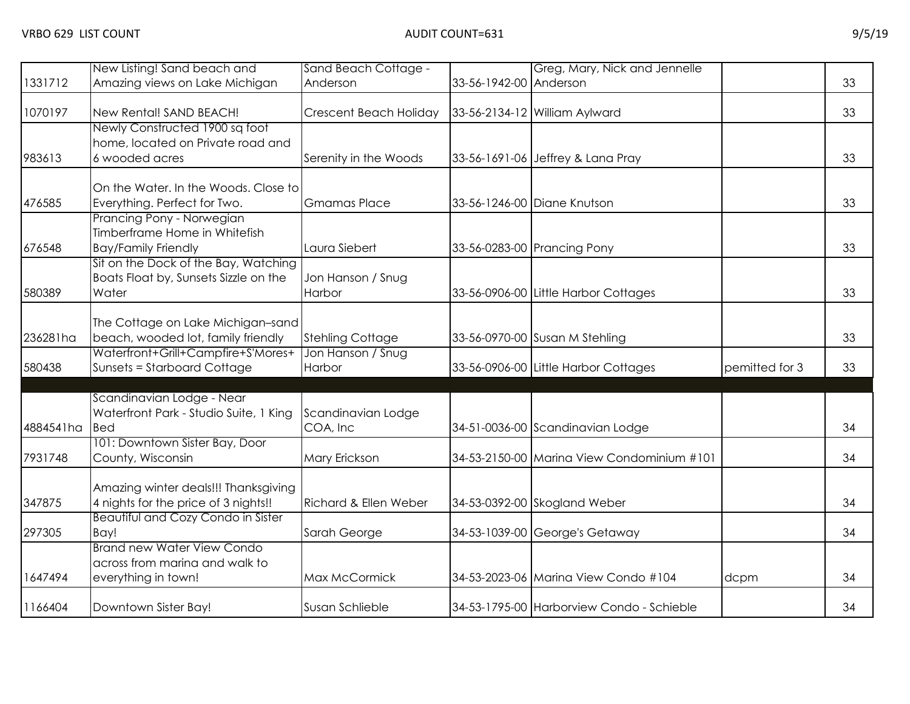|           | New Listing! Sand beach and                                                                       | Sand Beach Cottage -           |                        | Greg, Mary, Nick and Jennelle              |                |    |
|-----------|---------------------------------------------------------------------------------------------------|--------------------------------|------------------------|--------------------------------------------|----------------|----|
| 1331712   | Amazing views on Lake Michigan                                                                    | Anderson                       | 33-56-1942-00 Anderson |                                            |                | 33 |
| 1070197   | New Rental! SAND BEACH!                                                                           | Crescent Beach Holiday         |                        | 33-56-2134-12 William Aylward              |                | 33 |
| 983613    | Newly Constructed 1900 sq foot<br>home, located on Private road and<br>6 wooded acres             | Serenity in the Woods          |                        | 33-56-1691-06 Jeffrey & Lana Pray          |                | 33 |
| 476585    | On the Water. In the Woods. Close to<br>Everything. Perfect for Two.<br>Prancing Pony - Norwegian | <b>Gmamas Place</b>            |                        | 33-56-1246-00 Diane Knutson                |                | 33 |
| 676548    | Timberframe Home in Whitefish<br><b>Bay/Family Friendly</b>                                       | Laura Siebert                  |                        | 33-56-0283-00 Prancing Pony                |                | 33 |
| 580389    | Sit on the Dock of the Bay, Watching<br>Boats Float by, Sunsets Sizzle on the<br>Water            | Jon Hanson / Snug<br>Harbor    |                        | 33-56-0906-00 Little Harbor Cottages       |                | 33 |
| 236281ha  | The Cottage on Lake Michigan-sand<br>beach, wooded lot, family friendly                           | <b>Stehling Cottage</b>        |                        | 33-56-0970-00 Susan M Stehling             |                | 33 |
| 580438    | Waterfront+Grill+Campfire+S'Mores+<br><b>Sunsets = Starboard Cottage</b>                          | Jon Hanson / Snug<br>Harbor    |                        | 33-56-0906-00 Little Harbor Cottages       | pemitted for 3 | 33 |
| 4884541ha | Scandinavian Lodge - Near<br>Waterfront Park - Studio Suite, 1 King<br><b>I</b> Bed               | Scandinavian Lodge<br>COA, Inc |                        | 34-51-0036-00 Scandinavian Lodge           |                | 34 |
| 7931748   | 101: Downtown Sister Bay, Door<br>County, Wisconsin                                               | Mary Erickson                  |                        | 34-53-2150-00 Marina View Condominium #101 |                | 34 |
| 347875    | Amazing winter deals!!! Thanksgiving<br>4 nights for the price of 3 nights!!                      | Richard & Ellen Weber          |                        | 34-53-0392-00 Skogland Weber               |                | 34 |
| 297305    | <b>Beautiful and Cozy Condo in Sister</b><br>Bay!                                                 | Sarah George                   |                        | 34-53-1039-00 George's Getaway             |                | 34 |
| 1647494   | <b>Brand new Water View Condo</b><br>across from marina and walk to<br>everything in town!        | Max McCormick                  |                        | 34-53-2023-06 Marina View Condo #104       | dcpm           | 34 |
| 1166404   | Downtown Sister Bay!                                                                              | Susan Schlieble                |                        | 34-53-1795-00 Harborview Condo - Schieble  |                | 34 |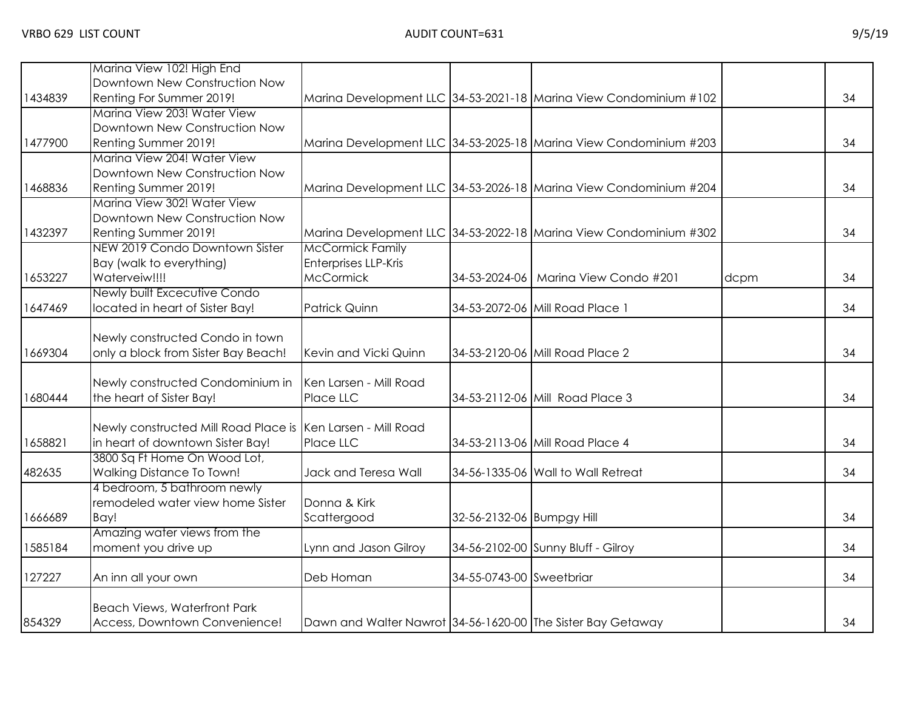|         | Marina View 102! High End                                   |                                                             |                           |                                                                   |      |    |
|---------|-------------------------------------------------------------|-------------------------------------------------------------|---------------------------|-------------------------------------------------------------------|------|----|
|         | Downtown New Construction Now                               |                                                             |                           |                                                                   |      |    |
| 1434839 | Renting For Summer 2019!                                    |                                                             |                           | Marina Development LLC 34-53-2021-18 Marina View Condominium #102 |      | 34 |
|         | Marina View 203! Water View                                 |                                                             |                           |                                                                   |      |    |
|         | Downtown New Construction Now                               |                                                             |                           |                                                                   |      |    |
| 1477900 | Renting Summer 2019!                                        |                                                             |                           | Marina Development LLC 34-53-2025-18 Marina View Condominium #203 |      | 34 |
|         | Marina View 204! Water View                                 |                                                             |                           |                                                                   |      |    |
|         | Downtown New Construction Now                               |                                                             |                           |                                                                   |      |    |
| 1468836 | Renting Summer 2019!                                        |                                                             |                           | Marina Development LLC 34-53-2026-18 Marina View Condominium #204 |      | 34 |
|         | Marina View 302! Water View                                 |                                                             |                           |                                                                   |      |    |
|         | Downtown New Construction Now                               |                                                             |                           |                                                                   |      |    |
| 1432397 | Renting Summer 2019!                                        |                                                             |                           | Marina Development LLC 34-53-2022-18 Marina View Condominium #302 |      | 34 |
|         | NEW 2019 Condo Downtown Sister                              | <b>McCormick Family</b>                                     |                           |                                                                   |      |    |
|         | Bay (walk to everything)                                    | <b>Enterprises LLP-Kris</b>                                 |                           |                                                                   |      |    |
| 1653227 | Waterveiw!!!!                                               | <b>McCormick</b>                                            |                           | 34-53-2024-06   Marina View Condo #201                            | dcpm | 34 |
|         | Newly built Excecutive Condo                                |                                                             |                           |                                                                   |      |    |
| 1647469 | located in heart of Sister Bay!                             | Patrick Quinn                                               |                           | 34-53-2072-06 Mill Road Place 1                                   |      | 34 |
|         |                                                             |                                                             |                           |                                                                   |      |    |
|         | Newly constructed Condo in town                             |                                                             |                           |                                                                   |      |    |
| 1669304 | only a block from Sister Bay Beach!                         | Kevin and Vicki Quinn                                       |                           | 34-53-2120-06 Mill Road Place 2                                   |      | 34 |
|         | Newly constructed Condominium in                            | Ken Larsen - Mill Road                                      |                           |                                                                   |      |    |
| 1680444 | the heart of Sister Bay!                                    | Place LLC                                                   |                           | 34-53-2112-06 Mill Road Place 3                                   |      | 34 |
|         |                                                             |                                                             |                           |                                                                   |      |    |
|         | Newly constructed Mill Road Place is Ken Larsen - Mill Road |                                                             |                           |                                                                   |      |    |
| 1658821 | in heart of downtown Sister Bay!                            | Place LLC                                                   |                           | 34-53-2113-06 Mill Road Place 4                                   |      | 34 |
|         | 3800 Sq Ft Home On Wood Lot,                                |                                                             |                           |                                                                   |      |    |
| 482635  | Walking Distance To Town!                                   | Jack and Teresa Wall                                        |                           | 34-56-1335-06 Wall to Wall Retreat                                |      | 34 |
|         | 4 bedroom, 5 bathroom newly                                 |                                                             |                           |                                                                   |      |    |
|         | remodeled water view home Sister                            | Donna & Kirk                                                |                           |                                                                   |      |    |
| 1666689 | Bay!                                                        | Scattergood                                                 | 32-56-2132-06 Bumpgy Hill |                                                                   |      | 34 |
|         | Amazing water views from the                                |                                                             |                           |                                                                   |      |    |
| 1585184 | moment you drive up                                         | Lynn and Jason Gilroy                                       |                           | 34-56-2102-00 Sunny Bluff - Gilroy                                |      | 34 |
|         |                                                             |                                                             |                           |                                                                   |      |    |
| 127227  | An inn all your own                                         | Deb Homan                                                   | 34-55-0743-00 Sweetbriar  |                                                                   |      | 34 |
|         |                                                             |                                                             |                           |                                                                   |      |    |
|         | <b>Beach Views, Waterfront Park</b>                         |                                                             |                           |                                                                   |      |    |
| 854329  | Access, Downtown Convenience!                               | Dawn and Walter Nawrot 34-56-1620-00 The Sister Bay Getaway |                           |                                                                   |      | 34 |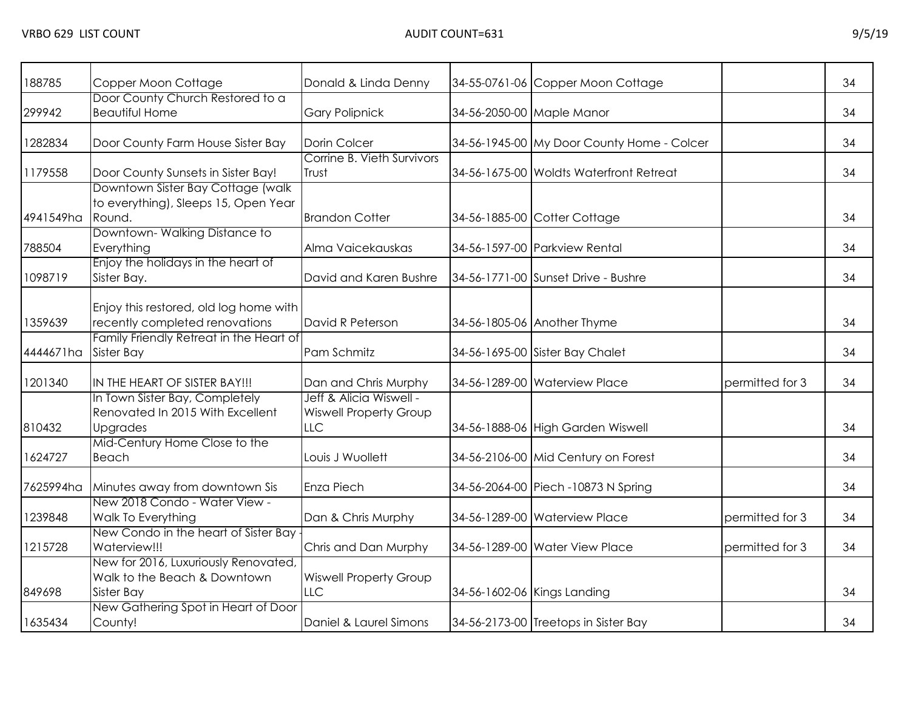| 188785    | Copper Moon Cottage                                                                       | Donald & Linda Denny                                            |                             | 34-55-0761-06 Copper Moon Cottage          |                 | 34 |
|-----------|-------------------------------------------------------------------------------------------|-----------------------------------------------------------------|-----------------------------|--------------------------------------------|-----------------|----|
| 299942    | Door County Church Restored to a<br><b>Beautiful Home</b>                                 | <b>Gary Polipnick</b>                                           |                             | 34-56-2050-00 Maple Manor                  |                 | 34 |
| 1282834   | Door County Farm House Sister Bay                                                         | <b>Dorin Colcer</b>                                             |                             | 34-56-1945-00 My Door County Home - Colcer |                 | 34 |
| 1179558   | Door County Sunsets in Sister Bay!                                                        | Corrine B. Vieth Survivors<br>Trust                             |                             | 34-56-1675-00 Woldts Waterfront Retreat    |                 | 34 |
| 4941549ha | Downtown Sister Bay Cottage (walk)<br>to everything), Sleeps 15, Open Year<br>Round.      | <b>Brandon Cotter</b>                                           |                             | 34-56-1885-00 Cotter Cottage               |                 | 34 |
| 788504    | Downtown-Walking Distance to<br>Everything                                                | Alma Vaicekauskas                                               |                             | 34-56-1597-00 Parkview Rental              |                 | 34 |
| 1098719   | Enjoy the holidays in the heart of<br>Sister Bay.                                         | David and Karen Bushre                                          |                             | 34-56-1771-00 Sunset Drive - Bushre        |                 | 34 |
| 1359639   | Enjoy this restored, old log home with<br>recently completed renovations                  | David R Peterson                                                |                             | 34-56-1805-06 Another Thyme                |                 | 34 |
| 4444671ha | Family Friendly Retreat in the Heart of<br><b>Sister Bay</b>                              | Pam Schmitz                                                     |                             | 34-56-1695-00 Sister Bay Chalet            |                 | 34 |
| 1201340   | IN THE HEART OF SISTER BAY!!!                                                             | Dan and Chris Murphy                                            |                             | 34-56-1289-00 Waterview Place              | permitted for 3 | 34 |
| 810432    | In Town Sister Bay, Completely<br>Renovated In 2015 With Excellent<br><b>Upgrades</b>     | Jeff & Alicia Wiswell -<br><b>Wiswell Property Group</b><br>LLC |                             | 34-56-1888-06 High Garden Wiswell          |                 | 34 |
| 1624727   | Mid-Century Home Close to the<br>Beach                                                    | Louis J Wuollett                                                |                             | 34-56-2106-00 Mid Century on Forest        |                 | 34 |
| 7625994ha | Minutes away from downtown Sis                                                            | Enza Piech                                                      |                             | 34-56-2064-00 Piech -10873 N Spring        |                 | 34 |
| 1239848   | New 2018 Condo - Water View -<br>Walk To Everything                                       | Dan & Chris Murphy                                              |                             | 34-56-1289-00 Waterview Place              | permitted for 3 | 34 |
| 1215728   | New Condo in the heart of Sister Bay<br>Waterview!!!                                      | Chris and Dan Murphy                                            |                             | 34-56-1289-00 Water View Place             | permitted for 3 | 34 |
| 849698    | New for 2016, Luxuriously Renovated,<br>Walk to the Beach & Downtown<br><b>Sister Bay</b> | <b>Wiswell Property Group</b><br><b>LLC</b>                     | 34-56-1602-06 Kings Landing |                                            |                 | 34 |
| 1635434   | New Gathering Spot in Heart of Door<br>County!                                            | Daniel & Laurel Simons                                          |                             | 34-56-2173-00 Treetops in Sister Bay       |                 | 34 |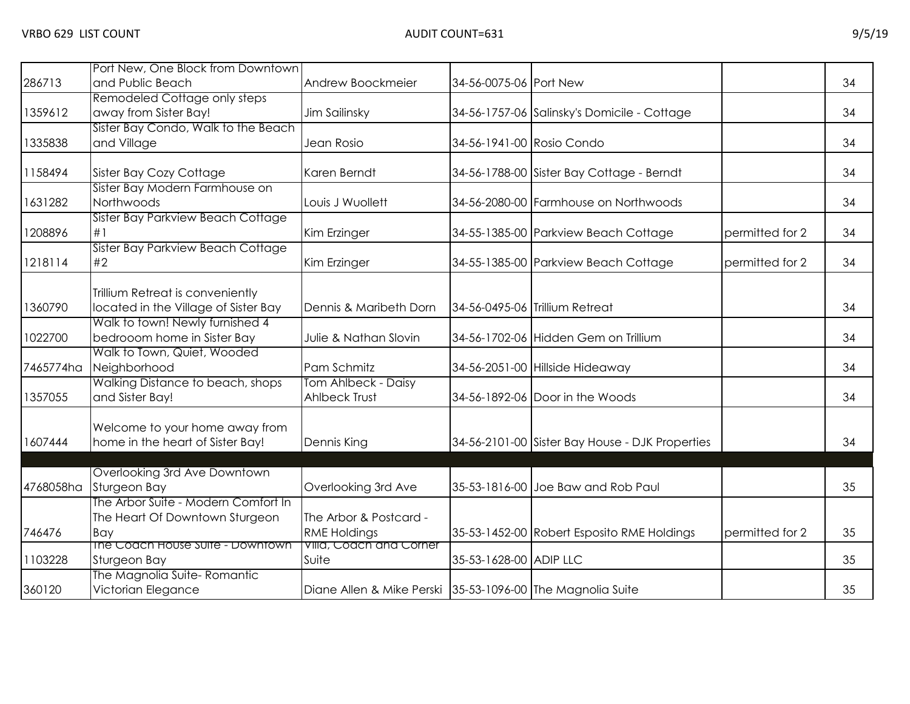|           | Port New, One Block from Downtown                                            |                                                            |                           |                                                 |                 |    |
|-----------|------------------------------------------------------------------------------|------------------------------------------------------------|---------------------------|-------------------------------------------------|-----------------|----|
| 286713    | and Public Beach                                                             | Andrew Boockmeier                                          | 34-56-0075-06 Port New    |                                                 |                 | 34 |
|           | Remodeled Cottage only steps                                                 |                                                            |                           |                                                 |                 |    |
| 1359612   | away from Sister Bay!                                                        | Jim Sailinsky                                              |                           | 34-56-1757-06 Salinsky's Domicile - Cottage     |                 | 34 |
|           | Sister Bay Condo, Walk to the Beach                                          |                                                            |                           |                                                 |                 |    |
| 1335838   | and Village                                                                  | Jean Rosio                                                 | 34-56-1941-00 Rosio Condo |                                                 |                 | 34 |
| 1158494   | Sister Bay Cozy Cottage                                                      | Karen Berndt                                               |                           | 34-56-1788-00 Sister Bay Cottage - Berndt       |                 | 34 |
|           | Sister Bay Modern Farmhouse on                                               |                                                            |                           |                                                 |                 |    |
| 1631282   | Northwoods                                                                   | Louis J Wuollett                                           |                           | 34-56-2080-00 Farmhouse on Northwoods           |                 | 34 |
| 1208896   | Sister Bay Parkview Beach Cottage<br>#1                                      | Kim Erzinger                                               |                           | 34-55-1385-00 Parkview Beach Cottage            | permitted for 2 | 34 |
| 1218114   | Sister Bay Parkview Beach Cottage<br>#2                                      | Kim Erzinger                                               |                           | 34-55-1385-00 Parkview Beach Cottage            | permitted for 2 | 34 |
| 1360790   | Trillium Retreat is conveniently<br>located in the Village of Sister Bay     | Dennis & Maribeth Dorn                                     |                           | 34-56-0495-06 Trillium Retreat                  |                 | 34 |
| 1022700   | Walk to town! Newly furnished 4<br>bedrooom home in Sister Bay               | Julie & Nathan Slovin                                      |                           | 34-56-1702-06 Hidden Gem on Trillium            |                 | 34 |
| 7465774ha | Walk to Town, Quiet, Wooded<br>Neighborhood                                  | Pam Schmitz                                                |                           | 34-56-2051-00 Hillside Hideaway                 |                 | 34 |
| 1357055   | Walking Distance to beach, shops<br>and Sister Bay!                          | Tom Ahlbeck - Daisy<br><b>Ahlbeck Trust</b>                |                           | 34-56-1892-06 Door in the Woods                 |                 | 34 |
| 1607444   | Welcome to your home away from<br>home in the heart of Sister Bay!           | <b>Dennis King</b>                                         |                           | 34-56-2101-00 Sister Bay House - DJK Properties |                 | 34 |
|           |                                                                              |                                                            |                           |                                                 |                 |    |
| 4768058ha | Overlooking 3rd Ave Downtown<br>Sturgeon Bay                                 | Overlooking 3rd Ave                                        |                           | 35-53-1816-00 Joe Baw and Rob Paul              |                 | 35 |
| 746476    | The Arbor Suite - Modern Comfort In<br>The Heart Of Downtown Sturgeon<br>Bay | The Arbor & Postcard -<br><b>RME Holdings</b>              |                           | 35-53-1452-00 Robert Esposito RME Holdings      | permitted for 2 | 35 |
| 1103228   | The Coach House Suite - Downtown<br>Sturgeon Bay                             | Villa, Coach and Corner<br>Suite                           | 35-53-1628-00 ADIP LLC    |                                                 |                 | 35 |
| 360120    | The Magnolia Suite-Romantic<br>Victorian Elegance                            | Diane Allen & Mike Perski 35-53-1096-00 The Magnolia Suite |                           |                                                 |                 | 35 |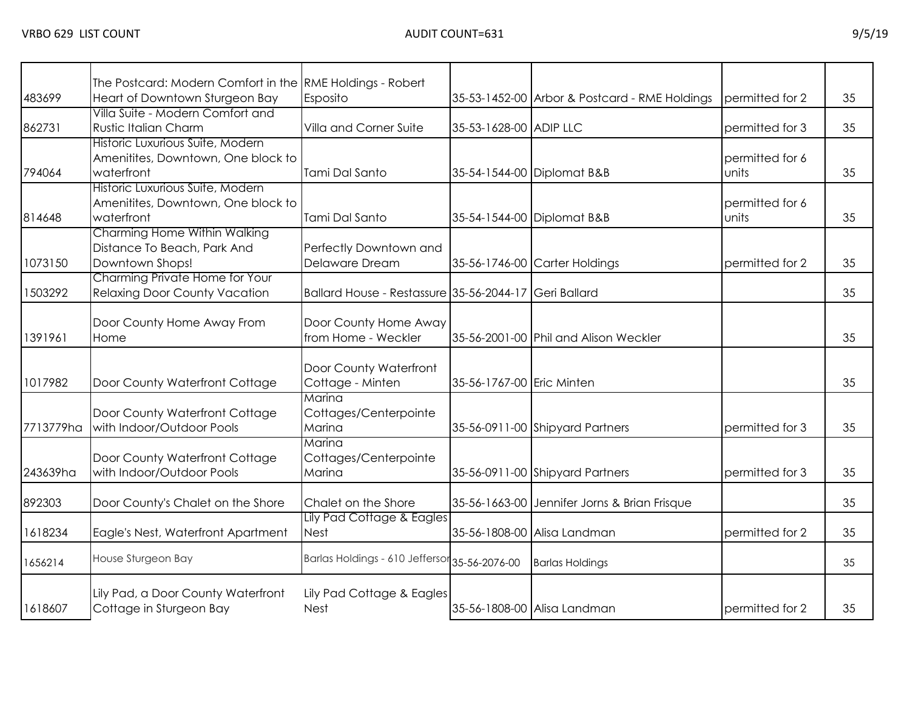| 483699    | The Postcard: Modern Comfort in the RME Holdings - Robert<br>Heart of Downtown Sturgeon Bay | Esposito                                              |                           | 35-53-1452-00 Arbor & Postcard - RME Holdings | permitted for 2 | 35 |
|-----------|---------------------------------------------------------------------------------------------|-------------------------------------------------------|---------------------------|-----------------------------------------------|-----------------|----|
|           | Villa Suite - Modern Comfort and                                                            |                                                       |                           |                                               |                 |    |
| 862731    | <b>Rustic Italian Charm</b>                                                                 | Villa and Corner Suite                                | 35-53-1628-00 ADIP LLC    |                                               | permitted for 3 | 35 |
|           | Historic Luxurious Suite, Modern                                                            |                                                       |                           |                                               |                 |    |
|           | Amenitites, Downtown, One block to                                                          |                                                       |                           |                                               | permitted for 6 |    |
| 794064    | waterfront                                                                                  | Tami Dal Santo                                        |                           | 35-54-1544-00 Diplomat B&B                    | lunits          | 35 |
|           | Historic Luxurious Suite, Modern                                                            |                                                       |                           |                                               |                 |    |
|           | Amenitites, Downtown, One block to                                                          | Tami Dal Santo                                        |                           |                                               | permitted for 6 |    |
| 814648    | waterfront<br>Charming Home Within Walking                                                  |                                                       |                           | 35-54-1544-00 Diplomat B&B                    | lunits          | 35 |
|           | Distance To Beach, Park And                                                                 | Perfectly Downtown and                                |                           |                                               |                 |    |
| 1073150   | Downtown Shops!                                                                             | Delaware Dream                                        |                           | 35-56-1746-00 Carter Holdings                 | permitted for 2 | 35 |
|           | Charming Private Home for Your                                                              |                                                       |                           |                                               |                 |    |
| 1503292   | <b>Relaxing Door County Vacation</b>                                                        | Ballard House - Restassure 35-56-2044-17 Geri Ballard |                           |                                               |                 | 35 |
|           |                                                                                             |                                                       |                           |                                               |                 |    |
|           | Door County Home Away From                                                                  | Door County Home Away                                 |                           |                                               |                 |    |
| 1391961   | Home                                                                                        | from Home - Weckler                                   |                           | 35-56-2001-00 Phil and Alison Weckler         |                 | 35 |
|           |                                                                                             |                                                       |                           |                                               |                 |    |
|           |                                                                                             | Door County Waterfront                                |                           |                                               |                 |    |
| 1017982   | Door County Waterfront Cottage                                                              | Cottage - Minten                                      | 35-56-1767-00 Eric Minten |                                               |                 | 35 |
|           |                                                                                             | Marina                                                |                           |                                               |                 |    |
|           | Door County Waterfront Cottage                                                              | Cottages/Centerpointe                                 |                           |                                               |                 |    |
| 7713779ha | with Indoor/Outdoor Pools                                                                   | Marina<br>Marina                                      |                           | 35-56-0911-00 Shipyard Partners               | permitted for 3 | 35 |
|           | Door County Waterfront Cottage                                                              | Cottages/Centerpointe                                 |                           |                                               |                 |    |
| 243639ha  | with Indoor/Outdoor Pools                                                                   | Marina                                                |                           | 35-56-0911-00 Shipyard Partners               | permitted for 3 | 35 |
|           |                                                                                             |                                                       |                           |                                               |                 |    |
| 892303    | Door County's Chalet on the Shore                                                           | Chalet on the Shore                                   |                           | 35-56-1663-00 Jennifer Jorns & Brian Frisque  |                 | 35 |
|           |                                                                                             | Lily Pad Cottage & Eagles                             |                           |                                               |                 |    |
| 1618234   | Eagle's Nest, Waterfront Apartment                                                          | <b>Nest</b>                                           |                           | 35-56-1808-00 Alisa Landman                   | permitted for 2 | 35 |
|           | House Sturgeon Bay                                                                          | Barlas Holdings - 610 Jeffersor 35-56-2076-00         |                           |                                               |                 |    |
| 1656214   |                                                                                             |                                                       |                           | <b>Barlas Holdings</b>                        |                 | 35 |
|           |                                                                                             |                                                       |                           |                                               |                 |    |
| 1618607   | Lily Pad, a Door County Waterfront<br>Cottage in Sturgeon Bay                               | Lily Pad Cottage & Eagles<br><b>Nest</b>              |                           | 35-56-1808-00 Alisa Landman                   | permitted for 2 | 35 |
|           |                                                                                             |                                                       |                           |                                               |                 |    |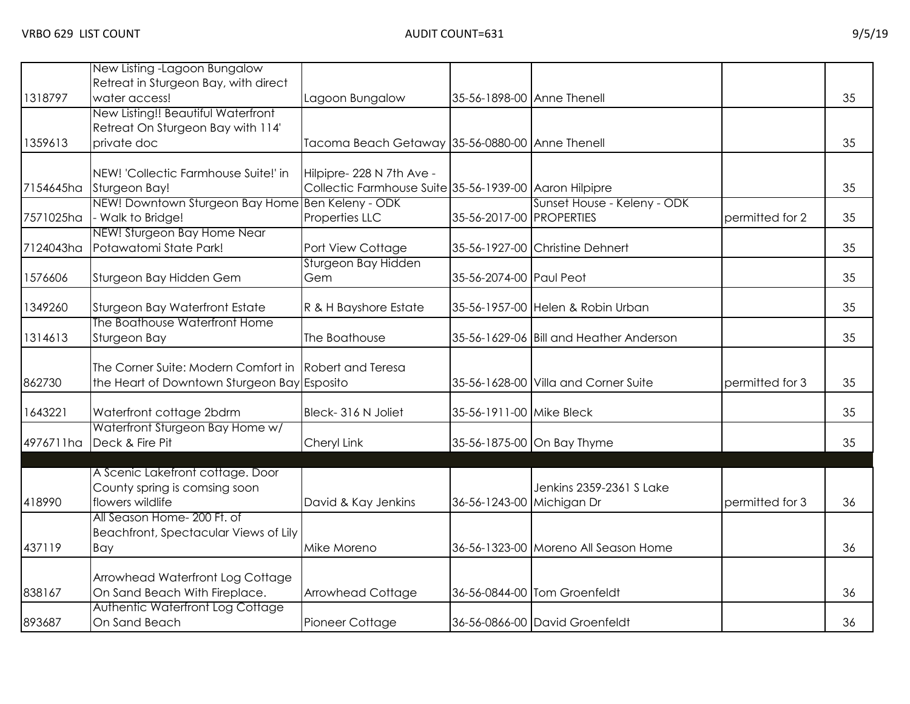|           | New Listing -Lagoon Bungalow                          |                                                        |                            |                                         |                 |    |
|-----------|-------------------------------------------------------|--------------------------------------------------------|----------------------------|-----------------------------------------|-----------------|----|
| 1318797   | Retreat in Sturgeon Bay, with direct<br>water access! | Lagoon Bungalow                                        | 35-56-1898-00 Anne Thenell |                                         |                 | 35 |
|           | New Listing!! Beautiful Waterfront                    |                                                        |                            |                                         |                 |    |
|           | Retreat On Sturgeon Bay with 114'                     |                                                        |                            |                                         |                 |    |
| 1359613   | private doc                                           | Tacoma Beach Getaway 35-56-0880-00 Anne Thenell        |                            |                                         |                 | 35 |
|           | NEW! 'Collectic Farmhouse Suite!' in                  | Hilpipre- 228 N 7th Ave -                              |                            |                                         |                 |    |
| 7154645ha | Sturgeon Bay!                                         | Collectic Farmhouse Suite 35-56-1939-00 Aaron Hilpipre |                            |                                         |                 | 35 |
|           | NEW! Downtown Sturgeon Bay Home Ben Keleny - ODK      |                                                        |                            | Sunset House - Keleny - ODK             |                 |    |
| 7571025ha | - Walk to Bridge!                                     | Properties LLC                                         | 35-56-2017-00 PROPERTIES   |                                         | permitted for 2 | 35 |
|           | NEW! Sturgeon Bay Home Near                           |                                                        |                            |                                         |                 |    |
| 7124043ha | Potawatomi State Park!                                | Port View Cottage                                      |                            | 35-56-1927-00 Christine Dehnert         |                 | 35 |
|           |                                                       | Sturgeon Bay Hidden                                    |                            |                                         |                 |    |
| 1576606   | Sturgeon Bay Hidden Gem                               | Gem                                                    | 35-56-2074-00 Paul Peot    |                                         |                 | 35 |
| 1349260   | Sturgeon Bay Waterfront Estate                        | R & H Bayshore Estate                                  |                            | 35-56-1957-00 Helen & Robin Urban       |                 | 35 |
|           | The Boathouse Waterfront Home                         |                                                        |                            |                                         |                 |    |
| 1314613   | Sturgeon Bay                                          | The Boathouse                                          |                            | 35-56-1629-06 Bill and Heather Anderson |                 | 35 |
|           | The Corner Suite: Modern Comfort in Robert and Teresa |                                                        |                            |                                         |                 |    |
| 862730    | the Heart of Downtown Sturgeon Bay Esposito           |                                                        |                            | 35-56-1628-00 Villa and Corner Suite    | permitted for 3 | 35 |
| 1643221   | Waterfront cottage 2bdrm                              | Bleck-316 N Joliet                                     | 35-56-1911-00 Mike Bleck   |                                         |                 | 35 |
|           | Waterfront Sturgeon Bay Home w/                       |                                                        |                            |                                         |                 |    |
| 4976711ha | Deck & Fire Pit                                       | Cheryl Link                                            |                            | 35-56-1875-00 On Bay Thyme              |                 | 35 |
|           |                                                       |                                                        |                            |                                         |                 |    |
|           | A Scenic Lakefront cottage. Door                      |                                                        |                            |                                         |                 |    |
| 418990    | County spring is comsing soon<br>flowers wildlife     |                                                        |                            | Jenkins 2359-2361 S Lake                | permitted for 3 | 36 |
|           | All Season Home- 200 Ft. of                           | David & Kay Jenkins                                    | 36-56-1243-00 Michigan Dr  |                                         |                 |    |
|           | Beachfront, Spectacular Views of Lily                 |                                                        |                            |                                         |                 |    |
| 437119    | Bay                                                   | Mike Moreno                                            |                            | 36-56-1323-00 Moreno All Season Home    |                 | 36 |
|           |                                                       |                                                        |                            |                                         |                 |    |
|           | Arrowhead Waterfront Log Cottage                      |                                                        |                            |                                         |                 |    |
| 838167    | On Sand Beach With Fireplace.                         | Arrowhead Cottage                                      |                            | 36-56-0844-00 Tom Groenfeldt            |                 | 36 |
|           | Authentic Waterfront Log Cottage                      |                                                        |                            |                                         |                 |    |
| 893687    | On Sand Beach                                         | Pioneer Cottage                                        |                            | 36-56-0866-00 David Groenfeldt          |                 | 36 |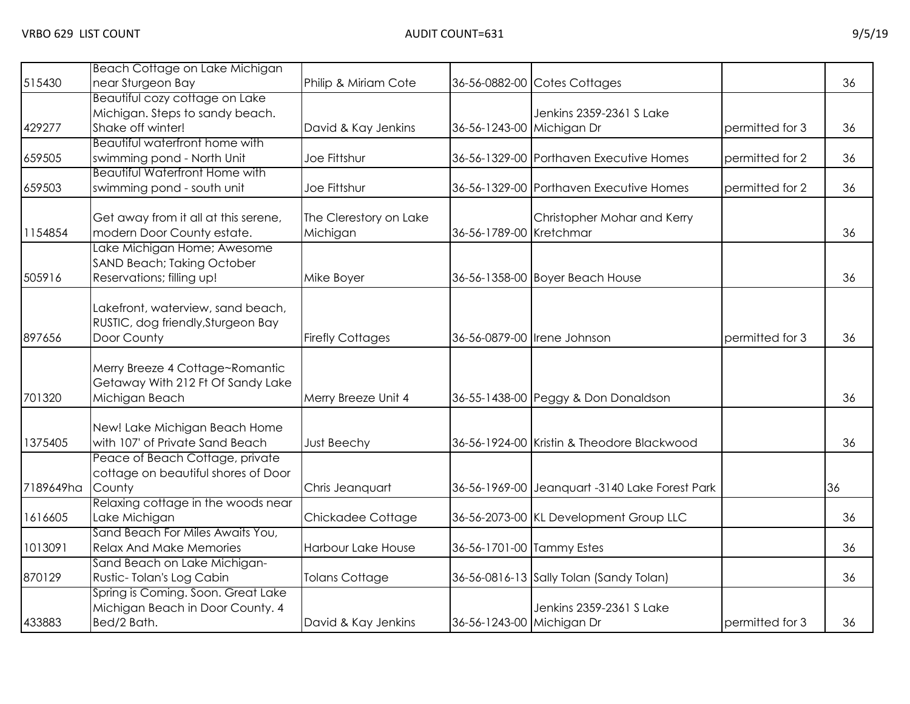| 515430    | Beach Cottage on Lake Michigan<br>near Sturgeon Bay                                           | Philip & Miriam Cote               |                           | 36-56-0882-00 Cotes Cottages                   |                 | 36 |
|-----------|-----------------------------------------------------------------------------------------------|------------------------------------|---------------------------|------------------------------------------------|-----------------|----|
| 429277    | Beautiful cozy cottage on Lake<br>Michigan. Steps to sandy beach.<br>Shake off winter!        | David & Kay Jenkins                | 36-56-1243-00 Michigan Dr | Jenkins 2359-2361 S Lake                       | permitted for 3 | 36 |
| 659505    | Beautiful waterfront home with<br>swimming pond - North Unit                                  | Joe Fittshur                       |                           | 36-56-1329-00 Porthaven Executive Homes        | permitted for 2 | 36 |
| 659503    | <b>Beautiful Waterfront Home with</b><br>swimming pond - south unit                           | Joe Fittshur                       |                           | 36-56-1329-00 Porthaven Executive Homes        | permitted for 2 | 36 |
| 1154854   | Get away from it all at this serene,<br>modern Door County estate.                            | The Clerestory on Lake<br>Michigan | 36-56-1789-00 Kretchmar   | Christopher Mohar and Kerry                    |                 | 36 |
| 505916    | Lake Michigan Home; Awesome<br><b>SAND Beach; Taking October</b><br>Reservations; filling up! | Mike Boyer                         |                           | 36-56-1358-00 Boyer Beach House                |                 | 36 |
| 897656    | Lakefront, waterview, sand beach,<br>RUSTIC, dog friendly, Sturgeon Bay<br>Door County        | <b>Firefly Cottages</b>            |                           | 36-56-0879-00 Irene Johnson                    | permitted for 3 | 36 |
| 701320    | Merry Breeze 4 Cottage~Romantic<br>Getaway With 212 Ft Of Sandy Lake<br>Michigan Beach        | Merry Breeze Unit 4                |                           | 36-55-1438-00 Peggy & Don Donaldson            |                 | 36 |
| 1375405   | New! Lake Michigan Beach Home<br>with 107' of Private Sand Beach                              | <b>Just Beechy</b>                 |                           | 36-56-1924-00 Kristin & Theodore Blackwood     |                 | 36 |
| 7189649ha | Peace of Beach Cottage, private<br>cottage on beautiful shores of Door<br>County              | Chris Jeanquart                    |                           | 36-56-1969-00 Jeanquart -3140 Lake Forest Park |                 | 36 |
| 1616605   | Relaxing cottage in the woods near<br>Lake Michigan                                           | Chickadee Cottage                  |                           | 36-56-2073-00 KL Development Group LLC         |                 | 36 |
| 1013091   | Sand Beach For Miles Awaits You,<br><b>Relax And Make Memories</b>                            | Harbour Lake House                 | 36-56-1701-00 Tammy Estes |                                                |                 | 36 |
| 870129    | Sand Beach on Lake Michigan-<br>Rustic-Tolan's Log Cabin                                      | <b>Tolans Cottage</b>              |                           | 36-56-0816-13 Sally Tolan (Sandy Tolan)        |                 | 36 |
| 433883    | Spring is Coming. Soon. Great Lake<br>Michigan Beach in Door County. 4<br>Bed/2 Bath.         | David & Kay Jenkins                | 36-56-1243-00 Michigan Dr | Jenkins 2359-2361 S Lake                       | permitted for 3 | 36 |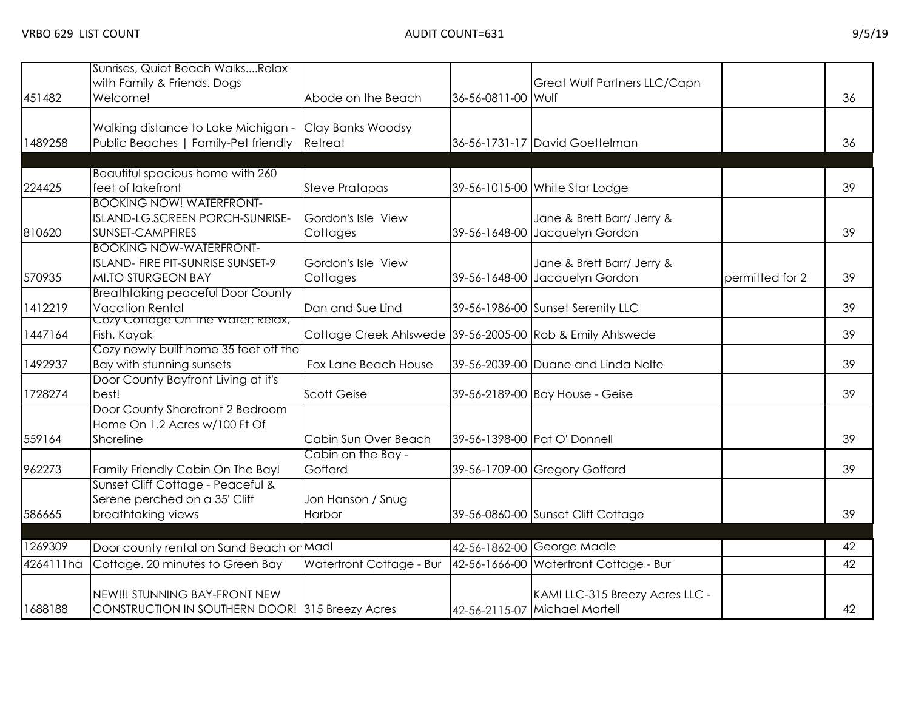| 451482    | Sunrises, Quiet Beach WalksRelax<br>with Family & Friends. Dogs<br>Welcome!                      | Abode on the Beach                                        | 36-56-0811-00 Wulf | Great Wulf Partners LLC/Capn                                     |                 | 36 |
|-----------|--------------------------------------------------------------------------------------------------|-----------------------------------------------------------|--------------------|------------------------------------------------------------------|-----------------|----|
| 1489258   | Walking distance to Lake Michigan -<br>Public Beaches   Family-Pet friendly                      | Clay Banks Woodsy<br>Retreat                              |                    | 36-56-1731-17 David Goettelman                                   |                 | 36 |
|           |                                                                                                  |                                                           |                    |                                                                  |                 |    |
| 224425    | Beautiful spacious home with 260<br>feet of lakefront                                            | <b>Steve Pratapas</b>                                     |                    | 39-56-1015-00 White Star Lodge                                   |                 | 39 |
| 810620    | <b>BOOKING NOW! WATERFRONT-</b><br>ISLAND-LG.SCREEN PORCH-SUNRISE-<br>SUNSET-CAMPFIRES           | Gordon's Isle View<br>Cottages                            |                    | Jane & Brett Barr/ Jerry &<br>39-56-1648-00 Jacquelyn Gordon     |                 | 39 |
| 570935    | <b>BOOKING NOW-WATERFRONT-</b><br>ISLAND- FIRE PIT-SUNRISE SUNSET-9<br><b>MI.TO STURGEON BAY</b> | Gordon's Isle View<br>Cottages                            |                    | Jane & Brett Barr/ Jerry &<br>39-56-1648-00 Jacquelyn Gordon     | permitted for 2 | 39 |
| 1412219   | <b>Breathtaking peaceful Door County</b><br><b>Vacation Rental</b>                               | Dan and Sue Lind                                          |                    | 39-56-1986-00 Sunset Serenity LLC                                |                 | 39 |
| 1447164   | Cozy Conage On the water: Relax,<br>Fish, Kayak                                                  | Cottage Creek Ahlswede 39-56-2005-00 Rob & Emily Ahlswede |                    |                                                                  |                 | 39 |
| 1492937   | Cozy newly built home 35 feet off the<br>Bay with stunning sunsets                               | Fox Lane Beach House                                      |                    | 39-56-2039-00 Duane and Linda Nolte                              |                 | 39 |
| 1728274   | Door County Bayfront Living at it's<br>best!                                                     | <b>Scott Geise</b>                                        |                    | 39-56-2189-00 Bay House - Geise                                  |                 | 39 |
| 559164    | Door County Shorefront 2 Bedroom<br>Home On 1.2 Acres w/100 Ft Of<br>Shoreline                   | Cabin Sun Over Beach                                      |                    | 39-56-1398-00 Pat O' Donnell                                     |                 | 39 |
| 962273    | Family Friendly Cabin On The Bay!                                                                | Cabin on the Bay -<br>Goffard                             |                    | 39-56-1709-00 Gregory Goffard                                    |                 | 39 |
| 586665    | Sunset Cliff Cottage - Peaceful &<br>Serene perched on a 35' Cliff<br>breathtaking views         | Jon Hanson / Snug<br>Harbor                               |                    | 39-56-0860-00 Sunset Cliff Cottage                               |                 | 39 |
|           |                                                                                                  |                                                           |                    |                                                                  |                 |    |
| 1269309   | Door county rental on Sand Beach or Madl                                                         |                                                           |                    | 42-56-1862-00 George Madle                                       |                 | 42 |
| 4264111ha | Cottage. 20 minutes to Green Bay                                                                 | Waterfront Cottage - Bur                                  |                    | 42-56-1666-00 Waterfront Cottage - Bur                           |                 | 42 |
| 1688188   | NEW!!! STUNNING BAY-FRONT NEW<br>CONSTRUCTION IN SOUTHERN DOOR! 315 Breezy Acres                 |                                                           |                    | KAMI LLC-315 Breezy Acres LLC -<br>42-56-2115-07 Michael Martell |                 | 42 |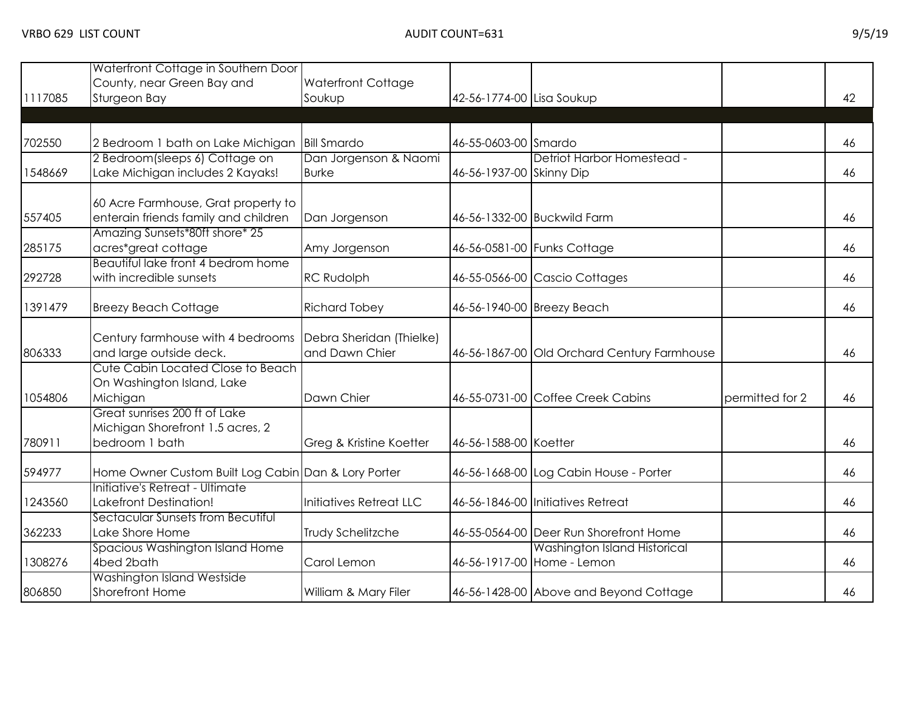|         | Waterfront Cottage in Southern Door                 |                          |                           |                                             |                 |    |
|---------|-----------------------------------------------------|--------------------------|---------------------------|---------------------------------------------|-----------------|----|
|         | County, near Green Bay and                          | Waterfront Cottage       |                           |                                             |                 |    |
| 1117085 | Sturgeon Bay                                        | Soukup                   | 42-56-1774-00 Lisa Soukup |                                             |                 | 42 |
|         |                                                     |                          |                           |                                             |                 |    |
|         |                                                     |                          |                           |                                             |                 |    |
| 702550  | 2 Bedroom 1 bath on Lake Michigan                   | <b>Bill Smardo</b>       | 46-55-0603-00 Smardo      |                                             |                 | 46 |
|         | 2 Bedroom(sleeps 6) Cottage on                      | Dan Jorgenson & Naomi    |                           | Detriot Harbor Homestead -                  |                 |    |
| 1548669 | Lake Michigan includes 2 Kayaks!                    | <b>Burke</b>             | 46-56-1937-00 Skinny Dip  |                                             |                 | 46 |
|         | 60 Acre Farmhouse, Grat property to                 |                          |                           |                                             |                 |    |
| 557405  | enterain friends family and children                | Dan Jorgenson            |                           | 46-56-1332-00 Buckwild Farm                 |                 | 46 |
|         | Amazing Sunsets*80ft shore* 25                      |                          |                           |                                             |                 |    |
| 285175  | acres*great cottage                                 | Amy Jorgenson            |                           | 46-56-0581-00 Funks Cottage                 |                 | 46 |
|         | Beautiful lake front 4 bedrom home                  |                          |                           |                                             |                 |    |
| 292728  | with incredible sunsets                             | <b>RC Rudolph</b>        |                           | 46-55-0566-00 Cascio Cottages               |                 | 46 |
| 1391479 | <b>Breezy Beach Cottage</b>                         | <b>Richard Tobey</b>     |                           | 46-56-1940-00 Breezy Beach                  |                 | 46 |
|         |                                                     |                          |                           |                                             |                 |    |
|         | Century farmhouse with 4 bedrooms                   | Debra Sheridan (Thielke) |                           |                                             |                 |    |
| 806333  | and large outside deck.                             | and Dawn Chier           |                           | 46-56-1867-00 Old Orchard Century Farmhouse |                 | 46 |
|         | Cute Cabin Located Close to Beach                   |                          |                           |                                             |                 |    |
|         | On Washington Island, Lake                          |                          |                           |                                             |                 |    |
| 1054806 | Michigan                                            | Dawn Chier               |                           | 46-55-0731-00 Coffee Creek Cabins           | permitted for 2 | 46 |
|         | Great sunrises 200 ft of Lake                       |                          |                           |                                             |                 |    |
|         | Michigan Shorefront 1.5 acres, 2                    |                          |                           |                                             |                 |    |
| 780911  | bedroom 1 bath                                      | Greg & Kristine Koetter  | 46-56-1588-00 Koetter     |                                             |                 | 46 |
| 594977  | Home Owner Custom Built Log Cabin Dan & Lory Porter |                          |                           | 46-56-1668-00 Log Cabin House - Porter      |                 | 46 |
|         | Initiative's Retreat - Ultimate                     |                          |                           |                                             |                 |    |
| 1243560 | Lakefront Destination!                              | Initiatives Retreat LLC  |                           | 46-56-1846-00 Initiatives Retreat           |                 | 46 |
|         | Sectacular Sunsets from Becutiful                   |                          |                           |                                             |                 |    |
| 362233  | Lake Shore Home                                     | Trudy Schelitzche        |                           | 46-55-0564-00 Deer Run Shorefront Home      |                 | 46 |
|         | Spacious Washington Island Home                     |                          |                           | Washington Island Historical                |                 |    |
| 1308276 | 4bed 2bath                                          | Carol Lemon              |                           | 46-56-1917-00 Home - Lemon                  |                 | 46 |
|         | Washington Island Westside                          |                          |                           |                                             |                 |    |
| 806850  | Shorefront Home                                     | William & Mary Filer     |                           | 46-56-1428-00 Above and Beyond Cottage      |                 | 46 |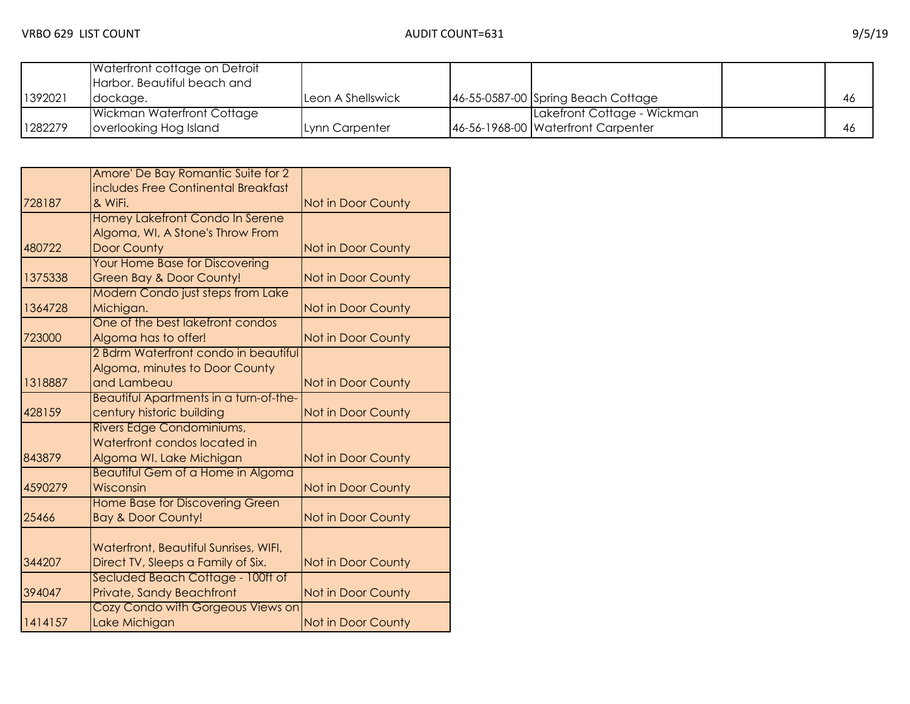|         | Waterfront cottage on Detroit<br>Harbor. Beautiful beach and |                   |                                    |     |
|---------|--------------------------------------------------------------|-------------------|------------------------------------|-----|
| 1392021 | dockage.                                                     | Leon A Shellswick | 46-55-0587-00 Spring Beach Cottage | 46  |
|         | Wickman Waterfront Cottage                                   |                   | Lakefront Cottage - Wickman        |     |
| 1282279 | overlooking Hog Island                                       | Lynn Carpenter    | 46-56-1968-00 Waterfront Carpenter | -46 |

|         | Amore' De Bay Romantic Suite for 2     |                    |
|---------|----------------------------------------|--------------------|
|         | includes Free Continental Breakfast    |                    |
| 728187  | & WiFi.                                | Not in Door County |
|         | Homey Lakefront Condo In Serene        |                    |
|         | Algoma, WI, A Stone's Throw From       |                    |
| 480722  | <b>Door County</b>                     | Not in Door County |
|         | <b>Your Home Base for Discovering</b>  |                    |
| 1375338 | <b>Green Bay &amp; Door County!</b>    | Not in Door County |
|         | Modern Condo just steps from Lake      |                    |
| 1364728 | Michigan.                              | Not in Door County |
|         | One of the best lakefront condos       |                    |
| 723000  | Algoma has to offer!                   | Not in Door County |
|         | 2 Bdrm Waterfront condo in beautiful   |                    |
|         | Algoma, minutes to Door County         |                    |
| 1318887 | and Lambeau                            | Not in Door County |
|         | Beautiful Apartments in a turn-of-the- |                    |
| 428159  | century historic building              | Not in Door County |
|         | Rivers Edge Condominiums,              |                    |
|         | Waterfront condos located in           |                    |
| 843879  | Algoma WI. Lake Michigan               | Not in Door County |
|         | Beautiful Gem of a Home in Algoma      |                    |
| 4590279 | Wisconsin                              | Not in Door County |
|         | <b>Home Base for Discovering Green</b> |                    |
| 25466   | <b>Bay &amp; Door County!</b>          | Not in Door County |
|         |                                        |                    |
|         | Waterfront, Beautiful Sunrises, WIFI,  |                    |
| 344207  | Direct TV, Sleeps a Family of Six.     | Not in Door County |
|         | Secluded Beach Cottage - 100ft of      |                    |
| 394047  | Private, Sandy Beachfront              | Not in Door County |
|         | Cozy Condo with Gorgeous Views on      |                    |
| 1414157 | Lake Michigan                          | Not in Door County |